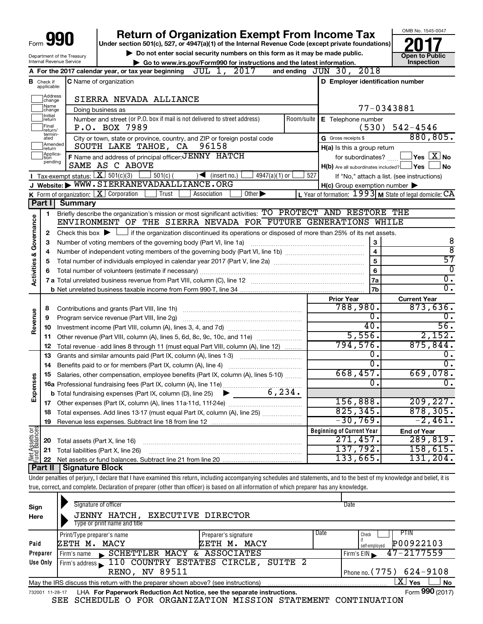| Form $\bigcup$ | 990<br>. . |  |
|----------------|------------|--|
|                |            |  |

## **Return of Organization Exempt From Income Tax**

**Under section 501(c), 527, or 4947(a)(1) of the Internal Revenue Code (except private foundations)**

Department of the Treasury Internal Revenue Service

▶ Do not enter social security numbers on this form as it may be made public.<br>
inspection and the latest information. **Dependent in the latest information** and the latest information. **| Go to www.irs.gov/Form990 for instructions and the latest information. Inspection**



| $JUL$ 1,<br>2017<br>and ending JUN 30, 2018<br>A For the 2017 calendar year, or tax year beginning<br>D Employer identification number<br>C Name of organization<br>В<br>Check if<br>applicable:<br>Address<br> change<br>SIERRA NEVADA ALLIANCE<br>]Name<br>]change<br>77-0343881<br>Doing business as<br>Initial<br> return<br>Number and street (or P.O. box if mail is not delivered to street address)<br>Room/suite<br>E Telephone number<br>Final<br>$542 - 4546$<br>P.O. BOX 7989<br>(530)<br>return/<br>termin-<br>ated<br>880,805.<br>City or town, state or province, country, and ZIP or foreign postal code<br>G Gross receipts \$<br>Amended<br>SOUTH LAKE TAHOE, CA<br>96158<br>$H(a)$ is this a group return<br>return<br>Applica-<br>Ition<br>F Name and address of principal officer: JENNY HATCH<br>$\Box$ Yes $\Box X$ No<br>for subordinates?<br>pending<br>SAME AS C ABOVE<br>$H(b)$ Are all subordinates included? $\Box$ Yes $\Box$<br>J No<br>Tax-exempt status: $X \over 301(c)(3)$<br>$501(c)$ (<br>$\sqrt{\frac{1}{1}}$ (insert no.)<br>$4947(a)(1)$ or<br>527<br>If "No," attach a list. (see instructions)<br>J Website: WWW.SIERRANEVADAALLIANCE.ORG<br>$H(c)$ Group exemption number $\blacktriangleright$<br>$K$ Form of organization: $K$ Corporation<br>Trust<br>Association<br>Other $\blacktriangleright$<br>L Year of formation: $1993$ M State of legal domicile: CA<br><b>Summary</b><br>Part I<br>Briefly describe the organization's mission or most significant activities: TO PROTECT AND RESTORE THE<br>1<br>Governance<br>ENVIRONMENT OF THE SIERRA NEVADA FOR FUTURE GENERATIONS WHILE<br>Check this box $\blacktriangleright$ $\Box$ if the organization discontinued its operations or disposed of more than 25% of its net assets.<br>2<br>8<br>3<br>З<br>$\overline{8}$<br>$\overline{\mathbf{4}}$<br>4<br><b>Activities &amp;</b><br>$\overline{57}$<br>$\overline{5}$<br>5<br>$\Omega$<br>6<br>6<br>0.<br>7a<br>0.<br>7 <sub>b</sub><br><b>Prior Year</b><br><b>Current Year</b><br>873,636.<br>788,980.<br>8<br>Revenue<br>0.<br>ο.<br>Program service revenue (Part VIII, line 2g)<br>9<br>56.<br>40.<br>10<br>5,556.<br>2,152.<br>11<br>794,576.<br>875,844.<br>12<br>Total revenue - add lines 8 through 11 (must equal Part VIII, column (A), line 12)<br>0.<br>$\mathbf 0$ .<br>13<br>Grants and similar amounts paid (Part IX, column (A), lines 1-3)<br>$\overline{0}$ .<br>$\overline{0}$ .<br>Benefits paid to or for members (Part IX, column (A), line 4)<br>14<br>668,457.<br>669,078.<br>Salaries, other compensation, employee benefits (Part IX, column (A), lines 5-10)<br>15<br>Expenses<br>0.<br>$\overline{0}$ .<br>6, 234.<br><b>b</b> Total fundraising expenses (Part IX, column (D), line 25)<br>156,888.<br>209, 227.<br>825, 345.<br>878, 305.<br>Total expenses. Add lines 13-17 (must equal Part IX, column (A), line 25) <i></i><br>18<br>$-30,769.$<br>$-2,461.$<br>19<br>ិទី<br><b>Beginning of Current Year</b><br><b>End of Year</b><br>Assets<br>dBalanc<br>271,457.<br>289,819.<br>20 Total assets (Part X, line 16)<br>137,792.<br>158,615.<br>21 Total liabilities (Part X, line 26)<br>$N_{\text{tund}}^{\text{et}}$<br>133,665.<br>131, 204.<br>4 II   Cianoturo Plook |  |  |  |
|--------------------------------------------------------------------------------------------------------------------------------------------------------------------------------------------------------------------------------------------------------------------------------------------------------------------------------------------------------------------------------------------------------------------------------------------------------------------------------------------------------------------------------------------------------------------------------------------------------------------------------------------------------------------------------------------------------------------------------------------------------------------------------------------------------------------------------------------------------------------------------------------------------------------------------------------------------------------------------------------------------------------------------------------------------------------------------------------------------------------------------------------------------------------------------------------------------------------------------------------------------------------------------------------------------------------------------------------------------------------------------------------------------------------------------------------------------------------------------------------------------------------------------------------------------------------------------------------------------------------------------------------------------------------------------------------------------------------------------------------------------------------------------------------------------------------------------------------------------------------------------------------------------------------------------------------------------------------------------------------------------------------------------------------------------------------------------------------------------------------------------------------------------------------------------------------------------------------------------------------------------------------------------------------------------------------------------------------------------------------------------------------------------------------------------------------------------------------------------------------------------------------------------------------------------------------------------------------------------------------------------------------------------------------------------------------------------------------------------------------------------------------------------------------------------------------------------------------------------------------------------------------------------------------------------------------------------------------------------------------------------------------------------------------------------------------------------------------------------------------------------------------------------------------------------------------------------------------------------------------------------------------|--|--|--|
|                                                                                                                                                                                                                                                                                                                                                                                                                                                                                                                                                                                                                                                                                                                                                                                                                                                                                                                                                                                                                                                                                                                                                                                                                                                                                                                                                                                                                                                                                                                                                                                                                                                                                                                                                                                                                                                                                                                                                                                                                                                                                                                                                                                                                                                                                                                                                                                                                                                                                                                                                                                                                                                                                                                                                                                                                                                                                                                                                                                                                                                                                                                                                                                                                                                                    |  |  |  |
|                                                                                                                                                                                                                                                                                                                                                                                                                                                                                                                                                                                                                                                                                                                                                                                                                                                                                                                                                                                                                                                                                                                                                                                                                                                                                                                                                                                                                                                                                                                                                                                                                                                                                                                                                                                                                                                                                                                                                                                                                                                                                                                                                                                                                                                                                                                                                                                                                                                                                                                                                                                                                                                                                                                                                                                                                                                                                                                                                                                                                                                                                                                                                                                                                                                                    |  |  |  |
|                                                                                                                                                                                                                                                                                                                                                                                                                                                                                                                                                                                                                                                                                                                                                                                                                                                                                                                                                                                                                                                                                                                                                                                                                                                                                                                                                                                                                                                                                                                                                                                                                                                                                                                                                                                                                                                                                                                                                                                                                                                                                                                                                                                                                                                                                                                                                                                                                                                                                                                                                                                                                                                                                                                                                                                                                                                                                                                                                                                                                                                                                                                                                                                                                                                                    |  |  |  |
|                                                                                                                                                                                                                                                                                                                                                                                                                                                                                                                                                                                                                                                                                                                                                                                                                                                                                                                                                                                                                                                                                                                                                                                                                                                                                                                                                                                                                                                                                                                                                                                                                                                                                                                                                                                                                                                                                                                                                                                                                                                                                                                                                                                                                                                                                                                                                                                                                                                                                                                                                                                                                                                                                                                                                                                                                                                                                                                                                                                                                                                                                                                                                                                                                                                                    |  |  |  |
|                                                                                                                                                                                                                                                                                                                                                                                                                                                                                                                                                                                                                                                                                                                                                                                                                                                                                                                                                                                                                                                                                                                                                                                                                                                                                                                                                                                                                                                                                                                                                                                                                                                                                                                                                                                                                                                                                                                                                                                                                                                                                                                                                                                                                                                                                                                                                                                                                                                                                                                                                                                                                                                                                                                                                                                                                                                                                                                                                                                                                                                                                                                                                                                                                                                                    |  |  |  |
|                                                                                                                                                                                                                                                                                                                                                                                                                                                                                                                                                                                                                                                                                                                                                                                                                                                                                                                                                                                                                                                                                                                                                                                                                                                                                                                                                                                                                                                                                                                                                                                                                                                                                                                                                                                                                                                                                                                                                                                                                                                                                                                                                                                                                                                                                                                                                                                                                                                                                                                                                                                                                                                                                                                                                                                                                                                                                                                                                                                                                                                                                                                                                                                                                                                                    |  |  |  |
|                                                                                                                                                                                                                                                                                                                                                                                                                                                                                                                                                                                                                                                                                                                                                                                                                                                                                                                                                                                                                                                                                                                                                                                                                                                                                                                                                                                                                                                                                                                                                                                                                                                                                                                                                                                                                                                                                                                                                                                                                                                                                                                                                                                                                                                                                                                                                                                                                                                                                                                                                                                                                                                                                                                                                                                                                                                                                                                                                                                                                                                                                                                                                                                                                                                                    |  |  |  |
|                                                                                                                                                                                                                                                                                                                                                                                                                                                                                                                                                                                                                                                                                                                                                                                                                                                                                                                                                                                                                                                                                                                                                                                                                                                                                                                                                                                                                                                                                                                                                                                                                                                                                                                                                                                                                                                                                                                                                                                                                                                                                                                                                                                                                                                                                                                                                                                                                                                                                                                                                                                                                                                                                                                                                                                                                                                                                                                                                                                                                                                                                                                                                                                                                                                                    |  |  |  |
|                                                                                                                                                                                                                                                                                                                                                                                                                                                                                                                                                                                                                                                                                                                                                                                                                                                                                                                                                                                                                                                                                                                                                                                                                                                                                                                                                                                                                                                                                                                                                                                                                                                                                                                                                                                                                                                                                                                                                                                                                                                                                                                                                                                                                                                                                                                                                                                                                                                                                                                                                                                                                                                                                                                                                                                                                                                                                                                                                                                                                                                                                                                                                                                                                                                                    |  |  |  |
|                                                                                                                                                                                                                                                                                                                                                                                                                                                                                                                                                                                                                                                                                                                                                                                                                                                                                                                                                                                                                                                                                                                                                                                                                                                                                                                                                                                                                                                                                                                                                                                                                                                                                                                                                                                                                                                                                                                                                                                                                                                                                                                                                                                                                                                                                                                                                                                                                                                                                                                                                                                                                                                                                                                                                                                                                                                                                                                                                                                                                                                                                                                                                                                                                                                                    |  |  |  |
|                                                                                                                                                                                                                                                                                                                                                                                                                                                                                                                                                                                                                                                                                                                                                                                                                                                                                                                                                                                                                                                                                                                                                                                                                                                                                                                                                                                                                                                                                                                                                                                                                                                                                                                                                                                                                                                                                                                                                                                                                                                                                                                                                                                                                                                                                                                                                                                                                                                                                                                                                                                                                                                                                                                                                                                                                                                                                                                                                                                                                                                                                                                                                                                                                                                                    |  |  |  |
|                                                                                                                                                                                                                                                                                                                                                                                                                                                                                                                                                                                                                                                                                                                                                                                                                                                                                                                                                                                                                                                                                                                                                                                                                                                                                                                                                                                                                                                                                                                                                                                                                                                                                                                                                                                                                                                                                                                                                                                                                                                                                                                                                                                                                                                                                                                                                                                                                                                                                                                                                                                                                                                                                                                                                                                                                                                                                                                                                                                                                                                                                                                                                                                                                                                                    |  |  |  |
|                                                                                                                                                                                                                                                                                                                                                                                                                                                                                                                                                                                                                                                                                                                                                                                                                                                                                                                                                                                                                                                                                                                                                                                                                                                                                                                                                                                                                                                                                                                                                                                                                                                                                                                                                                                                                                                                                                                                                                                                                                                                                                                                                                                                                                                                                                                                                                                                                                                                                                                                                                                                                                                                                                                                                                                                                                                                                                                                                                                                                                                                                                                                                                                                                                                                    |  |  |  |
|                                                                                                                                                                                                                                                                                                                                                                                                                                                                                                                                                                                                                                                                                                                                                                                                                                                                                                                                                                                                                                                                                                                                                                                                                                                                                                                                                                                                                                                                                                                                                                                                                                                                                                                                                                                                                                                                                                                                                                                                                                                                                                                                                                                                                                                                                                                                                                                                                                                                                                                                                                                                                                                                                                                                                                                                                                                                                                                                                                                                                                                                                                                                                                                                                                                                    |  |  |  |
|                                                                                                                                                                                                                                                                                                                                                                                                                                                                                                                                                                                                                                                                                                                                                                                                                                                                                                                                                                                                                                                                                                                                                                                                                                                                                                                                                                                                                                                                                                                                                                                                                                                                                                                                                                                                                                                                                                                                                                                                                                                                                                                                                                                                                                                                                                                                                                                                                                                                                                                                                                                                                                                                                                                                                                                                                                                                                                                                                                                                                                                                                                                                                                                                                                                                    |  |  |  |
|                                                                                                                                                                                                                                                                                                                                                                                                                                                                                                                                                                                                                                                                                                                                                                                                                                                                                                                                                                                                                                                                                                                                                                                                                                                                                                                                                                                                                                                                                                                                                                                                                                                                                                                                                                                                                                                                                                                                                                                                                                                                                                                                                                                                                                                                                                                                                                                                                                                                                                                                                                                                                                                                                                                                                                                                                                                                                                                                                                                                                                                                                                                                                                                                                                                                    |  |  |  |
|                                                                                                                                                                                                                                                                                                                                                                                                                                                                                                                                                                                                                                                                                                                                                                                                                                                                                                                                                                                                                                                                                                                                                                                                                                                                                                                                                                                                                                                                                                                                                                                                                                                                                                                                                                                                                                                                                                                                                                                                                                                                                                                                                                                                                                                                                                                                                                                                                                                                                                                                                                                                                                                                                                                                                                                                                                                                                                                                                                                                                                                                                                                                                                                                                                                                    |  |  |  |
|                                                                                                                                                                                                                                                                                                                                                                                                                                                                                                                                                                                                                                                                                                                                                                                                                                                                                                                                                                                                                                                                                                                                                                                                                                                                                                                                                                                                                                                                                                                                                                                                                                                                                                                                                                                                                                                                                                                                                                                                                                                                                                                                                                                                                                                                                                                                                                                                                                                                                                                                                                                                                                                                                                                                                                                                                                                                                                                                                                                                                                                                                                                                                                                                                                                                    |  |  |  |
|                                                                                                                                                                                                                                                                                                                                                                                                                                                                                                                                                                                                                                                                                                                                                                                                                                                                                                                                                                                                                                                                                                                                                                                                                                                                                                                                                                                                                                                                                                                                                                                                                                                                                                                                                                                                                                                                                                                                                                                                                                                                                                                                                                                                                                                                                                                                                                                                                                                                                                                                                                                                                                                                                                                                                                                                                                                                                                                                                                                                                                                                                                                                                                                                                                                                    |  |  |  |
|                                                                                                                                                                                                                                                                                                                                                                                                                                                                                                                                                                                                                                                                                                                                                                                                                                                                                                                                                                                                                                                                                                                                                                                                                                                                                                                                                                                                                                                                                                                                                                                                                                                                                                                                                                                                                                                                                                                                                                                                                                                                                                                                                                                                                                                                                                                                                                                                                                                                                                                                                                                                                                                                                                                                                                                                                                                                                                                                                                                                                                                                                                                                                                                                                                                                    |  |  |  |
|                                                                                                                                                                                                                                                                                                                                                                                                                                                                                                                                                                                                                                                                                                                                                                                                                                                                                                                                                                                                                                                                                                                                                                                                                                                                                                                                                                                                                                                                                                                                                                                                                                                                                                                                                                                                                                                                                                                                                                                                                                                                                                                                                                                                                                                                                                                                                                                                                                                                                                                                                                                                                                                                                                                                                                                                                                                                                                                                                                                                                                                                                                                                                                                                                                                                    |  |  |  |
|                                                                                                                                                                                                                                                                                                                                                                                                                                                                                                                                                                                                                                                                                                                                                                                                                                                                                                                                                                                                                                                                                                                                                                                                                                                                                                                                                                                                                                                                                                                                                                                                                                                                                                                                                                                                                                                                                                                                                                                                                                                                                                                                                                                                                                                                                                                                                                                                                                                                                                                                                                                                                                                                                                                                                                                                                                                                                                                                                                                                                                                                                                                                                                                                                                                                    |  |  |  |
|                                                                                                                                                                                                                                                                                                                                                                                                                                                                                                                                                                                                                                                                                                                                                                                                                                                                                                                                                                                                                                                                                                                                                                                                                                                                                                                                                                                                                                                                                                                                                                                                                                                                                                                                                                                                                                                                                                                                                                                                                                                                                                                                                                                                                                                                                                                                                                                                                                                                                                                                                                                                                                                                                                                                                                                                                                                                                                                                                                                                                                                                                                                                                                                                                                                                    |  |  |  |
|                                                                                                                                                                                                                                                                                                                                                                                                                                                                                                                                                                                                                                                                                                                                                                                                                                                                                                                                                                                                                                                                                                                                                                                                                                                                                                                                                                                                                                                                                                                                                                                                                                                                                                                                                                                                                                                                                                                                                                                                                                                                                                                                                                                                                                                                                                                                                                                                                                                                                                                                                                                                                                                                                                                                                                                                                                                                                                                                                                                                                                                                                                                                                                                                                                                                    |  |  |  |
|                                                                                                                                                                                                                                                                                                                                                                                                                                                                                                                                                                                                                                                                                                                                                                                                                                                                                                                                                                                                                                                                                                                                                                                                                                                                                                                                                                                                                                                                                                                                                                                                                                                                                                                                                                                                                                                                                                                                                                                                                                                                                                                                                                                                                                                                                                                                                                                                                                                                                                                                                                                                                                                                                                                                                                                                                                                                                                                                                                                                                                                                                                                                                                                                                                                                    |  |  |  |
|                                                                                                                                                                                                                                                                                                                                                                                                                                                                                                                                                                                                                                                                                                                                                                                                                                                                                                                                                                                                                                                                                                                                                                                                                                                                                                                                                                                                                                                                                                                                                                                                                                                                                                                                                                                                                                                                                                                                                                                                                                                                                                                                                                                                                                                                                                                                                                                                                                                                                                                                                                                                                                                                                                                                                                                                                                                                                                                                                                                                                                                                                                                                                                                                                                                                    |  |  |  |
|                                                                                                                                                                                                                                                                                                                                                                                                                                                                                                                                                                                                                                                                                                                                                                                                                                                                                                                                                                                                                                                                                                                                                                                                                                                                                                                                                                                                                                                                                                                                                                                                                                                                                                                                                                                                                                                                                                                                                                                                                                                                                                                                                                                                                                                                                                                                                                                                                                                                                                                                                                                                                                                                                                                                                                                                                                                                                                                                                                                                                                                                                                                                                                                                                                                                    |  |  |  |
|                                                                                                                                                                                                                                                                                                                                                                                                                                                                                                                                                                                                                                                                                                                                                                                                                                                                                                                                                                                                                                                                                                                                                                                                                                                                                                                                                                                                                                                                                                                                                                                                                                                                                                                                                                                                                                                                                                                                                                                                                                                                                                                                                                                                                                                                                                                                                                                                                                                                                                                                                                                                                                                                                                                                                                                                                                                                                                                                                                                                                                                                                                                                                                                                                                                                    |  |  |  |
|                                                                                                                                                                                                                                                                                                                                                                                                                                                                                                                                                                                                                                                                                                                                                                                                                                                                                                                                                                                                                                                                                                                                                                                                                                                                                                                                                                                                                                                                                                                                                                                                                                                                                                                                                                                                                                                                                                                                                                                                                                                                                                                                                                                                                                                                                                                                                                                                                                                                                                                                                                                                                                                                                                                                                                                                                                                                                                                                                                                                                                                                                                                                                                                                                                                                    |  |  |  |
|                                                                                                                                                                                                                                                                                                                                                                                                                                                                                                                                                                                                                                                                                                                                                                                                                                                                                                                                                                                                                                                                                                                                                                                                                                                                                                                                                                                                                                                                                                                                                                                                                                                                                                                                                                                                                                                                                                                                                                                                                                                                                                                                                                                                                                                                                                                                                                                                                                                                                                                                                                                                                                                                                                                                                                                                                                                                                                                                                                                                                                                                                                                                                                                                                                                                    |  |  |  |
|                                                                                                                                                                                                                                                                                                                                                                                                                                                                                                                                                                                                                                                                                                                                                                                                                                                                                                                                                                                                                                                                                                                                                                                                                                                                                                                                                                                                                                                                                                                                                                                                                                                                                                                                                                                                                                                                                                                                                                                                                                                                                                                                                                                                                                                                                                                                                                                                                                                                                                                                                                                                                                                                                                                                                                                                                                                                                                                                                                                                                                                                                                                                                                                                                                                                    |  |  |  |
|                                                                                                                                                                                                                                                                                                                                                                                                                                                                                                                                                                                                                                                                                                                                                                                                                                                                                                                                                                                                                                                                                                                                                                                                                                                                                                                                                                                                                                                                                                                                                                                                                                                                                                                                                                                                                                                                                                                                                                                                                                                                                                                                                                                                                                                                                                                                                                                                                                                                                                                                                                                                                                                                                                                                                                                                                                                                                                                                                                                                                                                                                                                                                                                                                                                                    |  |  |  |
|                                                                                                                                                                                                                                                                                                                                                                                                                                                                                                                                                                                                                                                                                                                                                                                                                                                                                                                                                                                                                                                                                                                                                                                                                                                                                                                                                                                                                                                                                                                                                                                                                                                                                                                                                                                                                                                                                                                                                                                                                                                                                                                                                                                                                                                                                                                                                                                                                                                                                                                                                                                                                                                                                                                                                                                                                                                                                                                                                                                                                                                                                                                                                                                                                                                                    |  |  |  |
|                                                                                                                                                                                                                                                                                                                                                                                                                                                                                                                                                                                                                                                                                                                                                                                                                                                                                                                                                                                                                                                                                                                                                                                                                                                                                                                                                                                                                                                                                                                                                                                                                                                                                                                                                                                                                                                                                                                                                                                                                                                                                                                                                                                                                                                                                                                                                                                                                                                                                                                                                                                                                                                                                                                                                                                                                                                                                                                                                                                                                                                                                                                                                                                                                                                                    |  |  |  |
|                                                                                                                                                                                                                                                                                                                                                                                                                                                                                                                                                                                                                                                                                                                                                                                                                                                                                                                                                                                                                                                                                                                                                                                                                                                                                                                                                                                                                                                                                                                                                                                                                                                                                                                                                                                                                                                                                                                                                                                                                                                                                                                                                                                                                                                                                                                                                                                                                                                                                                                                                                                                                                                                                                                                                                                                                                                                                                                                                                                                                                                                                                                                                                                                                                                                    |  |  |  |
|                                                                                                                                                                                                                                                                                                                                                                                                                                                                                                                                                                                                                                                                                                                                                                                                                                                                                                                                                                                                                                                                                                                                                                                                                                                                                                                                                                                                                                                                                                                                                                                                                                                                                                                                                                                                                                                                                                                                                                                                                                                                                                                                                                                                                                                                                                                                                                                                                                                                                                                                                                                                                                                                                                                                                                                                                                                                                                                                                                                                                                                                                                                                                                                                                                                                    |  |  |  |
|                                                                                                                                                                                                                                                                                                                                                                                                                                                                                                                                                                                                                                                                                                                                                                                                                                                                                                                                                                                                                                                                                                                                                                                                                                                                                                                                                                                                                                                                                                                                                                                                                                                                                                                                                                                                                                                                                                                                                                                                                                                                                                                                                                                                                                                                                                                                                                                                                                                                                                                                                                                                                                                                                                                                                                                                                                                                                                                                                                                                                                                                                                                                                                                                                                                                    |  |  |  |
|                                                                                                                                                                                                                                                                                                                                                                                                                                                                                                                                                                                                                                                                                                                                                                                                                                                                                                                                                                                                                                                                                                                                                                                                                                                                                                                                                                                                                                                                                                                                                                                                                                                                                                                                                                                                                                                                                                                                                                                                                                                                                                                                                                                                                                                                                                                                                                                                                                                                                                                                                                                                                                                                                                                                                                                                                                                                                                                                                                                                                                                                                                                                                                                                                                                                    |  |  |  |
|                                                                                                                                                                                                                                                                                                                                                                                                                                                                                                                                                                                                                                                                                                                                                                                                                                                                                                                                                                                                                                                                                                                                                                                                                                                                                                                                                                                                                                                                                                                                                                                                                                                                                                                                                                                                                                                                                                                                                                                                                                                                                                                                                                                                                                                                                                                                                                                                                                                                                                                                                                                                                                                                                                                                                                                                                                                                                                                                                                                                                                                                                                                                                                                                                                                                    |  |  |  |
|                                                                                                                                                                                                                                                                                                                                                                                                                                                                                                                                                                                                                                                                                                                                                                                                                                                                                                                                                                                                                                                                                                                                                                                                                                                                                                                                                                                                                                                                                                                                                                                                                                                                                                                                                                                                                                                                                                                                                                                                                                                                                                                                                                                                                                                                                                                                                                                                                                                                                                                                                                                                                                                                                                                                                                                                                                                                                                                                                                                                                                                                                                                                                                                                                                                                    |  |  |  |

**Part II Signature Block**

Under penalties of perjury, I declare that I have examined this return, including accompanying schedules and statements, and to the best of my knowledge and belief, it is true, correct, and complete. Declaration of preparer (other than officer) is based on all information of which preparer has any knowledge.

| Sign<br>Here                                                                                               | Signature of officer<br>JENNY HATCH, EXECUTIVE DIRECTOR<br>Type or print name and title                      |                                      |      | Date                                        |  |  |  |  |  |
|------------------------------------------------------------------------------------------------------------|--------------------------------------------------------------------------------------------------------------|--------------------------------------|------|---------------------------------------------|--|--|--|--|--|
| Paid                                                                                                       | Print/Type preparer's name<br>ZETH M. MACY                                                                   | Preparer's signature<br>ZETH M. MACY | Date | PTIN<br>Check<br>P00922103<br>self-emploved |  |  |  |  |  |
| Preparer                                                                                                   | SCHETTLER MACY & ASSOCIATES<br>Firm's name                                                                   |                                      |      | $47 - 2177559$<br>Firm's EIN                |  |  |  |  |  |
| Use Only                                                                                                   | Firm's address 110 COUNTRY ESTATES CIRCLE, SUITE 2                                                           |                                      |      |                                             |  |  |  |  |  |
|                                                                                                            | RENO, NV 89511                                                                                               |                                      |      | Phone no. $(775)$ 624-9108                  |  |  |  |  |  |
| ∟X │ Yes<br><b>No</b><br>May the IRS discuss this return with the preparer shown above? (see instructions) |                                                                                                              |                                      |      |                                             |  |  |  |  |  |
|                                                                                                            | Form 990 (2017)<br>LHA For Paperwork Reduction Act Notice, see the separate instructions.<br>732001 11-28-17 |                                      |      |                                             |  |  |  |  |  |

SEE SCHEDULE O FOR ORGANIZATION MISSION STATEMENT CONTINUATION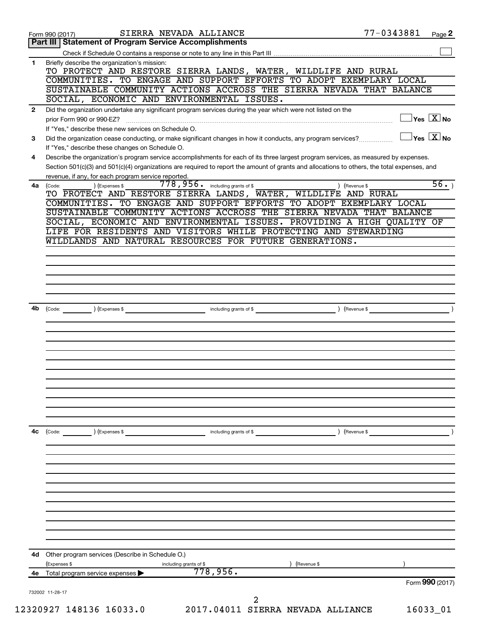| <b>Statement of Program Service Accomplishments</b><br>Part III<br>Briefly describe the organization's mission:<br>TO PROTECT AND RESTORE SIERRA LANDS, WATER, WILDLIFE AND RURAL<br>COMMUNITIES. TO ENGAGE AND SUPPORT EFFORTS TO ADOPT EXEMPLARY LOCAL<br>SUSTAINABLE COMMUNITY ACTIONS ACCROSS THE SIERRA NEVADA THAT BALANCE<br>SOCIAL, ECONOMIC AND ENVIRONMENTAL ISSUES.<br>Did the organization undertake any significant program services during the year which were not listed on the<br>$\Box$ Yes $[\overline{X}]$ No<br>prior Form 990 or 990-EZ?<br>If "Yes," describe these new services on Schedule O.<br>$\exists$ Yes $\sqrt{\mathrm{X}}$ No<br>Did the organization cease conducting, or make significant changes in how it conducts, any program services?<br>If "Yes," describe these changes on Schedule O.<br>Describe the organization's program service accomplishments for each of its three largest program services, as measured by expenses.<br>4<br>Section 501(c)(3) and 501(c)(4) organizations are required to report the amount of grants and allocations to others, the total expenses, and<br>revenue, if any, for each program service reported.<br>$778,956$ $\cdot$ including grants of \$<br>) (Expenses \$<br>) (Revenue \$<br>4a (Code:<br>TO PROTECT AND RESTORE SIERRA LANDS, WATER, WILDLIFE AND RURAL<br>COMMUNITIES. TO ENGAGE AND SUPPORT EFFORTS TO ADOPT EXEMPLARY LOCAL<br>SUSTAINABLE COMMUNITY ACTIONS ACCROSS THE SIERRA NEVADA THAT BALANCE<br>SOCIAL, ECONOMIC AND ENVIRONMENTAL ISSUES. PROVIDING A HIGH QUALITY OF<br>LIFE FOR RESIDENTS AND VISITORS WHILE PROTECTING AND STEWARDING<br>WILDLANDS AND NATURAL RESOURCES FOR FUTURE GENERATIONS.<br>including grants of \$ (Revenue \$)<br>4b<br>(Code: ) (Expenses \$<br>(Code: ) (Expenses \$<br>4d Other program services (Describe in Schedule O.)<br>(Expenses \$<br>including grants of \$<br>(Revenue \$<br>778,956.<br>Total program service expenses<br>Form 990 (2017) |    | SIERRA NEVADA ALLIANCE<br>Form 990 (2017) | 77-0343881 | Page 2            |
|-------------------------------------------------------------------------------------------------------------------------------------------------------------------------------------------------------------------------------------------------------------------------------------------------------------------------------------------------------------------------------------------------------------------------------------------------------------------------------------------------------------------------------------------------------------------------------------------------------------------------------------------------------------------------------------------------------------------------------------------------------------------------------------------------------------------------------------------------------------------------------------------------------------------------------------------------------------------------------------------------------------------------------------------------------------------------------------------------------------------------------------------------------------------------------------------------------------------------------------------------------------------------------------------------------------------------------------------------------------------------------------------------------------------------------------------------------------------------------------------------------------------------------------------------------------------------------------------------------------------------------------------------------------------------------------------------------------------------------------------------------------------------------------------------------------------------------------------------------------------------------------------------------------------------------------------------------------------------------------------|----|-------------------------------------------|------------|-------------------|
|                                                                                                                                                                                                                                                                                                                                                                                                                                                                                                                                                                                                                                                                                                                                                                                                                                                                                                                                                                                                                                                                                                                                                                                                                                                                                                                                                                                                                                                                                                                                                                                                                                                                                                                                                                                                                                                                                                                                                                                           |    |                                           |            |                   |
|                                                                                                                                                                                                                                                                                                                                                                                                                                                                                                                                                                                                                                                                                                                                                                                                                                                                                                                                                                                                                                                                                                                                                                                                                                                                                                                                                                                                                                                                                                                                                                                                                                                                                                                                                                                                                                                                                                                                                                                           |    |                                           |            |                   |
|                                                                                                                                                                                                                                                                                                                                                                                                                                                                                                                                                                                                                                                                                                                                                                                                                                                                                                                                                                                                                                                                                                                                                                                                                                                                                                                                                                                                                                                                                                                                                                                                                                                                                                                                                                                                                                                                                                                                                                                           | 1  |                                           |            |                   |
|                                                                                                                                                                                                                                                                                                                                                                                                                                                                                                                                                                                                                                                                                                                                                                                                                                                                                                                                                                                                                                                                                                                                                                                                                                                                                                                                                                                                                                                                                                                                                                                                                                                                                                                                                                                                                                                                                                                                                                                           |    |                                           |            |                   |
|                                                                                                                                                                                                                                                                                                                                                                                                                                                                                                                                                                                                                                                                                                                                                                                                                                                                                                                                                                                                                                                                                                                                                                                                                                                                                                                                                                                                                                                                                                                                                                                                                                                                                                                                                                                                                                                                                                                                                                                           |    |                                           |            |                   |
|                                                                                                                                                                                                                                                                                                                                                                                                                                                                                                                                                                                                                                                                                                                                                                                                                                                                                                                                                                                                                                                                                                                                                                                                                                                                                                                                                                                                                                                                                                                                                                                                                                                                                                                                                                                                                                                                                                                                                                                           |    |                                           |            |                   |
|                                                                                                                                                                                                                                                                                                                                                                                                                                                                                                                                                                                                                                                                                                                                                                                                                                                                                                                                                                                                                                                                                                                                                                                                                                                                                                                                                                                                                                                                                                                                                                                                                                                                                                                                                                                                                                                                                                                                                                                           | 2  |                                           |            |                   |
|                                                                                                                                                                                                                                                                                                                                                                                                                                                                                                                                                                                                                                                                                                                                                                                                                                                                                                                                                                                                                                                                                                                                                                                                                                                                                                                                                                                                                                                                                                                                                                                                                                                                                                                                                                                                                                                                                                                                                                                           |    |                                           |            |                   |
|                                                                                                                                                                                                                                                                                                                                                                                                                                                                                                                                                                                                                                                                                                                                                                                                                                                                                                                                                                                                                                                                                                                                                                                                                                                                                                                                                                                                                                                                                                                                                                                                                                                                                                                                                                                                                                                                                                                                                                                           |    |                                           |            |                   |
|                                                                                                                                                                                                                                                                                                                                                                                                                                                                                                                                                                                                                                                                                                                                                                                                                                                                                                                                                                                                                                                                                                                                                                                                                                                                                                                                                                                                                                                                                                                                                                                                                                                                                                                                                                                                                                                                                                                                                                                           | 3  |                                           |            |                   |
|                                                                                                                                                                                                                                                                                                                                                                                                                                                                                                                                                                                                                                                                                                                                                                                                                                                                                                                                                                                                                                                                                                                                                                                                                                                                                                                                                                                                                                                                                                                                                                                                                                                                                                                                                                                                                                                                                                                                                                                           |    |                                           |            |                   |
|                                                                                                                                                                                                                                                                                                                                                                                                                                                                                                                                                                                                                                                                                                                                                                                                                                                                                                                                                                                                                                                                                                                                                                                                                                                                                                                                                                                                                                                                                                                                                                                                                                                                                                                                                                                                                                                                                                                                                                                           |    |                                           |            |                   |
|                                                                                                                                                                                                                                                                                                                                                                                                                                                                                                                                                                                                                                                                                                                                                                                                                                                                                                                                                                                                                                                                                                                                                                                                                                                                                                                                                                                                                                                                                                                                                                                                                                                                                                                                                                                                                                                                                                                                                                                           |    |                                           |            |                   |
|                                                                                                                                                                                                                                                                                                                                                                                                                                                                                                                                                                                                                                                                                                                                                                                                                                                                                                                                                                                                                                                                                                                                                                                                                                                                                                                                                                                                                                                                                                                                                                                                                                                                                                                                                                                                                                                                                                                                                                                           |    |                                           |            | $\overline{56}$ . |
|                                                                                                                                                                                                                                                                                                                                                                                                                                                                                                                                                                                                                                                                                                                                                                                                                                                                                                                                                                                                                                                                                                                                                                                                                                                                                                                                                                                                                                                                                                                                                                                                                                                                                                                                                                                                                                                                                                                                                                                           |    |                                           |            |                   |
|                                                                                                                                                                                                                                                                                                                                                                                                                                                                                                                                                                                                                                                                                                                                                                                                                                                                                                                                                                                                                                                                                                                                                                                                                                                                                                                                                                                                                                                                                                                                                                                                                                                                                                                                                                                                                                                                                                                                                                                           |    |                                           |            |                   |
|                                                                                                                                                                                                                                                                                                                                                                                                                                                                                                                                                                                                                                                                                                                                                                                                                                                                                                                                                                                                                                                                                                                                                                                                                                                                                                                                                                                                                                                                                                                                                                                                                                                                                                                                                                                                                                                                                                                                                                                           |    |                                           |            |                   |
|                                                                                                                                                                                                                                                                                                                                                                                                                                                                                                                                                                                                                                                                                                                                                                                                                                                                                                                                                                                                                                                                                                                                                                                                                                                                                                                                                                                                                                                                                                                                                                                                                                                                                                                                                                                                                                                                                                                                                                                           |    |                                           |            |                   |
|                                                                                                                                                                                                                                                                                                                                                                                                                                                                                                                                                                                                                                                                                                                                                                                                                                                                                                                                                                                                                                                                                                                                                                                                                                                                                                                                                                                                                                                                                                                                                                                                                                                                                                                                                                                                                                                                                                                                                                                           |    |                                           |            |                   |
|                                                                                                                                                                                                                                                                                                                                                                                                                                                                                                                                                                                                                                                                                                                                                                                                                                                                                                                                                                                                                                                                                                                                                                                                                                                                                                                                                                                                                                                                                                                                                                                                                                                                                                                                                                                                                                                                                                                                                                                           |    |                                           |            |                   |
|                                                                                                                                                                                                                                                                                                                                                                                                                                                                                                                                                                                                                                                                                                                                                                                                                                                                                                                                                                                                                                                                                                                                                                                                                                                                                                                                                                                                                                                                                                                                                                                                                                                                                                                                                                                                                                                                                                                                                                                           |    |                                           |            |                   |
|                                                                                                                                                                                                                                                                                                                                                                                                                                                                                                                                                                                                                                                                                                                                                                                                                                                                                                                                                                                                                                                                                                                                                                                                                                                                                                                                                                                                                                                                                                                                                                                                                                                                                                                                                                                                                                                                                                                                                                                           |    |                                           |            |                   |
|                                                                                                                                                                                                                                                                                                                                                                                                                                                                                                                                                                                                                                                                                                                                                                                                                                                                                                                                                                                                                                                                                                                                                                                                                                                                                                                                                                                                                                                                                                                                                                                                                                                                                                                                                                                                                                                                                                                                                                                           |    |                                           |            |                   |
|                                                                                                                                                                                                                                                                                                                                                                                                                                                                                                                                                                                                                                                                                                                                                                                                                                                                                                                                                                                                                                                                                                                                                                                                                                                                                                                                                                                                                                                                                                                                                                                                                                                                                                                                                                                                                                                                                                                                                                                           |    |                                           |            |                   |
|                                                                                                                                                                                                                                                                                                                                                                                                                                                                                                                                                                                                                                                                                                                                                                                                                                                                                                                                                                                                                                                                                                                                                                                                                                                                                                                                                                                                                                                                                                                                                                                                                                                                                                                                                                                                                                                                                                                                                                                           |    |                                           |            |                   |
|                                                                                                                                                                                                                                                                                                                                                                                                                                                                                                                                                                                                                                                                                                                                                                                                                                                                                                                                                                                                                                                                                                                                                                                                                                                                                                                                                                                                                                                                                                                                                                                                                                                                                                                                                                                                                                                                                                                                                                                           |    |                                           |            |                   |
|                                                                                                                                                                                                                                                                                                                                                                                                                                                                                                                                                                                                                                                                                                                                                                                                                                                                                                                                                                                                                                                                                                                                                                                                                                                                                                                                                                                                                                                                                                                                                                                                                                                                                                                                                                                                                                                                                                                                                                                           |    |                                           |            |                   |
|                                                                                                                                                                                                                                                                                                                                                                                                                                                                                                                                                                                                                                                                                                                                                                                                                                                                                                                                                                                                                                                                                                                                                                                                                                                                                                                                                                                                                                                                                                                                                                                                                                                                                                                                                                                                                                                                                                                                                                                           |    |                                           |            |                   |
|                                                                                                                                                                                                                                                                                                                                                                                                                                                                                                                                                                                                                                                                                                                                                                                                                                                                                                                                                                                                                                                                                                                                                                                                                                                                                                                                                                                                                                                                                                                                                                                                                                                                                                                                                                                                                                                                                                                                                                                           |    |                                           |            |                   |
|                                                                                                                                                                                                                                                                                                                                                                                                                                                                                                                                                                                                                                                                                                                                                                                                                                                                                                                                                                                                                                                                                                                                                                                                                                                                                                                                                                                                                                                                                                                                                                                                                                                                                                                                                                                                                                                                                                                                                                                           |    |                                           |            |                   |
|                                                                                                                                                                                                                                                                                                                                                                                                                                                                                                                                                                                                                                                                                                                                                                                                                                                                                                                                                                                                                                                                                                                                                                                                                                                                                                                                                                                                                                                                                                                                                                                                                                                                                                                                                                                                                                                                                                                                                                                           |    |                                           |            |                   |
|                                                                                                                                                                                                                                                                                                                                                                                                                                                                                                                                                                                                                                                                                                                                                                                                                                                                                                                                                                                                                                                                                                                                                                                                                                                                                                                                                                                                                                                                                                                                                                                                                                                                                                                                                                                                                                                                                                                                                                                           |    |                                           |            |                   |
|                                                                                                                                                                                                                                                                                                                                                                                                                                                                                                                                                                                                                                                                                                                                                                                                                                                                                                                                                                                                                                                                                                                                                                                                                                                                                                                                                                                                                                                                                                                                                                                                                                                                                                                                                                                                                                                                                                                                                                                           |    |                                           |            |                   |
|                                                                                                                                                                                                                                                                                                                                                                                                                                                                                                                                                                                                                                                                                                                                                                                                                                                                                                                                                                                                                                                                                                                                                                                                                                                                                                                                                                                                                                                                                                                                                                                                                                                                                                                                                                                                                                                                                                                                                                                           |    |                                           |            |                   |
|                                                                                                                                                                                                                                                                                                                                                                                                                                                                                                                                                                                                                                                                                                                                                                                                                                                                                                                                                                                                                                                                                                                                                                                                                                                                                                                                                                                                                                                                                                                                                                                                                                                                                                                                                                                                                                                                                                                                                                                           |    |                                           |            |                   |
|                                                                                                                                                                                                                                                                                                                                                                                                                                                                                                                                                                                                                                                                                                                                                                                                                                                                                                                                                                                                                                                                                                                                                                                                                                                                                                                                                                                                                                                                                                                                                                                                                                                                                                                                                                                                                                                                                                                                                                                           |    |                                           |            |                   |
|                                                                                                                                                                                                                                                                                                                                                                                                                                                                                                                                                                                                                                                                                                                                                                                                                                                                                                                                                                                                                                                                                                                                                                                                                                                                                                                                                                                                                                                                                                                                                                                                                                                                                                                                                                                                                                                                                                                                                                                           | 4с |                                           |            |                   |
|                                                                                                                                                                                                                                                                                                                                                                                                                                                                                                                                                                                                                                                                                                                                                                                                                                                                                                                                                                                                                                                                                                                                                                                                                                                                                                                                                                                                                                                                                                                                                                                                                                                                                                                                                                                                                                                                                                                                                                                           |    |                                           |            |                   |
|                                                                                                                                                                                                                                                                                                                                                                                                                                                                                                                                                                                                                                                                                                                                                                                                                                                                                                                                                                                                                                                                                                                                                                                                                                                                                                                                                                                                                                                                                                                                                                                                                                                                                                                                                                                                                                                                                                                                                                                           |    |                                           |            |                   |
|                                                                                                                                                                                                                                                                                                                                                                                                                                                                                                                                                                                                                                                                                                                                                                                                                                                                                                                                                                                                                                                                                                                                                                                                                                                                                                                                                                                                                                                                                                                                                                                                                                                                                                                                                                                                                                                                                                                                                                                           |    |                                           |            |                   |
|                                                                                                                                                                                                                                                                                                                                                                                                                                                                                                                                                                                                                                                                                                                                                                                                                                                                                                                                                                                                                                                                                                                                                                                                                                                                                                                                                                                                                                                                                                                                                                                                                                                                                                                                                                                                                                                                                                                                                                                           |    |                                           |            |                   |
|                                                                                                                                                                                                                                                                                                                                                                                                                                                                                                                                                                                                                                                                                                                                                                                                                                                                                                                                                                                                                                                                                                                                                                                                                                                                                                                                                                                                                                                                                                                                                                                                                                                                                                                                                                                                                                                                                                                                                                                           |    |                                           |            |                   |
|                                                                                                                                                                                                                                                                                                                                                                                                                                                                                                                                                                                                                                                                                                                                                                                                                                                                                                                                                                                                                                                                                                                                                                                                                                                                                                                                                                                                                                                                                                                                                                                                                                                                                                                                                                                                                                                                                                                                                                                           |    |                                           |            |                   |
|                                                                                                                                                                                                                                                                                                                                                                                                                                                                                                                                                                                                                                                                                                                                                                                                                                                                                                                                                                                                                                                                                                                                                                                                                                                                                                                                                                                                                                                                                                                                                                                                                                                                                                                                                                                                                                                                                                                                                                                           |    |                                           |            |                   |
|                                                                                                                                                                                                                                                                                                                                                                                                                                                                                                                                                                                                                                                                                                                                                                                                                                                                                                                                                                                                                                                                                                                                                                                                                                                                                                                                                                                                                                                                                                                                                                                                                                                                                                                                                                                                                                                                                                                                                                                           |    |                                           |            |                   |
|                                                                                                                                                                                                                                                                                                                                                                                                                                                                                                                                                                                                                                                                                                                                                                                                                                                                                                                                                                                                                                                                                                                                                                                                                                                                                                                                                                                                                                                                                                                                                                                                                                                                                                                                                                                                                                                                                                                                                                                           |    |                                           |            |                   |
|                                                                                                                                                                                                                                                                                                                                                                                                                                                                                                                                                                                                                                                                                                                                                                                                                                                                                                                                                                                                                                                                                                                                                                                                                                                                                                                                                                                                                                                                                                                                                                                                                                                                                                                                                                                                                                                                                                                                                                                           |    |                                           |            |                   |
|                                                                                                                                                                                                                                                                                                                                                                                                                                                                                                                                                                                                                                                                                                                                                                                                                                                                                                                                                                                                                                                                                                                                                                                                                                                                                                                                                                                                                                                                                                                                                                                                                                                                                                                                                                                                                                                                                                                                                                                           |    |                                           |            |                   |
|                                                                                                                                                                                                                                                                                                                                                                                                                                                                                                                                                                                                                                                                                                                                                                                                                                                                                                                                                                                                                                                                                                                                                                                                                                                                                                                                                                                                                                                                                                                                                                                                                                                                                                                                                                                                                                                                                                                                                                                           |    |                                           |            |                   |
|                                                                                                                                                                                                                                                                                                                                                                                                                                                                                                                                                                                                                                                                                                                                                                                                                                                                                                                                                                                                                                                                                                                                                                                                                                                                                                                                                                                                                                                                                                                                                                                                                                                                                                                                                                                                                                                                                                                                                                                           | 4е |                                           |            |                   |
|                                                                                                                                                                                                                                                                                                                                                                                                                                                                                                                                                                                                                                                                                                                                                                                                                                                                                                                                                                                                                                                                                                                                                                                                                                                                                                                                                                                                                                                                                                                                                                                                                                                                                                                                                                                                                                                                                                                                                                                           |    |                                           |            |                   |
| 732002 11-28-17<br>2                                                                                                                                                                                                                                                                                                                                                                                                                                                                                                                                                                                                                                                                                                                                                                                                                                                                                                                                                                                                                                                                                                                                                                                                                                                                                                                                                                                                                                                                                                                                                                                                                                                                                                                                                                                                                                                                                                                                                                      |    |                                           |            |                   |
| 2017.04011 SIERRA NEVADA ALLIANCE<br>12320927 148136 16033.0<br>16033_01                                                                                                                                                                                                                                                                                                                                                                                                                                                                                                                                                                                                                                                                                                                                                                                                                                                                                                                                                                                                                                                                                                                                                                                                                                                                                                                                                                                                                                                                                                                                                                                                                                                                                                                                                                                                                                                                                                                  |    |                                           |            |                   |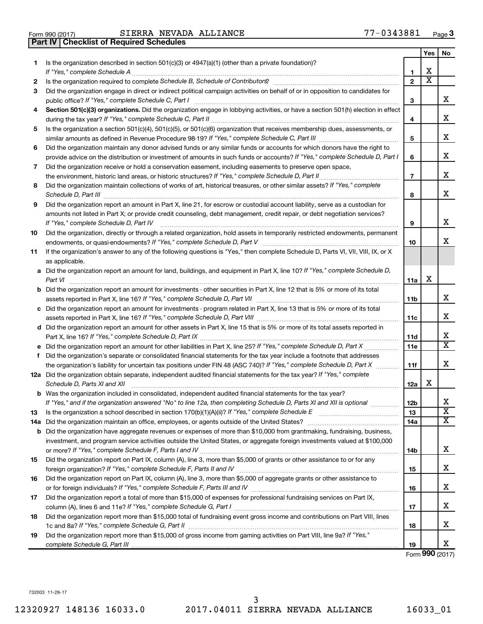|    |                                                                                                                                                                                                                                                                                                                                                                     |                | Yes                     | No     |
|----|---------------------------------------------------------------------------------------------------------------------------------------------------------------------------------------------------------------------------------------------------------------------------------------------------------------------------------------------------------------------|----------------|-------------------------|--------|
| 1. | Is the organization described in section $501(c)(3)$ or $4947(a)(1)$ (other than a private foundation)?                                                                                                                                                                                                                                                             | 1              | X                       |        |
| 2  |                                                                                                                                                                                                                                                                                                                                                                     | $\overline{2}$ | $\overline{\textbf{x}}$ |        |
| 3  | Did the organization engage in direct or indirect political campaign activities on behalf of or in opposition to candidates for                                                                                                                                                                                                                                     | з              |                         | x      |
| 4  | Section 501(c)(3) organizations. Did the organization engage in lobbying activities, or have a section 501(h) election in effect                                                                                                                                                                                                                                    | 4              |                         | х      |
| 5  | Is the organization a section 501(c)(4), 501(c)(5), or 501(c)(6) organization that receives membership dues, assessments, or                                                                                                                                                                                                                                        |                |                         |        |
|    |                                                                                                                                                                                                                                                                                                                                                                     | 5              |                         | x      |
| 6  | Did the organization maintain any donor advised funds or any similar funds or accounts for which donors have the right to                                                                                                                                                                                                                                           |                |                         |        |
|    | provide advice on the distribution or investment of amounts in such funds or accounts? If "Yes," complete Schedule D, Part I                                                                                                                                                                                                                                        | 6              |                         | х      |
| 7  | Did the organization receive or hold a conservation easement, including easements to preserve open space,                                                                                                                                                                                                                                                           |                |                         |        |
|    |                                                                                                                                                                                                                                                                                                                                                                     | $\overline{7}$ |                         | х      |
| 8  | Did the organization maintain collections of works of art, historical treasures, or other similar assets? If "Yes," complete<br>Schedule D, Part III <b>Marting Community</b> Contract of the Community Contract of the Contract Oriental Community Contract of the Community Contract of the Contract of the Contract of the Contract of the Contract of the Contr | 8              |                         | x      |
| 9  | Did the organization report an amount in Part X, line 21, for escrow or custodial account liability, serve as a custodian for                                                                                                                                                                                                                                       |                |                         |        |
|    | amounts not listed in Part X; or provide credit counseling, debt management, credit repair, or debt negotiation services?                                                                                                                                                                                                                                           |                |                         |        |
|    | If "Yes," complete Schedule D, Part IV                                                                                                                                                                                                                                                                                                                              | 9              |                         | x      |
| 10 | Did the organization, directly or through a related organization, hold assets in temporarily restricted endowments, permanent                                                                                                                                                                                                                                       |                |                         |        |
|    |                                                                                                                                                                                                                                                                                                                                                                     | 10             |                         | x      |
| 11 | If the organization's answer to any of the following questions is "Yes," then complete Schedule D, Parts VI, VII, VIII, IX, or X                                                                                                                                                                                                                                    |                |                         |        |
|    | as applicable.                                                                                                                                                                                                                                                                                                                                                      |                |                         |        |
|    | a Did the organization report an amount for land, buildings, and equipment in Part X, line 10? If "Yes," complete Schedule D,<br>Part VI                                                                                                                                                                                                                            | 11a            | х                       |        |
|    | <b>b</b> Did the organization report an amount for investments - other securities in Part X, line 12 that is 5% or more of its total                                                                                                                                                                                                                                | 11b            |                         | х      |
|    | c Did the organization report an amount for investments - program related in Part X, line 13 that is 5% or more of its total                                                                                                                                                                                                                                        |                |                         |        |
|    |                                                                                                                                                                                                                                                                                                                                                                     | 11c            |                         | х      |
|    | d Did the organization report an amount for other assets in Part X, line 15 that is 5% or more of its total assets reported in                                                                                                                                                                                                                                      |                |                         |        |
|    |                                                                                                                                                                                                                                                                                                                                                                     | <b>11d</b>     |                         | x      |
|    |                                                                                                                                                                                                                                                                                                                                                                     | 11e            |                         | x      |
| f  | Did the organization's separate or consolidated financial statements for the tax year include a footnote that addresses                                                                                                                                                                                                                                             |                |                         |        |
|    | the organization's liability for uncertain tax positions under FIN 48 (ASC 740)? If "Yes," complete Schedule D, Part X                                                                                                                                                                                                                                              | 11f            |                         | x      |
|    | 12a Did the organization obtain separate, independent audited financial statements for the tax year? If "Yes," complete<br>Schedule D, Parts XI and XII                                                                                                                                                                                                             | 12a            | х                       |        |
|    | <b>b</b> Was the organization included in consolidated, independent audited financial statements for the tax year?                                                                                                                                                                                                                                                  |                |                         |        |
|    | If "Yes," and if the organization answered "No" to line 12a, then completing Schedule D, Parts XI and XII is optional                                                                                                                                                                                                                                               | 12b            |                         | х      |
| 13 |                                                                                                                                                                                                                                                                                                                                                                     | 13             |                         | х<br>x |
|    | 14a Did the organization maintain an office, employees, or agents outside of the United States?                                                                                                                                                                                                                                                                     | 14a            |                         |        |
|    | <b>b</b> Did the organization have aggregate revenues or expenses of more than \$10,000 from grantmaking, fundraising, business,                                                                                                                                                                                                                                    |                |                         |        |
|    | investment, and program service activities outside the United States, or aggregate foreign investments valued at \$100,000                                                                                                                                                                                                                                          | 14b            |                         | x      |
| 15 | Did the organization report on Part IX, column (A), line 3, more than \$5,000 of grants or other assistance to or for any                                                                                                                                                                                                                                           |                |                         |        |
|    |                                                                                                                                                                                                                                                                                                                                                                     | 15             |                         | х      |
| 16 | Did the organization report on Part IX, column (A), line 3, more than \$5,000 of aggregate grants or other assistance to                                                                                                                                                                                                                                            |                |                         |        |
|    |                                                                                                                                                                                                                                                                                                                                                                     | 16             |                         | х      |
| 17 | Did the organization report a total of more than \$15,000 of expenses for professional fundraising services on Part IX,                                                                                                                                                                                                                                             | 17             |                         | х      |
| 18 | Did the organization report more than \$15,000 total of fundraising event gross income and contributions on Part VIII, lines                                                                                                                                                                                                                                        |                |                         |        |
|    |                                                                                                                                                                                                                                                                                                                                                                     | 18             |                         | х      |
| 19 | Did the organization report more than \$15,000 of gross income from gaming activities on Part VIII, line 9a? If "Yes,"                                                                                                                                                                                                                                              |                |                         |        |
|    |                                                                                                                                                                                                                                                                                                                                                                     | 19             |                         | x      |

Form (2017) **990**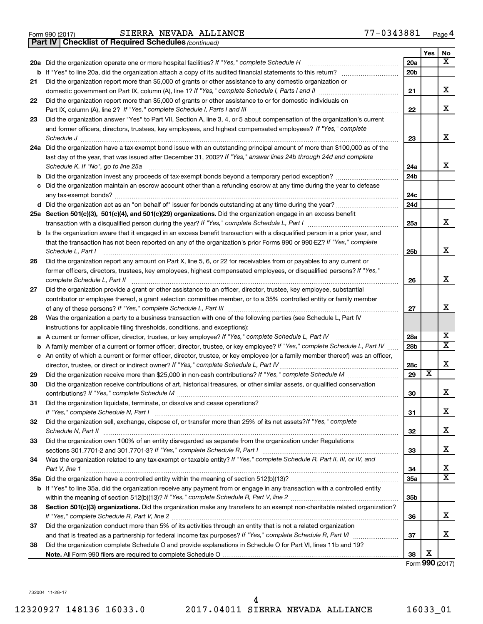|  | Form 990 (2017) |
|--|-----------------|

*(continued)* **Part IV Checklist of Required Schedules**

|    |                                                                                                                                                                                                                                             |                 | Yes                     | No                      |
|----|---------------------------------------------------------------------------------------------------------------------------------------------------------------------------------------------------------------------------------------------|-----------------|-------------------------|-------------------------|
|    | 20a Did the organization operate one or more hospital facilities? If "Yes," complete Schedule H                                                                                                                                             | 20a             |                         | X                       |
|    | <b>b</b> If "Yes" to line 20a, did the organization attach a copy of its audited financial statements to this return?                                                                                                                       | 20 <sub>b</sub> |                         |                         |
| 21 | Did the organization report more than \$5,000 of grants or other assistance to any domestic organization or                                                                                                                                 |                 |                         |                         |
|    |                                                                                                                                                                                                                                             | 21              |                         | x                       |
| 22 | Did the organization report more than \$5,000 of grants or other assistance to or for domestic individuals on                                                                                                                               |                 |                         |                         |
|    |                                                                                                                                                                                                                                             | 22              |                         | X                       |
| 23 | Did the organization answer "Yes" to Part VII, Section A, line 3, 4, or 5 about compensation of the organization's current                                                                                                                  |                 |                         |                         |
|    | and former officers, directors, trustees, key employees, and highest compensated employees? If "Yes," complete                                                                                                                              |                 |                         |                         |
|    | Schedule J                                                                                                                                                                                                                                  | 23              |                         | х                       |
|    | 24a Did the organization have a tax-exempt bond issue with an outstanding principal amount of more than \$100,000 as of the                                                                                                                 |                 |                         |                         |
|    | last day of the year, that was issued after December 31, 2002? If "Yes," answer lines 24b through 24d and complete                                                                                                                          |                 |                         |                         |
|    | Schedule K. If "No", go to line 25a                                                                                                                                                                                                         | 24a             |                         | x                       |
|    | <b>b</b> Did the organization invest any proceeds of tax-exempt bonds beyond a temporary period exception?                                                                                                                                  | 24b             |                         |                         |
|    | c Did the organization maintain an escrow account other than a refunding escrow at any time during the year to defease                                                                                                                      |                 |                         |                         |
|    |                                                                                                                                                                                                                                             | 24c             |                         |                         |
|    |                                                                                                                                                                                                                                             | 24d             |                         |                         |
|    | 25a Section 501(c)(3), 501(c)(4), and 501(c)(29) organizations. Did the organization engage in an excess benefit                                                                                                                            |                 |                         |                         |
|    |                                                                                                                                                                                                                                             | 25a             |                         | х                       |
|    | <b>b</b> Is the organization aware that it engaged in an excess benefit transaction with a disqualified person in a prior year, and                                                                                                         |                 |                         |                         |
|    | that the transaction has not been reported on any of the organization's prior Forms 990 or 990-EZ? If "Yes," complete                                                                                                                       |                 |                         |                         |
|    | Schedule L, Part I                                                                                                                                                                                                                          | 25b             |                         | x                       |
| 26 | Did the organization report any amount on Part X, line 5, 6, or 22 for receivables from or payables to any current or                                                                                                                       |                 |                         |                         |
|    | former officers, directors, trustees, key employees, highest compensated employees, or disqualified persons? If "Yes,"                                                                                                                      |                 |                         | X                       |
|    | complete Schedule L, Part II                                                                                                                                                                                                                | 26              |                         |                         |
| 27 | Did the organization provide a grant or other assistance to an officer, director, trustee, key employee, substantial<br>contributor or employee thereof, a grant selection committee member, or to a 35% controlled entity or family member |                 |                         |                         |
|    |                                                                                                                                                                                                                                             | 27              |                         | x                       |
| 28 | Was the organization a party to a business transaction with one of the following parties (see Schedule L, Part IV                                                                                                                           |                 |                         |                         |
|    | instructions for applicable filing thresholds, conditions, and exceptions):                                                                                                                                                                 |                 |                         |                         |
| а  | A current or former officer, director, trustee, or key employee? If "Yes," complete Schedule L, Part IV                                                                                                                                     | 28a             |                         | Х                       |
| b  | A family member of a current or former officer, director, trustee, or key employee? If "Yes," complete Schedule L, Part IV                                                                                                                  | 28 <sub>b</sub> |                         | х                       |
|    | c An entity of which a current or former officer, director, trustee, or key employee (or a family member thereof) was an officer,                                                                                                           |                 |                         |                         |
|    | director, trustee, or direct or indirect owner? If "Yes," complete Schedule L, Part IV                                                                                                                                                      | 28c             |                         | х                       |
| 29 |                                                                                                                                                                                                                                             | 29              | $\overline{\textbf{x}}$ |                         |
| 30 | Did the organization receive contributions of art, historical treasures, or other similar assets, or qualified conservation                                                                                                                 |                 |                         |                         |
|    |                                                                                                                                                                                                                                             | 30              |                         | х                       |
| 31 | Did the organization liquidate, terminate, or dissolve and cease operations?                                                                                                                                                                |                 |                         |                         |
|    | If "Yes," complete Schedule N, Part I                                                                                                                                                                                                       | 31              |                         | х                       |
| 32 | Did the organization sell, exchange, dispose of, or transfer more than 25% of its net assets? If "Yes," complete                                                                                                                            |                 |                         |                         |
|    | Schedule N, Part II                                                                                                                                                                                                                         | 32              |                         | х                       |
| 33 | Did the organization own 100% of an entity disregarded as separate from the organization under Regulations                                                                                                                                  |                 |                         |                         |
|    |                                                                                                                                                                                                                                             | 33              |                         | х                       |
| 34 | Was the organization related to any tax-exempt or taxable entity? If "Yes," complete Schedule R, Part II, III, or IV, and                                                                                                                   |                 |                         |                         |
|    | Part V, line 1                                                                                                                                                                                                                              | 34              |                         | х                       |
|    |                                                                                                                                                                                                                                             | 35a             |                         | $\overline{\mathbf{x}}$ |
|    | b If "Yes" to line 35a, did the organization receive any payment from or engage in any transaction with a controlled entity                                                                                                                 |                 |                         |                         |
|    |                                                                                                                                                                                                                                             | 35b             |                         |                         |
| 36 | Section 501(c)(3) organizations. Did the organization make any transfers to an exempt non-charitable related organization?                                                                                                                  |                 |                         |                         |
|    |                                                                                                                                                                                                                                             | 36              |                         | х                       |
| 37 | Did the organization conduct more than 5% of its activities through an entity that is not a related organization                                                                                                                            |                 |                         |                         |
|    |                                                                                                                                                                                                                                             | 37              |                         | х                       |
| 38 | Did the organization complete Schedule O and provide explanations in Schedule O for Part VI, lines 11b and 19?                                                                                                                              |                 |                         |                         |
|    |                                                                                                                                                                                                                                             | 38              | X                       |                         |

Form **990** (2017)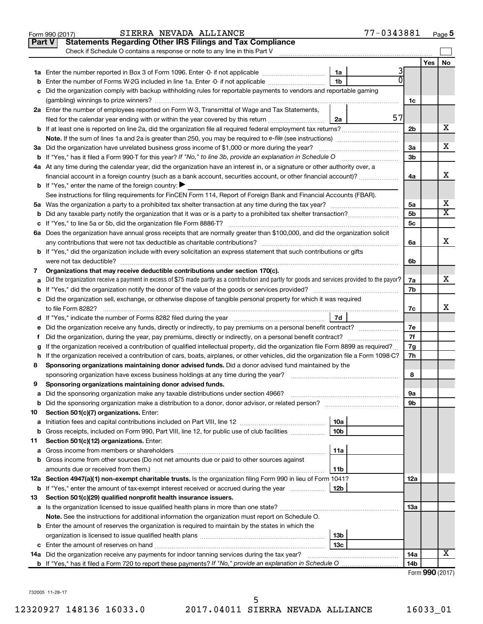|    | 77-0343881<br>SIERRA NEVADA ALLIANCE<br>Form 990 (2017)                                                                                           |                |     | Page 5                  |
|----|---------------------------------------------------------------------------------------------------------------------------------------------------|----------------|-----|-------------------------|
|    | <b>Statements Regarding Other IRS Filings and Tax Compliance</b><br><b>Part V</b>                                                                 |                |     |                         |
|    | Check if Schedule O contains a response or note to any line in this Part V                                                                        |                |     |                         |
|    |                                                                                                                                                   |                | Yes | No                      |
|    | 3<br>1a                                                                                                                                           |                |     |                         |
|    | 1 <sub>b</sub><br><b>b</b> Enter the number of Forms W-2G included in line 1a. Enter -0- if not applicable                                        |                |     |                         |
|    | c Did the organization comply with backup withholding rules for reportable payments to vendors and reportable gaming                              |                |     |                         |
|    |                                                                                                                                                   | 1c             |     |                         |
|    | 2a Enter the number of employees reported on Form W-3, Transmittal of Wage and Tax Statements,                                                    |                |     |                         |
|    | 57<br>filed for the calendar year ending with or within the year covered by this return<br>2a                                                     |                |     |                         |
|    |                                                                                                                                                   | 2 <sub>b</sub> |     | х                       |
|    | <b>Note.</b> If the sum of lines 1a and 2a is greater than 250, you may be required to e-file (see instructions)                                  |                |     |                         |
|    | 3a Did the organization have unrelated business gross income of \$1,000 or more during the year?                                                  | 3a             |     | х                       |
|    |                                                                                                                                                   | 3 <sub>b</sub> |     |                         |
|    | 4a At any time during the calendar year, did the organization have an interest in, or a signature or other authority over, a                      |                |     |                         |
|    | financial account in a foreign country (such as a bank account, securities account, or other financial account)?                                  | 4a             |     | х                       |
|    | <b>b</b> If "Yes," enter the name of the foreign country: $\blacktriangleright$                                                                   |                |     |                         |
|    | See instructions for filing requirements for FinCEN Form 114, Report of Foreign Bank and Financial Accounts (FBAR).                               |                |     |                         |
|    |                                                                                                                                                   | 5a             |     | х                       |
|    |                                                                                                                                                   | 5 <sub>b</sub> |     | $\overline{\textbf{X}}$ |
|    |                                                                                                                                                   | 5 <sub>c</sub> |     |                         |
|    | 6a Does the organization have annual gross receipts that are normally greater than \$100,000, and did the organization solicit                    |                |     |                         |
|    | any contributions that were not tax deductible as charitable contributions?                                                                       | 6a             |     | х                       |
|    | <b>b</b> If "Yes," did the organization include with every solicitation an express statement that such contributions or gifts                     |                |     |                         |
|    | were not tax deductible?                                                                                                                          | 6b             |     |                         |
| 7  | Organizations that may receive deductible contributions under section 170(c).                                                                     |                |     |                         |
|    | a Did the organization receive a payment in excess of \$75 made partly as a contribution and partly for goods and services provided to the payor? | 7a             |     | х                       |
|    |                                                                                                                                                   | 7b             |     |                         |
|    | c Did the organization sell, exchange, or otherwise dispose of tangible personal property for which it was required                               |                |     |                         |
|    | to file Form 8282?                                                                                                                                | 7c             |     | x                       |
|    | 7d                                                                                                                                                |                |     |                         |
|    | e Did the organization receive any funds, directly or indirectly, to pay premiums on a personal benefit contract?                                 | 7e             |     |                         |
| f  | Did the organization, during the year, pay premiums, directly or indirectly, on a personal benefit contract?                                      | 7f             |     |                         |
|    | g If the organization received a contribution of qualified intellectual property, did the organization file Form 8899 as required?                | 7g             |     |                         |
|    | h If the organization received a contribution of cars, boats, airplanes, or other vehicles, did the organization file a Form 1098-C?              | 7h             |     |                         |
| 8  | Sponsoring organizations maintaining donor advised funds. Did a donor advised fund maintained by the                                              |                |     |                         |
|    | sponsoring organization have excess business holdings at any time during the year?                                                                | 8              |     |                         |
| 9  | Sponsoring organizations maintaining donor advised funds.                                                                                         |                |     |                         |
| а  | Did the sponsoring organization make any taxable distributions under section 4966?                                                                | 9а             |     |                         |
| b  |                                                                                                                                                   | 9b             |     |                         |
| 10 | Section 501(c)(7) organizations. Enter:                                                                                                           |                |     |                         |
| а  | 10a                                                                                                                                               |                |     |                         |
| b  | Gross receipts, included on Form 990, Part VIII, line 12, for public use of club facilities<br>10 <sub>b</sub>                                    |                |     |                         |
| 11 | Section 501(c)(12) organizations. Enter:                                                                                                          |                |     |                         |
| а  | 11a                                                                                                                                               |                |     |                         |
|    | <b>b</b> Gross income from other sources (Do not net amounts due or paid to other sources against                                                 |                |     |                         |
|    | amounts due or received from them.)<br>11b                                                                                                        |                |     |                         |
|    | 12a Section 4947(a)(1) non-exempt charitable trusts. Is the organization filing Form 990 in lieu of Form 1041?                                    | 12a            |     |                         |
|    | <b>b</b> If "Yes," enter the amount of tax-exempt interest received or accrued during the year<br>12b                                             |                |     |                         |
| 13 | Section 501(c)(29) qualified nonprofit health insurance issuers.                                                                                  |                |     |                         |
|    | a Is the organization licensed to issue qualified health plans in more than one state?                                                            | 13a            |     |                         |
|    | Note. See the instructions for additional information the organization must report on Schedule O.                                                 |                |     |                         |
|    | <b>b</b> Enter the amount of reserves the organization is required to maintain by the states in which the                                         |                |     |                         |
|    | 13b                                                                                                                                               |                |     |                         |
|    | 13c                                                                                                                                               |                |     |                         |
|    | <b>14a</b> Did the organization receive any payments for indoor tanning services during the tax year?                                             | 14a            |     | х                       |
|    |                                                                                                                                                   | 14b            |     |                         |
|    |                                                                                                                                                   |                |     | Form 990 (2017)         |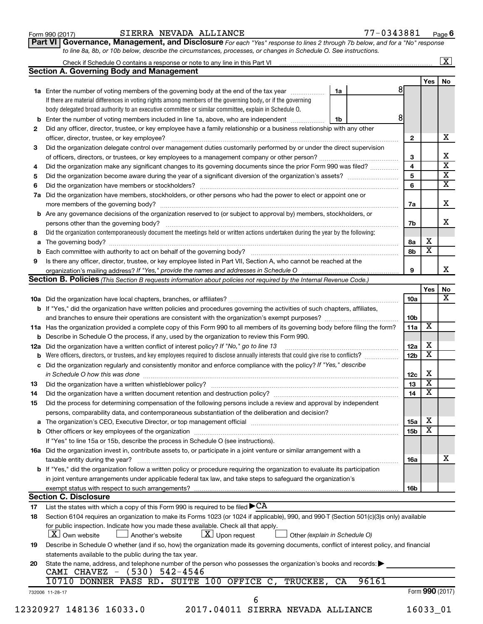| Form 990 (2017) |  |  |
|-----------------|--|--|
|-----------------|--|--|

#### Form 990 (2017)  $\begin{array}{cccc} \text{SIERRA} \text{ NEVADA ALLIANCE} \end{array}$   $\begin{array}{cccc} 77-0343881 & \text{Page} \end{array}$

**Part VI** Governance, Management, and Disclosure For each "Yes" response to lines 2 through 7b below, and for a "No" response *to line 8a, 8b, or 10b below, describe the circumstances, processes, or changes in Schedule O. See instructions.*

|     |                                                                                                                                                                                     |    |       |                              |                              | $\overline{\mathbf{X}}$ |  |  |  |
|-----|-------------------------------------------------------------------------------------------------------------------------------------------------------------------------------------|----|-------|------------------------------|------------------------------|-------------------------|--|--|--|
|     | <b>Section A. Governing Body and Management</b>                                                                                                                                     |    |       |                              |                              |                         |  |  |  |
|     |                                                                                                                                                                                     |    |       | 81                           | Yes                          | No                      |  |  |  |
|     | 1a Enter the number of voting members of the governing body at the end of the tax year <i>manamer</i>                                                                               | 1a |       |                              |                              |                         |  |  |  |
|     | If there are material differences in voting rights among members of the governing body, or if the governing                                                                         |    |       |                              |                              |                         |  |  |  |
|     | body delegated broad authority to an executive committee or similar committee, explain in Schedule O.                                                                               |    |       | 8                            |                              |                         |  |  |  |
| b   | Enter the number of voting members included in line 1a, above, who are independent                                                                                                  | 1b |       |                              |                              |                         |  |  |  |
| 2   | Did any officer, director, trustee, or key employee have a family relationship or a business relationship with any other                                                            |    |       |                              |                              |                         |  |  |  |
|     |                                                                                                                                                                                     |    |       | $\overline{2}$               |                              |                         |  |  |  |
| 3   | Did the organization delegate control over management duties customarily performed by or under the direct supervision                                                               |    |       |                              |                              |                         |  |  |  |
|     |                                                                                                                                                                                     |    |       | 3                            |                              |                         |  |  |  |
| 4   | Did the organization make any significant changes to its governing documents since the prior Form 990 was filed?                                                                    |    |       | $\overline{\mathbf{4}}$<br>5 |                              |                         |  |  |  |
| 5   |                                                                                                                                                                                     |    |       |                              |                              |                         |  |  |  |
| 6   |                                                                                                                                                                                     |    |       |                              |                              |                         |  |  |  |
| 7a  | Did the organization have members, stockholders, or other persons who had the power to elect or appoint one or                                                                      |    |       |                              |                              |                         |  |  |  |
|     |                                                                                                                                                                                     |    |       | 7a                           |                              |                         |  |  |  |
| b   | Are any governance decisions of the organization reserved to (or subject to approval by) members, stockholders, or                                                                  |    |       |                              |                              |                         |  |  |  |
|     | persons other than the governing body?                                                                                                                                              |    |       | 7b                           |                              |                         |  |  |  |
| 8   | Did the organization contemporaneously document the meetings held or written actions undertaken during the year by the following:                                                   |    |       |                              |                              |                         |  |  |  |
| а   |                                                                                                                                                                                     |    |       | 8а                           | х<br>$\overline{\textbf{x}}$ |                         |  |  |  |
|     |                                                                                                                                                                                     |    |       | 8b                           |                              |                         |  |  |  |
| 9   | Is there any officer, director, trustee, or key employee listed in Part VII, Section A, who cannot be reached at the                                                                |    |       |                              |                              |                         |  |  |  |
|     | organization's mailing address? If "Yes," provide the names and addresses in Schedule O                                                                                             |    |       | 9                            |                              |                         |  |  |  |
|     | Section B. Policies (This Section B requests information about policies not required by the Internal Revenue Code.)                                                                 |    |       |                              |                              |                         |  |  |  |
|     |                                                                                                                                                                                     |    |       |                              | Yes                          |                         |  |  |  |
|     |                                                                                                                                                                                     |    |       | 10a                          |                              |                         |  |  |  |
|     | <b>b</b> If "Yes," did the organization have written policies and procedures governing the activities of such chapters, affiliates,                                                 |    |       |                              |                              |                         |  |  |  |
|     | and branches to ensure their operations are consistent with the organization's exempt purposes? www.www.www.www.                                                                    |    |       | 10 <sub>b</sub>              | X                            |                         |  |  |  |
|     | 11a Has the organization provided a complete copy of this Form 990 to all members of its governing body before filing the form?                                                     |    |       | 11a                          |                              |                         |  |  |  |
|     | Describe in Schedule O the process, if any, used by the organization to review this Form 990.                                                                                       |    |       |                              | х                            |                         |  |  |  |
| 12a | Did the organization have a written conflict of interest policy? If "No," go to line 13                                                                                             |    |       | 12a                          | $\overline{\text{x}}$        |                         |  |  |  |
|     | Were officers, directors, or trustees, and key employees required to disclose annually interests that could give rise to conflicts?                                                 |    |       | 12 <sub>b</sub>              |                              |                         |  |  |  |
| с   | Did the organization regularly and consistently monitor and enforce compliance with the policy? If "Yes," describe                                                                  |    |       |                              |                              |                         |  |  |  |
|     | in Schedule O how this was done manufactured and continuum and contract the state of the state of the state of                                                                      |    |       | 12c                          | Х<br>$\overline{\textbf{x}}$ |                         |  |  |  |
| 13  |                                                                                                                                                                                     |    |       | 13                           |                              |                         |  |  |  |
| 14  | Did the organization have a written document retention and destruction policy? [11] manufaction model of the organization have a written document retention and destruction policy? |    |       | 14                           | $\overline{\mathbf{X}}$      |                         |  |  |  |
| 15  | Did the process for determining compensation of the following persons include a review and approval by independent                                                                  |    |       |                              |                              |                         |  |  |  |
|     | persons, comparability data, and contemporaneous substantiation of the deliberation and decision?                                                                                   |    |       |                              |                              |                         |  |  |  |
|     |                                                                                                                                                                                     |    |       | 15a                          | х                            |                         |  |  |  |
|     |                                                                                                                                                                                     |    |       | 15b                          | $\overline{\text{x}}$        |                         |  |  |  |
|     | If "Yes" to line 15a or 15b, describe the process in Schedule O (see instructions).                                                                                                 |    |       |                              |                              |                         |  |  |  |
|     | 16a Did the organization invest in, contribute assets to, or participate in a joint venture or similar arrangement with a                                                           |    |       |                              |                              |                         |  |  |  |
|     | taxable entity during the year?                                                                                                                                                     |    |       | 16a                          |                              |                         |  |  |  |
|     | b If "Yes," did the organization follow a written policy or procedure requiring the organization to evaluate its participation                                                      |    |       |                              |                              |                         |  |  |  |
|     | in joint venture arrangements under applicable federal tax law, and take steps to safeguard the organization's                                                                      |    |       |                              |                              |                         |  |  |  |
|     | exempt status with respect to such arrangements?                                                                                                                                    |    |       | 16b                          |                              |                         |  |  |  |
|     | <b>Section C. Disclosure</b>                                                                                                                                                        |    |       |                              |                              |                         |  |  |  |
| 17  | List the states with which a copy of this Form 990 is required to be filed $\blacktriangleright$ CA                                                                                 |    |       |                              |                              |                         |  |  |  |
| 18  | Section 6104 requires an organization to make its Forms 1023 (or 1024 if applicable), 990, and 990-T (Section 501(c)(3)s only) available                                            |    |       |                              |                              |                         |  |  |  |
|     | for public inspection. Indicate how you made these available. Check all that apply.                                                                                                 |    |       |                              |                              |                         |  |  |  |
|     | $ \underline{X} $ Upon request<br>  X   Own website<br>Another's website<br>Other (explain in Schedule O)                                                                           |    |       |                              |                              |                         |  |  |  |
| 19  | Describe in Schedule O whether (and if so, how) the organization made its governing documents, conflict of interest policy, and financial                                           |    |       |                              |                              |                         |  |  |  |
|     | statements available to the public during the tax year.                                                                                                                             |    |       |                              |                              |                         |  |  |  |
| 20  | State the name, address, and telephone number of the person who possesses the organization's books and records:                                                                     |    |       |                              |                              |                         |  |  |  |
|     | CAMI CHAVEZ - (530) 542-4546                                                                                                                                                        |    |       |                              |                              |                         |  |  |  |
|     | 10710 DONNER PASS RD. SUITE 100 OFFICE C, TRUCKEE,                                                                                                                                  | CA | 96161 |                              |                              |                         |  |  |  |
|     | 732006 11-28-17                                                                                                                                                                     |    |       |                              | Form 990 (2017)              |                         |  |  |  |
|     | 6                                                                                                                                                                                   |    |       |                              |                              |                         |  |  |  |
|     | 12320927 148136 16033.0<br>2017.04011 SIERRA NEVADA ALLIANCE                                                                                                                        |    |       |                              | 16033_01                     |                         |  |  |  |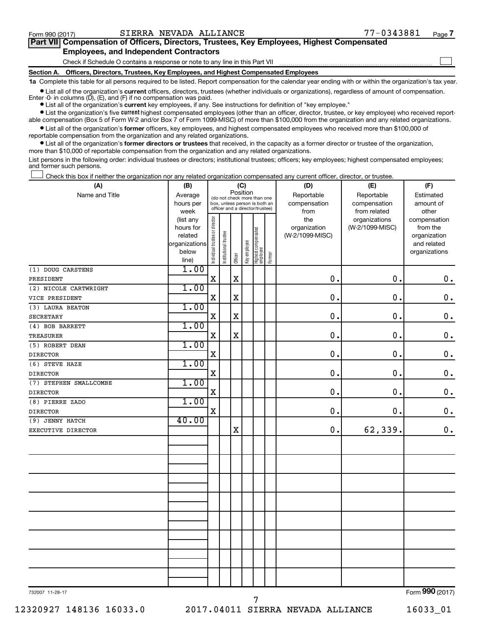$\Box$ 

| Part VII Compensation of Officers, Directors, Trustees, Key Employees, Highest Compensated |  |  |
|--------------------------------------------------------------------------------------------|--|--|
| <b>Employees, and Independent Contractors</b>                                              |  |  |

Check if Schedule O contains a response or note to any line in this Part VII

**Section A. Officers, Directors, Trustees, Key Employees, and Highest Compensated Employees**

**1a**  Complete this table for all persons required to be listed. Report compensation for the calendar year ending with or within the organization's tax year.

**•** List all of the organization's current officers, directors, trustees (whether individuals or organizations), regardless of amount of compensation. Enter -0- in columns  $(D)$ ,  $(E)$ , and  $(F)$  if no compensation was paid.

**•** List all of the organization's **current** key employees, if any. See instructions for definition of "key employee."

**•** List the organization's five current highest compensated employees (other than an officer, director, trustee, or key employee) who received reportable compensation (Box 5 of Form W-2 and/or Box 7 of Form 1099-MISC) of more than \$100,000 from the organization and any related organizations.

**•** List all of the organization's former officers, key employees, and highest compensated employees who received more than \$100,000 of reportable compensation from the organization and any related organizations.

**•** List all of the organization's former directors or trustees that received, in the capacity as a former director or trustee of the organization, more than \$10,000 of reportable compensation from the organization and any related organizations.

List persons in the following order: individual trustees or directors; institutional trustees; officers; key employees; highest compensated employees; and former such persons.

Check this box if neither the organization nor any related organization compensated any current officer, director, or trustee.  $\Box$ 

| (A)                    | (B)                                                |                                                                  |                       | (C)         |              |                                 |        | (D)                             | (E)             | (F)                         |
|------------------------|----------------------------------------------------|------------------------------------------------------------------|-----------------------|-------------|--------------|---------------------------------|--------|---------------------------------|-----------------|-----------------------------|
| Name and Title         | Position<br>Average<br>(do not check more than one |                                                                  |                       |             |              |                                 |        | Reportable                      | Reportable      | Estimated                   |
|                        | hours per                                          | box, unless person is both an<br>officer and a director/trustee) |                       |             |              |                                 |        | compensation                    | compensation    | amount of                   |
|                        | week                                               |                                                                  |                       |             |              |                                 |        | from                            | from related    | other                       |
|                        | (list any                                          |                                                                  |                       |             |              |                                 |        | the                             | organizations   | compensation                |
|                        | hours for<br>related                               |                                                                  |                       |             |              |                                 |        | organization<br>(W-2/1099-MISC) | (W-2/1099-MISC) | from the                    |
|                        | organizations                                      |                                                                  |                       |             |              |                                 |        |                                 |                 | organization<br>and related |
|                        | below                                              |                                                                  |                       |             |              |                                 |        |                                 |                 | organizations               |
|                        | line)                                              | Individual trustee or director                                   | Institutional trustee | Officer     | Key employee | Highest compensated<br>employee | Former |                                 |                 |                             |
| (1) DOUG CARSTENS      | 1.00                                               |                                                                  |                       |             |              |                                 |        |                                 |                 |                             |
| PRESIDENT              |                                                    | $\mathbf X$                                                      |                       | $\mathbf X$ |              |                                 |        | $\mathbf 0$ .                   | 0.              | $\mathbf 0$ .               |
| (2) NICOLE CARTWRIGHT  | 1.00                                               |                                                                  |                       |             |              |                                 |        |                                 |                 |                             |
| VICE PRESIDENT         |                                                    | $\mathbf X$                                                      |                       | $\mathbf X$ |              |                                 |        | $\mathbf 0$ .                   | 0.              | $\mathbf 0$ .               |
| (3) LAURA BEATON       | 1.00                                               |                                                                  |                       |             |              |                                 |        |                                 |                 |                             |
| <b>SECRETARY</b>       |                                                    | $\mathbf X$                                                      |                       | $\mathbf X$ |              |                                 |        | $\mathbf 0$ .                   | 0.              | $\mathbf 0$ .               |
| (4) BOB BARRETT        | 1.00                                               |                                                                  |                       |             |              |                                 |        |                                 |                 |                             |
| <b>TREASURER</b>       |                                                    | $\mathbf X$                                                      |                       | $\mathbf X$ |              |                                 |        | $\mathbf 0$ .                   | 0.              | $\boldsymbol{0}$ .          |
| (5) ROBERT DEAN        | 1.00                                               |                                                                  |                       |             |              |                                 |        |                                 |                 |                             |
| <b>DIRECTOR</b>        |                                                    | X                                                                |                       |             |              |                                 |        | $\mathbf 0$ .                   | $\mathbf 0$ .   | $\mathbf 0$ .               |
| (6) STEVE HAZE         | 1.00                                               |                                                                  |                       |             |              |                                 |        |                                 |                 |                             |
| <b>DIRECTOR</b>        |                                                    | $\mathbf x$                                                      |                       |             |              |                                 |        | 0.                              | 0.              | $\mathbf 0$ .               |
| (7) STEPHEN SMALLCOMBE | 1.00                                               |                                                                  |                       |             |              |                                 |        |                                 |                 |                             |
| <b>DIRECTOR</b>        |                                                    | $\mathbf x$                                                      |                       |             |              |                                 |        | $\mathbf 0$ .                   | 0.              | $\mathbf 0$ .               |
| (8) PIERRE ZADO        | 1.00                                               |                                                                  |                       |             |              |                                 |        |                                 |                 |                             |
| <b>DIRECTOR</b>        |                                                    | $\mathbf X$                                                      |                       |             |              |                                 |        | 0.                              | 0.              | $\mathbf 0$ .               |
| (9) JENNY HATCH        | 40.00                                              |                                                                  |                       |             |              |                                 |        |                                 |                 |                             |
| EXECUTIVE DIRECTOR     |                                                    |                                                                  |                       | $\mathbf X$ |              |                                 |        | 0.                              | 62,339.         | 0.                          |
|                        |                                                    |                                                                  |                       |             |              |                                 |        |                                 |                 |                             |
|                        |                                                    |                                                                  |                       |             |              |                                 |        |                                 |                 |                             |
|                        |                                                    |                                                                  |                       |             |              |                                 |        |                                 |                 |                             |
|                        |                                                    |                                                                  |                       |             |              |                                 |        |                                 |                 |                             |
|                        |                                                    |                                                                  |                       |             |              |                                 |        |                                 |                 |                             |
|                        |                                                    |                                                                  |                       |             |              |                                 |        |                                 |                 |                             |
|                        |                                                    |                                                                  |                       |             |              |                                 |        |                                 |                 |                             |
|                        |                                                    |                                                                  |                       |             |              |                                 |        |                                 |                 |                             |
|                        |                                                    |                                                                  |                       |             |              |                                 |        |                                 |                 |                             |
|                        |                                                    |                                                                  |                       |             |              |                                 |        |                                 |                 |                             |
|                        |                                                    |                                                                  |                       |             |              |                                 |        |                                 |                 |                             |
|                        |                                                    |                                                                  |                       |             |              |                                 |        |                                 |                 |                             |
|                        |                                                    |                                                                  |                       |             |              |                                 |        |                                 |                 |                             |
|                        |                                                    |                                                                  |                       |             |              |                                 |        |                                 |                 |                             |
|                        |                                                    |                                                                  |                       |             |              |                                 |        |                                 |                 |                             |

732007 11-28-17

12320927 148136 16033.0 2017.04011 SIERRA NEVADA ALLIANCE 16033\_01

7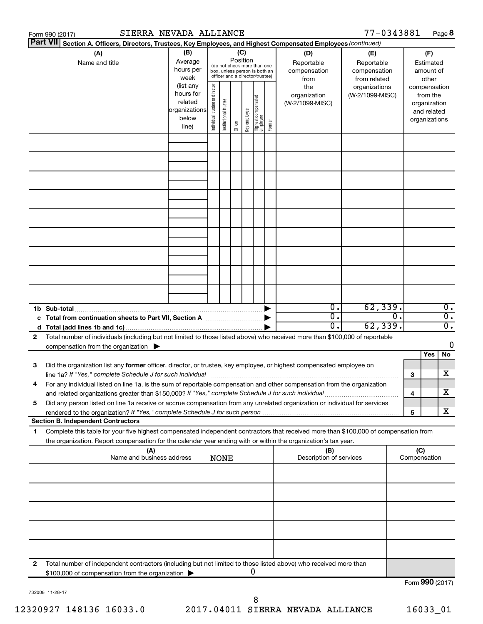|                 | SIERRA NEVADA ALLIANCE<br>Form 990 (2017)                                                                                                                                                                                                              |                                                                      |                                                                                                                                     |             |                                        |                                  |                                                                                                 |                                                                          |                                           | 77-0343881                                        |    |     |                                        | Page 8           |
|-----------------|--------------------------------------------------------------------------------------------------------------------------------------------------------------------------------------------------------------------------------------------------------|----------------------------------------------------------------------|-------------------------------------------------------------------------------------------------------------------------------------|-------------|----------------------------------------|----------------------------------|-------------------------------------------------------------------------------------------------|--------------------------------------------------------------------------|-------------------------------------------|---------------------------------------------------|----|-----|----------------------------------------|------------------|
| <b>Part VII</b> | Section A. Officers, Directors, Trustees, Key Employees, and Highest Compensated Employees (continued)                                                                                                                                                 |                                                                      |                                                                                                                                     |             |                                        |                                  |                                                                                                 |                                                                          |                                           |                                                   |    |     |                                        |                  |
|                 | (A)<br>Name and title                                                                                                                                                                                                                                  | (B)<br>Average<br>hours per<br>week                                  |                                                                                                                                     |             | Position                               | (C)                              | (do not check more than one<br>box, unless person is both an<br>officer and a director/trustee) |                                                                          | (D)<br>Reportable<br>compensation<br>from | (E)<br>Reportable<br>compensation<br>from related |    |     | (F)<br>Estimated<br>amount of<br>other |                  |
|                 |                                                                                                                                                                                                                                                        | (list any<br>hours for<br>related<br>organizations<br>below<br>line) | Individual trustee or director<br>  Highest compensated<br>  employee<br>Institutional trustee<br>Key employee<br>Former<br>Officer |             | the<br>organization<br>(W-2/1099-MISC) | organizations<br>(W-2/1099-MISC) |                                                                                                 | compensation<br>from the<br>organization<br>and related<br>organizations |                                           |                                                   |    |     |                                        |                  |
|                 |                                                                                                                                                                                                                                                        |                                                                      |                                                                                                                                     |             |                                        |                                  |                                                                                                 |                                                                          |                                           |                                                   |    |     |                                        |                  |
|                 |                                                                                                                                                                                                                                                        |                                                                      |                                                                                                                                     |             |                                        |                                  |                                                                                                 |                                                                          |                                           |                                                   |    |     |                                        |                  |
|                 |                                                                                                                                                                                                                                                        |                                                                      |                                                                                                                                     |             |                                        |                                  |                                                                                                 |                                                                          |                                           |                                                   |    |     |                                        |                  |
|                 |                                                                                                                                                                                                                                                        |                                                                      |                                                                                                                                     |             |                                        |                                  |                                                                                                 |                                                                          |                                           |                                                   |    |     |                                        |                  |
|                 |                                                                                                                                                                                                                                                        |                                                                      |                                                                                                                                     |             |                                        |                                  |                                                                                                 |                                                                          |                                           |                                                   |    |     |                                        |                  |
|                 |                                                                                                                                                                                                                                                        |                                                                      |                                                                                                                                     |             |                                        |                                  |                                                                                                 |                                                                          |                                           |                                                   |    |     |                                        |                  |
|                 | 1b Sub-total                                                                                                                                                                                                                                           |                                                                      |                                                                                                                                     |             |                                        |                                  |                                                                                                 |                                                                          | $\overline{0}$ .                          | 62, 339.                                          |    |     |                                        | $\overline{0}$ . |
|                 | c Total from continuation sheets to Part VII, Section A manufactured by                                                                                                                                                                                |                                                                      |                                                                                                                                     |             |                                        |                                  |                                                                                                 |                                                                          | $\overline{0}$ .                          |                                                   | σ. |     |                                        | $\overline{0}$ . |
|                 |                                                                                                                                                                                                                                                        |                                                                      |                                                                                                                                     |             |                                        |                                  |                                                                                                 |                                                                          | 0.                                        | 62, 339.                                          |    |     |                                        | $\overline{0}$ . |
| 2               | Total number of individuals (including but not limited to those listed above) who received more than \$100,000 of reportable                                                                                                                           |                                                                      |                                                                                                                                     |             |                                        |                                  |                                                                                                 |                                                                          |                                           |                                                   |    |     |                                        | 0                |
|                 | compensation from the organization $\blacktriangleright$                                                                                                                                                                                               |                                                                      |                                                                                                                                     |             |                                        |                                  |                                                                                                 |                                                                          |                                           |                                                   |    |     | Yes                                    | No               |
| 3               | Did the organization list any former officer, director, or trustee, key employee, or highest compensated employee on<br>line 1a? If "Yes," complete Schedule J for such individual manufactured content to the set of the set of the s                 |                                                                      |                                                                                                                                     |             |                                        |                                  |                                                                                                 |                                                                          |                                           |                                                   |    | 3   |                                        | х                |
|                 | For any individual listed on line 1a, is the sum of reportable compensation and other compensation from the organization<br>and related organizations greater than \$150,000? If "Yes," complete Schedule J for such individual                        |                                                                      |                                                                                                                                     |             |                                        |                                  |                                                                                                 |                                                                          |                                           |                                                   |    | 4   |                                        | х                |
| 5               | Did any person listed on line 1a receive or accrue compensation from any unrelated organization or individual for services                                                                                                                             |                                                                      |                                                                                                                                     |             |                                        |                                  |                                                                                                 |                                                                          |                                           |                                                   |    | 5   |                                        | х                |
|                 | <b>Section B. Independent Contractors</b>                                                                                                                                                                                                              |                                                                      |                                                                                                                                     |             |                                        |                                  |                                                                                                 |                                                                          |                                           |                                                   |    |     |                                        |                  |
| 1.              | Complete this table for your five highest compensated independent contractors that received more than \$100,000 of compensation from<br>the organization. Report compensation for the calendar year ending with or within the organization's tax year. |                                                                      |                                                                                                                                     |             |                                        |                                  |                                                                                                 |                                                                          |                                           |                                                   |    |     |                                        |                  |
|                 | (A)<br>Name and business address                                                                                                                                                                                                                       |                                                                      |                                                                                                                                     | <b>NONE</b> |                                        |                                  |                                                                                                 |                                                                          | (B)<br>Description of services            |                                                   |    | (C) | Compensation                           |                  |
|                 |                                                                                                                                                                                                                                                        |                                                                      |                                                                                                                                     |             |                                        |                                  |                                                                                                 |                                                                          |                                           |                                                   |    |     |                                        |                  |
|                 |                                                                                                                                                                                                                                                        |                                                                      |                                                                                                                                     |             |                                        |                                  |                                                                                                 |                                                                          |                                           |                                                   |    |     |                                        |                  |
|                 |                                                                                                                                                                                                                                                        |                                                                      |                                                                                                                                     |             |                                        |                                  |                                                                                                 |                                                                          |                                           |                                                   |    |     |                                        |                  |
|                 |                                                                                                                                                                                                                                                        |                                                                      |                                                                                                                                     |             |                                        |                                  |                                                                                                 |                                                                          |                                           |                                                   |    |     |                                        |                  |
| 2               | Total number of independent contractors (including but not limited to those listed above) who received more than<br>\$100,000 of compensation from the organization                                                                                    |                                                                      |                                                                                                                                     |             |                                        |                                  | 0                                                                                               |                                                                          |                                           |                                                   |    |     |                                        |                  |
|                 |                                                                                                                                                                                                                                                        |                                                                      |                                                                                                                                     |             |                                        |                                  |                                                                                                 |                                                                          |                                           |                                                   |    |     | $F_{\text{O}}$ QQ $\Omega$ (2017)      |                  |

732008 11-28-17

Form (2017) **990**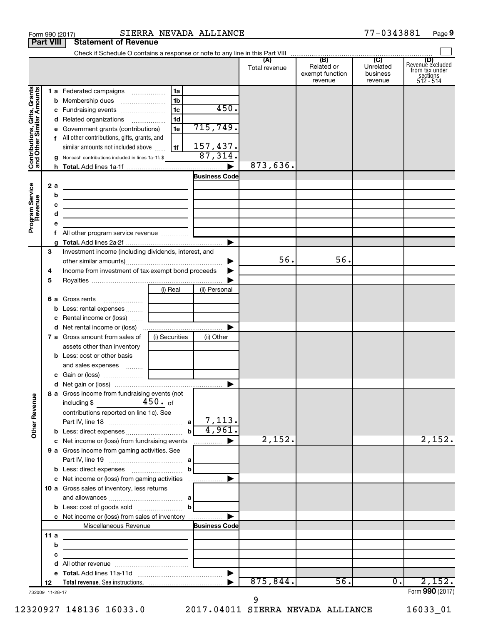|                                                           | <b>Part VIII</b>       | <b>Statement of Revenue</b>                                                                                                                                                                                           |                                                                      |                                         |                      |                                                 |                                         |                                                               |
|-----------------------------------------------------------|------------------------|-----------------------------------------------------------------------------------------------------------------------------------------------------------------------------------------------------------------------|----------------------------------------------------------------------|-----------------------------------------|----------------------|-------------------------------------------------|-----------------------------------------|---------------------------------------------------------------|
|                                                           |                        |                                                                                                                                                                                                                       |                                                                      |                                         |                      |                                                 |                                         |                                                               |
|                                                           |                        |                                                                                                                                                                                                                       |                                                                      |                                         | (A)<br>Total revenue | (B)<br>Related or<br>exempt function<br>revenue | (C)<br>Unrelated<br>business<br>revenue | Revenue excluded<br>from tax under<br>sections<br>$512 - 514$ |
| Contributions, Gifts, Grants<br>and Other Similar Amounts | b<br>с<br>d<br>е       | 1 a Federated campaigns<br>Membership dues<br>Fundraising events<br>Related organizations<br>Government grants (contributions)<br>f All other contributions, gifts, grants, and<br>similar amounts not included above | 1a<br>1 <sub>b</sub><br>1 <sub>c</sub><br>1 <sub>d</sub><br>1e<br>1f | 450.<br>715,749.<br>157,437.<br>87,314. |                      |                                                 |                                         |                                                               |
|                                                           | g                      | Noncash contributions included in lines 1a-1f: \$                                                                                                                                                                     |                                                                      |                                         | 873,636.             |                                                 |                                         |                                                               |
|                                                           |                        |                                                                                                                                                                                                                       |                                                                      | <b>Business Code</b>                    |                      |                                                 |                                         |                                                               |
| Program Service<br>Revenue                                | 2a<br>b<br>c<br>d<br>е | <u> 1989 - Johann Barbara, martxa alemaniar a</u><br>the control of the control of the control of the control of the control of<br><u> 1989 - Johann Barbara, martin a</u>                                            |                                                                      |                                         |                      |                                                 |                                         |                                                               |
|                                                           | f.                     | All other program service revenue                                                                                                                                                                                     |                                                                      |                                         |                      |                                                 |                                         |                                                               |
|                                                           | 3<br>4<br>5            | Investment income (including dividends, interest, and<br>Income from investment of tax-exempt bond proceeds                                                                                                           |                                                                      |                                         | 56.                  | 56.                                             |                                         |                                                               |
|                                                           |                        |                                                                                                                                                                                                                       | (i) Real                                                             | (ii) Personal                           |                      |                                                 |                                         |                                                               |
|                                                           | 6а<br>b<br>с<br>d      | Gross rents<br>Less: rental expenses<br>Rental income or (loss)                                                                                                                                                       |                                                                      |                                         |                      |                                                 |                                         |                                                               |
|                                                           |                        | 7 a Gross amount from sales of<br>assets other than inventory<br><b>b</b> Less: cost or other basis<br>and sales expenses                                                                                             | (i) Securities                                                       | (ii) Other                              |                      |                                                 |                                         |                                                               |
|                                                           |                        |                                                                                                                                                                                                                       |                                                                      |                                         |                      |                                                 |                                         |                                                               |
| <b>Other Revenue</b>                                      |                        | 8 a Gross income from fundraising events (not  <br>including $$$<br>contributions reported on line 1c). See                                                                                                           | $450.$ of                                                            | 7,113.                                  |                      |                                                 |                                         |                                                               |
|                                                           |                        |                                                                                                                                                                                                                       | $\mathbf b$                                                          | 4,961.                                  |                      |                                                 |                                         |                                                               |
|                                                           |                        | c Net income or (loss) from fundraising events                                                                                                                                                                        |                                                                      | ▶<br>.                                  | 2,152.               |                                                 |                                         | 2,152.                                                        |
|                                                           |                        | 9 a Gross income from gaming activities. See<br>c Net income or (loss) from gaming activities                                                                                                                         |                                                                      |                                         |                      |                                                 |                                         |                                                               |
|                                                           |                        | 10 a Gross sales of inventory, less returns<br><b>b</b> Less: cost of goods sold $\ldots$ <b>b</b>                                                                                                                    |                                                                      |                                         |                      |                                                 |                                         |                                                               |
|                                                           |                        | c Net income or (loss) from sales of inventory                                                                                                                                                                        |                                                                      |                                         |                      |                                                 |                                         |                                                               |
|                                                           |                        | Miscellaneous Revenue                                                                                                                                                                                                 |                                                                      | <b>Business Code</b>                    |                      |                                                 |                                         |                                                               |
|                                                           | 11a<br>b<br>с          |                                                                                                                                                                                                                       | <u> 1990 - Johann Barbara, martin a</u>                              |                                         |                      |                                                 |                                         |                                                               |
|                                                           | d                      |                                                                                                                                                                                                                       |                                                                      |                                         |                      |                                                 |                                         |                                                               |
|                                                           | е                      |                                                                                                                                                                                                                       |                                                                      |                                         |                      |                                                 |                                         |                                                               |
|                                                           | 12<br>732009 11-28-17  |                                                                                                                                                                                                                       |                                                                      |                                         | 875, 844.            | 56.                                             | $0 \cdot$                               | 2,152.<br>Form 990 (2017)                                     |

9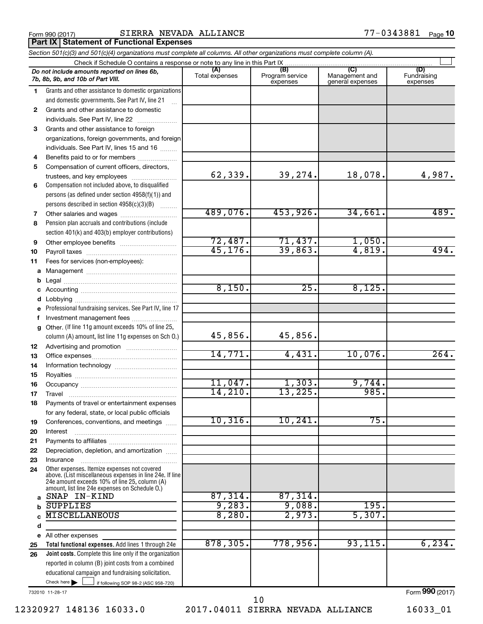**Part IX Statement of Functional Expenses**

*Section 501(c)(3) and 501(c)(4) organizations must complete all columns. All other organizations must complete column (A).*

|          | Check if Schedule O contains a response or note to any line in this Part IX                                                                                                                                 |                       |                                    |                                    |                                |
|----------|-------------------------------------------------------------------------------------------------------------------------------------------------------------------------------------------------------------|-----------------------|------------------------------------|------------------------------------|--------------------------------|
|          | Do not include amounts reported on lines 6b,<br>7b, 8b, 9b, and 10b of Part VIII.                                                                                                                           | (A)<br>Total expenses | (B)<br>Program service<br>expenses | Management and<br>general expenses | (D)<br>Fundraising<br>expenses |
| 1        | Grants and other assistance to domestic organizations                                                                                                                                                       |                       |                                    |                                    |                                |
|          | and domestic governments. See Part IV, line 21                                                                                                                                                              |                       |                                    |                                    |                                |
| 2        | Grants and other assistance to domestic                                                                                                                                                                     |                       |                                    |                                    |                                |
|          | individuals. See Part IV, line 22<br>$\overline{\phantom{a}}$                                                                                                                                               |                       |                                    |                                    |                                |
| 3        | Grants and other assistance to foreign                                                                                                                                                                      |                       |                                    |                                    |                                |
|          | organizations, foreign governments, and foreign                                                                                                                                                             |                       |                                    |                                    |                                |
|          | individuals. See Part IV, lines 15 and 16                                                                                                                                                                   |                       |                                    |                                    |                                |
| 4        | Benefits paid to or for members                                                                                                                                                                             |                       |                                    |                                    |                                |
| 5        | Compensation of current officers, directors,                                                                                                                                                                |                       |                                    |                                    |                                |
|          | trustees, and key employees                                                                                                                                                                                 | 62,339.               | 39,274.                            | 18,078.                            | 4,987.                         |
| 6        | Compensation not included above, to disqualified                                                                                                                                                            |                       |                                    |                                    |                                |
|          | persons (as defined under section $4958(f)(1)$ ) and                                                                                                                                                        |                       |                                    |                                    |                                |
|          | persons described in section 4958(c)(3)(B)                                                                                                                                                                  |                       |                                    |                                    |                                |
| 7        | Other salaries and wages                                                                                                                                                                                    | 489,076.              | 453,926.                           | 34,661.                            | 489.                           |
| 8        | Pension plan accruals and contributions (include                                                                                                                                                            |                       |                                    |                                    |                                |
|          | section 401(k) and 403(b) employer contributions)                                                                                                                                                           |                       |                                    |                                    |                                |
| 9        |                                                                                                                                                                                                             | 72,487.               | 71,437.                            | 1,050.                             |                                |
| 10       |                                                                                                                                                                                                             | 45, 176.              | 39,863.                            | 4,819.                             | 494.                           |
| 11       | Fees for services (non-employees):                                                                                                                                                                          |                       |                                    |                                    |                                |
| a        |                                                                                                                                                                                                             |                       |                                    |                                    |                                |
| b        |                                                                                                                                                                                                             |                       |                                    |                                    |                                |
| с        |                                                                                                                                                                                                             | 8,150.                | 25.                                | 8,125.                             |                                |
| d        | Lobbying                                                                                                                                                                                                    |                       |                                    |                                    |                                |
|          | Professional fundraising services. See Part IV, line 17                                                                                                                                                     |                       |                                    |                                    |                                |
| f        | Investment management fees                                                                                                                                                                                  |                       |                                    |                                    |                                |
| g        | Other. (If line 11g amount exceeds 10% of line 25,                                                                                                                                                          |                       |                                    |                                    |                                |
|          | column (A) amount, list line 11g expenses on Sch O.)                                                                                                                                                        | 45,856.               | 45,856.                            |                                    |                                |
| 12       |                                                                                                                                                                                                             | 14,771.               | 4,431.                             | 10,076.                            | 264.                           |
| 13       |                                                                                                                                                                                                             |                       |                                    |                                    |                                |
| 14       |                                                                                                                                                                                                             |                       |                                    |                                    |                                |
| 15       |                                                                                                                                                                                                             | 11,047.               | 1,303.                             | 9,744.                             |                                |
| 16       |                                                                                                                                                                                                             | 14, 210.              | 13,225.                            | 985.                               |                                |
| 17<br>18 | Travel<br>Payments of travel or entertainment expenses                                                                                                                                                      |                       |                                    |                                    |                                |
|          | for any federal, state, or local public officials                                                                                                                                                           |                       |                                    |                                    |                                |
| 19       | Conferences, conventions, and meetings                                                                                                                                                                      | 10,316.               | 10, 241.                           | 75.                                |                                |
| 20       | Interest                                                                                                                                                                                                    |                       |                                    |                                    |                                |
| 21       |                                                                                                                                                                                                             |                       |                                    |                                    |                                |
| 22       | Depreciation, depletion, and amortization                                                                                                                                                                   |                       |                                    |                                    |                                |
| 23       | Insurance                                                                                                                                                                                                   |                       |                                    |                                    |                                |
| 24       | Other expenses. Itemize expenses not covered<br>above. (List miscellaneous expenses in line 24e. If line<br>24e amount exceeds 10% of line 25, column (A)<br>amount, list line 24e expenses on Schedule O.) |                       |                                    |                                    |                                |
| a        | SNAP IN-KIND                                                                                                                                                                                                | 87,314.               | 87,314.                            |                                    |                                |
| b        | <b>SUPPLIES</b>                                                                                                                                                                                             | 9,283.                | 9,088.                             | 195.                               |                                |
|          | <b>MISCELLANEOUS</b>                                                                                                                                                                                        | 8,280.                | 2,973.                             | 5,307.                             |                                |
| d        |                                                                                                                                                                                                             |                       |                                    |                                    |                                |
| е        | All other expenses                                                                                                                                                                                          |                       |                                    |                                    |                                |
| 25       | Total functional expenses. Add lines 1 through 24e                                                                                                                                                          | 878, 305.             | 778,956.                           | 93, 115.                           | 6, 234.                        |
| 26       | Joint costs. Complete this line only if the organization                                                                                                                                                    |                       |                                    |                                    |                                |
|          | reported in column (B) joint costs from a combined                                                                                                                                                          |                       |                                    |                                    |                                |
|          | educational campaign and fundraising solicitation.                                                                                                                                                          |                       |                                    |                                    |                                |
|          | Check here $\blacktriangleright$<br>if following SOP 98-2 (ASC 958-720)                                                                                                                                     |                       |                                    |                                    |                                |

732010 11-28-17

12320927 148136 16033.0 2017.04011 SIERRA NEVADA ALLIANCE 16033\_01 10

Form (2017) **990**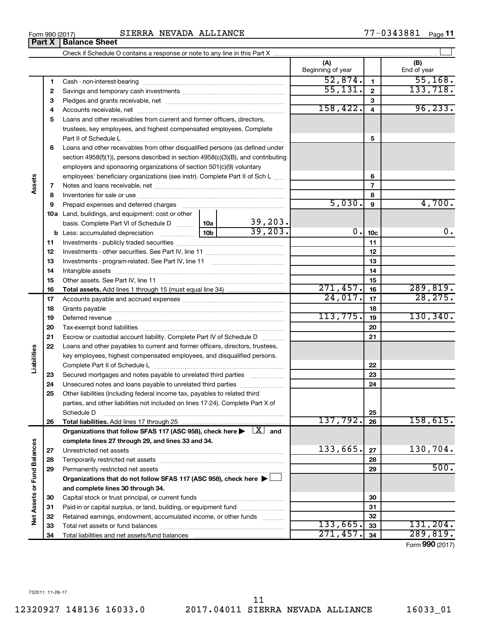|                             |    |                                                                                                                                                                                                                                |                 |          | (A)<br>Beginning of year |                 | (B)<br>End of year |
|-----------------------------|----|--------------------------------------------------------------------------------------------------------------------------------------------------------------------------------------------------------------------------------|-----------------|----------|--------------------------|-----------------|--------------------|
|                             | 1  |                                                                                                                                                                                                                                |                 |          | 52,874.                  | $\mathbf{1}$    | 55,168.            |
|                             | 2  |                                                                                                                                                                                                                                |                 |          | 55,131.                  | $\mathbf{2}$    | 133, 718.          |
|                             | З  |                                                                                                                                                                                                                                |                 |          |                          | 3               |                    |
|                             | 4  |                                                                                                                                                                                                                                |                 |          | 158,422.                 | $\overline{4}$  | 96, 233.           |
|                             | 5  | Loans and other receivables from current and former officers, directors,                                                                                                                                                       |                 |          |                          |                 |                    |
|                             |    | trustees, key employees, and highest compensated employees. Complete                                                                                                                                                           |                 |          |                          |                 |                    |
|                             |    | Part II of Schedule Latin and Communication of Schedule Latin and Communication of Schedule Latin and Schedule                                                                                                                 |                 |          |                          | 5               |                    |
|                             | 6  | Loans and other receivables from other disqualified persons (as defined under                                                                                                                                                  |                 |          |                          |                 |                    |
|                             |    | section 4958(f)(1)), persons described in section 4958(c)(3)(B), and contributing                                                                                                                                              |                 |          |                          |                 |                    |
|                             |    | employers and sponsoring organizations of section 501(c)(9) voluntary                                                                                                                                                          |                 |          |                          |                 |                    |
|                             |    | employees' beneficiary organizations (see instr). Complete Part II of Sch L                                                                                                                                                    |                 |          |                          | 6               |                    |
| Assets                      | 7  |                                                                                                                                                                                                                                |                 |          |                          | $\overline{7}$  |                    |
|                             | 8  |                                                                                                                                                                                                                                |                 |          |                          | 8               |                    |
|                             | 9  | Prepaid expenses and deferred charges [11] [11] prepaid expenses and deferred charges [11] [11] minimum and the Prepaid expenses and deferred charges [11] minimum and the Prepaid experiment of Prepaid experiment and the Pr |                 |          | 5,030.                   | 9               | 4,700.             |
|                             |    | 10a Land, buildings, and equipment: cost or other                                                                                                                                                                              |                 |          |                          |                 |                    |
|                             |    | basis. Complete Part VI of Schedule D    10a                                                                                                                                                                                   |                 | 39,203.  |                          |                 |                    |
|                             |    | <b>b</b> Less: accumulated depreciation <i>mimimimini</i>                                                                                                                                                                      | 10 <sub>b</sub> | 39,203.  | 0.                       | 10 <sub>c</sub> | 0.                 |
|                             | 11 |                                                                                                                                                                                                                                |                 |          |                          | 11              |                    |
|                             | 12 |                                                                                                                                                                                                                                |                 | 12       |                          |                 |                    |
|                             | 13 |                                                                                                                                                                                                                                |                 |          | 13                       |                 |                    |
|                             | 14 |                                                                                                                                                                                                                                |                 |          |                          | 14              |                    |
|                             | 15 |                                                                                                                                                                                                                                |                 |          |                          | 15              |                    |
|                             | 16 |                                                                                                                                                                                                                                |                 |          | 271,457.                 | 16              | 289,819.           |
|                             | 17 |                                                                                                                                                                                                                                |                 |          | 24,017.                  | 17              | 28, 275.           |
|                             | 18 |                                                                                                                                                                                                                                |                 | 18       |                          |                 |                    |
|                             | 19 |                                                                                                                                                                                                                                |                 | 113,775. | 19                       | 130, 340.       |                    |
|                             | 20 |                                                                                                                                                                                                                                |                 |          | 20                       |                 |                    |
|                             | 21 | Escrow or custodial account liability. Complete Part IV of Schedule D                                                                                                                                                          |                 |          |                          | 21              |                    |
|                             | 22 | Loans and other payables to current and former officers, directors, trustees,                                                                                                                                                  |                 |          |                          |                 |                    |
| Liabilities                 |    | key employees, highest compensated employees, and disqualified persons.                                                                                                                                                        |                 |          |                          |                 |                    |
|                             |    |                                                                                                                                                                                                                                |                 |          |                          | 22              |                    |
|                             | 23 | Secured mortgages and notes payable to unrelated third parties                                                                                                                                                                 |                 |          |                          | 23              |                    |
|                             | 24 | Unsecured notes and loans payable to unrelated third parties                                                                                                                                                                   |                 |          |                          | 24              |                    |
|                             | 25 | Other liabilities (including federal income tax, payables to related third                                                                                                                                                     |                 |          |                          |                 |                    |
|                             |    | parties, and other liabilities not included on lines 17-24). Complete Part X of                                                                                                                                                |                 |          |                          |                 |                    |
|                             |    | Schedule D                                                                                                                                                                                                                     |                 |          |                          | 25              |                    |
|                             | 26 |                                                                                                                                                                                                                                |                 |          | 137,792.                 | 26              | 158,615.           |
|                             |    | Organizations that follow SFAS 117 (ASC 958), check here $\blacktriangleright \begin{array}{c} \boxed{X} \\ \end{array}$ and                                                                                                   |                 |          |                          |                 |                    |
|                             |    | complete lines 27 through 29, and lines 33 and 34.                                                                                                                                                                             |                 |          | 133,665.                 |                 | 130,704.           |
|                             | 27 |                                                                                                                                                                                                                                |                 |          |                          | 27              |                    |
|                             | 28 |                                                                                                                                                                                                                                |                 |          |                          | 28              | 500.               |
|                             | 29 | Permanently restricted net assets                                                                                                                                                                                              |                 |          |                          | 29              |                    |
|                             |    | Organizations that do not follow SFAS 117 (ASC 958), check here ▶                                                                                                                                                              |                 |          |                          |                 |                    |
| Net Assets or Fund Balances |    | and complete lines 30 through 34.                                                                                                                                                                                              |                 |          |                          |                 |                    |
|                             | 30 |                                                                                                                                                                                                                                |                 |          |                          | 30              |                    |
|                             | 31 | Paid-in or capital surplus, or land, building, or equipment fund                                                                                                                                                               |                 |          |                          | 31              |                    |
|                             | 32 | Retained earnings, endowment, accumulated income, or other funds                                                                                                                                                               |                 |          | 133,665.                 | 32<br>33        | 131, 204.          |
|                             | 33 |                                                                                                                                                                                                                                |                 |          | 271,457.                 | 34              | 289, 819.          |
|                             | 34 |                                                                                                                                                                                                                                |                 |          |                          |                 |                    |

Form (2017) **990**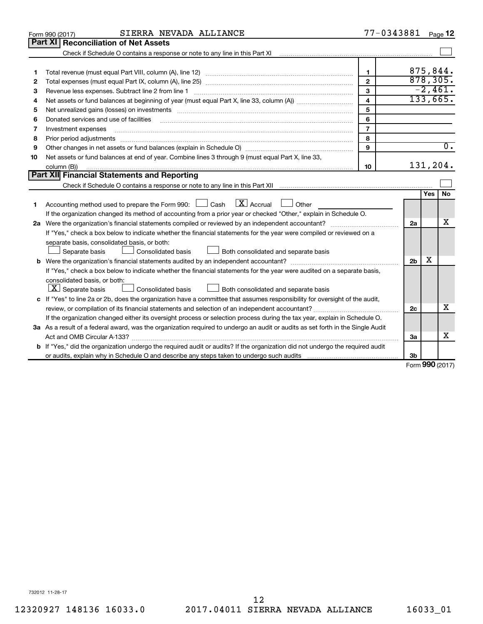|    | SIERRA NEVADA ALLIANCE<br>Form 990 (2017)                                                                                                                                                                                      |                         | 77-0343881     |         | Page 12          |
|----|--------------------------------------------------------------------------------------------------------------------------------------------------------------------------------------------------------------------------------|-------------------------|----------------|---------|------------------|
|    | Part XI<br><b>Reconciliation of Net Assets</b>                                                                                                                                                                                 |                         |                |         |                  |
|    | Check if Schedule O contains a response or note to any line in this Part XI [111] contains and the Schedule O contains a response or note to any line in this Part XI                                                          |                         |                |         |                  |
|    |                                                                                                                                                                                                                                |                         |                |         |                  |
| 1  |                                                                                                                                                                                                                                | $\mathbf{1}$            |                |         | 875,844.         |
| 2  |                                                                                                                                                                                                                                | $\mathbf{2}$            |                |         | 878, 305.        |
| 3  | Revenue less expenses. Subtract line 2 from line 1                                                                                                                                                                             | 3                       |                |         | $-2,461.$        |
| 4  |                                                                                                                                                                                                                                | $\overline{\mathbf{4}}$ |                |         | 133,665.         |
| 5  | Net unrealized gains (losses) on investments [11] matter contracts and the state of the state of the state of the state of the state of the state of the state of the state of the state of the state of the state of the stat | 5                       |                |         |                  |
| 6  | Donated services and use of facilities                                                                                                                                                                                         | 6                       |                |         |                  |
| 7  | Investment expenses                                                                                                                                                                                                            | $\overline{7}$          |                |         |                  |
| 8  | Prior period adjustments www.communication.communication.communication.com/                                                                                                                                                    | 8                       |                |         |                  |
| 9  |                                                                                                                                                                                                                                | 9                       |                |         | $\overline{0}$ . |
| 10 | Net assets or fund balances at end of year. Combine lines 3 through 9 (must equal Part X, line 33,                                                                                                                             |                         |                |         |                  |
|    | column (B))                                                                                                                                                                                                                    | 10                      |                |         | 131,204.         |
|    | Part XII Financial Statements and Reporting                                                                                                                                                                                    |                         |                |         |                  |
|    |                                                                                                                                                                                                                                |                         |                |         |                  |
|    |                                                                                                                                                                                                                                |                         |                | Yes     | No               |
| 1  | $\mathbf{X}$ Accrual<br>Accounting method used to prepare the Form 990: [130] Cash<br>  Other                                                                                                                                  |                         |                |         |                  |
|    | If the organization changed its method of accounting from a prior year or checked "Other," explain in Schedule O.                                                                                                              |                         |                |         |                  |
|    |                                                                                                                                                                                                                                |                         | 2a             |         | x                |
|    | If "Yes," check a box below to indicate whether the financial statements for the year were compiled or reviewed on a                                                                                                           |                         |                |         |                  |
|    | separate basis, consolidated basis, or both:                                                                                                                                                                                   |                         |                |         |                  |
|    | Both consolidated and separate basis<br>Separate basis<br>Consolidated basis                                                                                                                                                   |                         |                |         |                  |
|    |                                                                                                                                                                                                                                |                         | 2 <sub>b</sub> | x       |                  |
|    | If "Yes," check a box below to indicate whether the financial statements for the year were audited on a separate basis,                                                                                                        |                         |                |         |                  |
|    | consolidated basis, or both:                                                                                                                                                                                                   |                         |                |         |                  |
|    | $ \mathbf{X} $ Separate basis<br>Consolidated basis<br>Both consolidated and separate basis                                                                                                                                    |                         |                |         |                  |
|    | c If "Yes" to line 2a or 2b, does the organization have a committee that assumes responsibility for oversight of the audit,                                                                                                    |                         |                |         |                  |
|    |                                                                                                                                                                                                                                |                         | 2c             |         | х                |
|    | If the organization changed either its oversight process or selection process during the tax year, explain in Schedule O.                                                                                                      |                         |                |         |                  |
|    | 3a As a result of a federal award, was the organization required to undergo an audit or audits as set forth in the Single Audit                                                                                                |                         |                |         |                  |
|    |                                                                                                                                                                                                                                |                         | За             |         | x                |
|    | <b>b</b> If "Yes," did the organization undergo the required audit or audits? If the organization did not undergo the required audit                                                                                           |                         |                |         |                  |
|    |                                                                                                                                                                                                                                |                         | 3b             | $000 -$ |                  |

Form (2017) **990**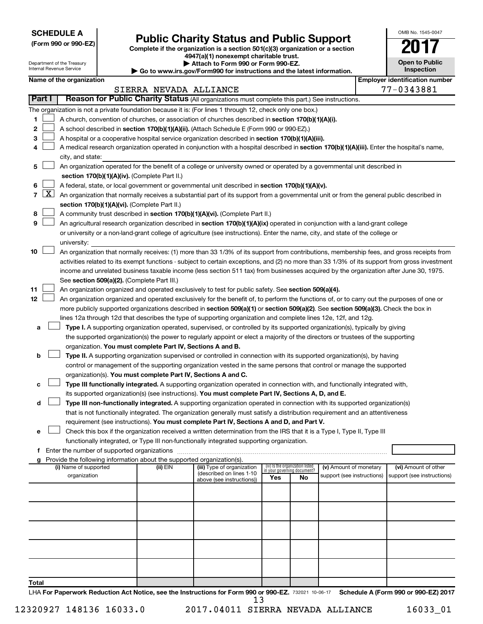**SCHEDULE A**

Department of the Treasury Internal Revenue Service

| (Form 990 or 990-EZ) |  |  |  |  |
|----------------------|--|--|--|--|
|----------------------|--|--|--|--|

# Form 990 or 990-EZ)<br>
Complete if the organization is a section 501(c)(3) organization or a section<br> **Public Charity Status and Public Support**

**4947(a)(1) nonexempt charitable trust. | Attach to Form 990 or Form 990-EZ.** 

**| Go to www.irs.gov/Form990 for instructions and the latest information.**

| OMB No 1545-0047                    |
|-------------------------------------|
|                                     |
| <b>Open to Public</b><br>Inspection |
|                                     |

|        |                                                                                                      | Name of the organization                                                                                                                                                                           |                        |                                                       |                                    |    |                            |  | <b>Employer identification number</b> |
|--------|------------------------------------------------------------------------------------------------------|----------------------------------------------------------------------------------------------------------------------------------------------------------------------------------------------------|------------------------|-------------------------------------------------------|------------------------------------|----|----------------------------|--|---------------------------------------|
| Part I |                                                                                                      | Reason for Public Charity Status (All organizations must complete this part.) See instructions.                                                                                                    | SIERRA NEVADA ALLIANCE |                                                       |                                    |    |                            |  | 77-0343881                            |
|        |                                                                                                      |                                                                                                                                                                                                    |                        |                                                       |                                    |    |                            |  |                                       |
|        |                                                                                                      | The organization is not a private foundation because it is: (For lines 1 through 12, check only one box.)                                                                                          |                        |                                                       |                                    |    |                            |  |                                       |
| 1.     |                                                                                                      | A church, convention of churches, or association of churches described in section 170(b)(1)(A)(i).                                                                                                 |                        |                                                       |                                    |    |                            |  |                                       |
| 2      |                                                                                                      | A school described in section 170(b)(1)(A)(ii). (Attach Schedule E (Form 990 or 990-EZ).)                                                                                                          |                        |                                                       |                                    |    |                            |  |                                       |
| з      |                                                                                                      | A hospital or a cooperative hospital service organization described in section 170(b)(1)(A)(iii).                                                                                                  |                        |                                                       |                                    |    |                            |  |                                       |
| 4      |                                                                                                      | A medical research organization operated in conjunction with a hospital described in section 170(b)(1)(A)(iii). Enter the hospital's name,<br>city, and state:                                     |                        |                                                       |                                    |    |                            |  |                                       |
| 5.     |                                                                                                      | An organization operated for the benefit of a college or university owned or operated by a governmental unit described in                                                                          |                        |                                                       |                                    |    |                            |  |                                       |
|        |                                                                                                      | section 170(b)(1)(A)(iv). (Complete Part II.)                                                                                                                                                      |                        |                                                       |                                    |    |                            |  |                                       |
| 6.     |                                                                                                      | A federal, state, or local government or governmental unit described in section 170(b)(1)(A)(v).                                                                                                   |                        |                                                       |                                    |    |                            |  |                                       |
|        |                                                                                                      |                                                                                                                                                                                                    |                        |                                                       |                                    |    |                            |  |                                       |
|        |                                                                                                      | 7 $ X $ An organization that normally receives a substantial part of its support from a governmental unit or from the general public described in<br>section 170(b)(1)(A)(vi). (Complete Part II.) |                        |                                                       |                                    |    |                            |  |                                       |
| 8      |                                                                                                      | A community trust described in section 170(b)(1)(A)(vi). (Complete Part II.)                                                                                                                       |                        |                                                       |                                    |    |                            |  |                                       |
| 9      |                                                                                                      | An agricultural research organization described in section 170(b)(1)(A)(ix) operated in conjunction with a land-grant college                                                                      |                        |                                                       |                                    |    |                            |  |                                       |
|        |                                                                                                      | or university or a non-land-grant college of agriculture (see instructions). Enter the name, city, and state of the college or                                                                     |                        |                                                       |                                    |    |                            |  |                                       |
|        |                                                                                                      | university:                                                                                                                                                                                        |                        |                                                       |                                    |    |                            |  |                                       |
| 10     |                                                                                                      | An organization that normally receives: (1) more than 33 1/3% of its support from contributions, membership fees, and gross receipts from                                                          |                        |                                                       |                                    |    |                            |  |                                       |
|        |                                                                                                      | activities related to its exempt functions - subject to certain exceptions, and (2) no more than 33 1/3% of its support from gross investment                                                      |                        |                                                       |                                    |    |                            |  |                                       |
|        |                                                                                                      | income and unrelated business taxable income (less section 511 tax) from businesses acquired by the organization after June 30, 1975.                                                              |                        |                                                       |                                    |    |                            |  |                                       |
|        |                                                                                                      | See section 509(a)(2). (Complete Part III.)                                                                                                                                                        |                        |                                                       |                                    |    |                            |  |                                       |
| 11     | An organization organized and operated exclusively to test for public safety. See section 509(a)(4). |                                                                                                                                                                                                    |                        |                                                       |                                    |    |                            |  |                                       |
| 12     |                                                                                                      | An organization organized and operated exclusively for the benefit of, to perform the functions of, or to carry out the purposes of one or                                                         |                        |                                                       |                                    |    |                            |  |                                       |
|        |                                                                                                      | more publicly supported organizations described in section 509(a)(1) or section 509(a)(2). See section 509(a)(3). Check the box in                                                                 |                        |                                                       |                                    |    |                            |  |                                       |
|        |                                                                                                      | lines 12a through 12d that describes the type of supporting organization and complete lines 12e, 12f, and 12g.                                                                                     |                        |                                                       |                                    |    |                            |  |                                       |
| а      |                                                                                                      | Type I. A supporting organization operated, supervised, or controlled by its supported organization(s), typically by giving                                                                        |                        |                                                       |                                    |    |                            |  |                                       |
|        |                                                                                                      | the supported organization(s) the power to regularly appoint or elect a majority of the directors or trustees of the supporting                                                                    |                        |                                                       |                                    |    |                            |  |                                       |
|        |                                                                                                      | organization. You must complete Part IV, Sections A and B.                                                                                                                                         |                        |                                                       |                                    |    |                            |  |                                       |
| b      |                                                                                                      | Type II. A supporting organization supervised or controlled in connection with its supported organization(s), by having                                                                            |                        |                                                       |                                    |    |                            |  |                                       |
|        |                                                                                                      | control or management of the supporting organization vested in the same persons that control or manage the supported                                                                               |                        |                                                       |                                    |    |                            |  |                                       |
|        |                                                                                                      | organization(s). You must complete Part IV, Sections A and C.                                                                                                                                      |                        |                                                       |                                    |    |                            |  |                                       |
| с      |                                                                                                      | Type III functionally integrated. A supporting organization operated in connection with, and functionally integrated with,                                                                         |                        |                                                       |                                    |    |                            |  |                                       |
|        |                                                                                                      | its supported organization(s) (see instructions). You must complete Part IV, Sections A, D, and E.                                                                                                 |                        |                                                       |                                    |    |                            |  |                                       |
| d      |                                                                                                      | Type III non-functionally integrated. A supporting organization operated in connection with its supported organization(s)                                                                          |                        |                                                       |                                    |    |                            |  |                                       |
|        |                                                                                                      | that is not functionally integrated. The organization generally must satisfy a distribution requirement and an attentiveness                                                                       |                        |                                                       |                                    |    |                            |  |                                       |
|        |                                                                                                      | requirement (see instructions). You must complete Part IV, Sections A and D, and Part V.                                                                                                           |                        |                                                       |                                    |    |                            |  |                                       |
|        |                                                                                                      | Check this box if the organization received a written determination from the IRS that it is a Type I, Type II, Type III                                                                            |                        |                                                       |                                    |    |                            |  |                                       |
|        |                                                                                                      | functionally integrated, or Type III non-functionally integrated supporting organization.<br>f Enter the number of supported organizations                                                         |                        |                                                       |                                    |    |                            |  |                                       |
|        |                                                                                                      | g Provide the following information about the supported organization(s).                                                                                                                           |                        |                                                       |                                    |    |                            |  |                                       |
|        |                                                                                                      | (i) Name of supported                                                                                                                                                                              | (ii) EIN               | (iii) Type of organization                            | (iv) Is the organization listed    |    | (v) Amount of monetary     |  | (vi) Amount of other                  |
|        |                                                                                                      | organization                                                                                                                                                                                       |                        | (described on lines 1-10<br>above (see instructions)) | in your governing document?<br>Yes | No | support (see instructions) |  | support (see instructions)            |
|        |                                                                                                      |                                                                                                                                                                                                    |                        |                                                       |                                    |    |                            |  |                                       |
|        |                                                                                                      |                                                                                                                                                                                                    |                        |                                                       |                                    |    |                            |  |                                       |
|        |                                                                                                      |                                                                                                                                                                                                    |                        |                                                       |                                    |    |                            |  |                                       |
|        |                                                                                                      |                                                                                                                                                                                                    |                        |                                                       |                                    |    |                            |  |                                       |
|        |                                                                                                      |                                                                                                                                                                                                    |                        |                                                       |                                    |    |                            |  |                                       |
|        |                                                                                                      |                                                                                                                                                                                                    |                        |                                                       |                                    |    |                            |  |                                       |
|        |                                                                                                      |                                                                                                                                                                                                    |                        |                                                       |                                    |    |                            |  |                                       |
|        |                                                                                                      |                                                                                                                                                                                                    |                        |                                                       |                                    |    |                            |  |                                       |
|        |                                                                                                      |                                                                                                                                                                                                    |                        |                                                       |                                    |    |                            |  |                                       |
|        |                                                                                                      |                                                                                                                                                                                                    |                        |                                                       |                                    |    |                            |  |                                       |
| Total  |                                                                                                      |                                                                                                                                                                                                    |                        |                                                       |                                    |    |                            |  |                                       |

LHA For Paperwork Reduction Act Notice, see the Instructions for Form 990 or 990-EZ. 732021 10-06-17 Schedule A (Form 990 or 990-EZ) 2017 13

12320927 148136 16033.0 2017.04011 SIERRA NEVADA ALLIANCE 16033\_01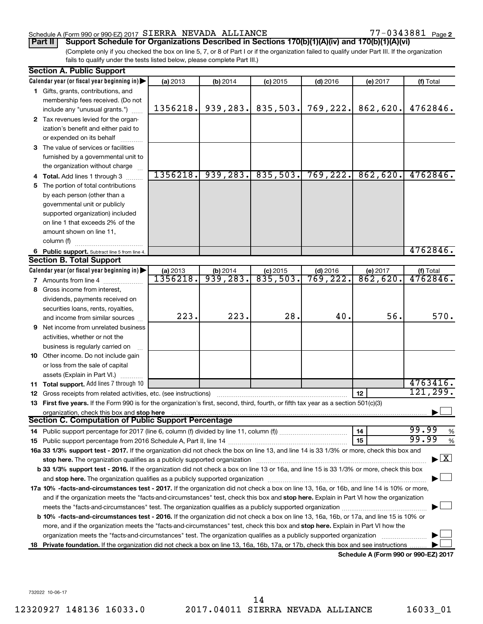#### Schedule A (Form 990 or 990-EZ) 2017  $SIERRA$  NEVADA ALLIANCE  $77-0343881$  Page

77-0343881 Page 2

(Complete only if you checked the box on line 5, 7, or 8 of Part I or if the organization failed to qualify under Part III. If the organization fails to qualify under the tests listed below, please complete Part III.) **Part II Support Schedule for Organizations Described in Sections 170(b)(1)(A)(iv) and 170(b)(1)(A)(vi)**

|    | <b>Section A. Public Support</b>                                                                                                                                                                                               |          |            |                       |            |                                      |                                          |  |  |
|----|--------------------------------------------------------------------------------------------------------------------------------------------------------------------------------------------------------------------------------|----------|------------|-----------------------|------------|--------------------------------------|------------------------------------------|--|--|
|    | Calendar year (or fiscal year beginning in)                                                                                                                                                                                    | (a) 2013 | (b) $2014$ | $(c)$ 2015            | $(d)$ 2016 | (e) 2017                             | (f) Total                                |  |  |
|    | 1 Gifts, grants, contributions, and                                                                                                                                                                                            |          |            |                       |            |                                      |                                          |  |  |
|    | membership fees received. (Do not                                                                                                                                                                                              |          |            |                       |            |                                      |                                          |  |  |
|    | include any "unusual grants.")                                                                                                                                                                                                 | 1356218. |            | $939, 283.$ 835, 503. | 769,222.   | 862,620.                             | 4762846.                                 |  |  |
|    | 2 Tax revenues levied for the organ-                                                                                                                                                                                           |          |            |                       |            |                                      |                                          |  |  |
|    | ization's benefit and either paid to                                                                                                                                                                                           |          |            |                       |            |                                      |                                          |  |  |
|    | or expended on its behalf                                                                                                                                                                                                      |          |            |                       |            |                                      |                                          |  |  |
|    | 3 The value of services or facilities                                                                                                                                                                                          |          |            |                       |            |                                      |                                          |  |  |
|    | furnished by a governmental unit to                                                                                                                                                                                            |          |            |                       |            |                                      |                                          |  |  |
|    | the organization without charge                                                                                                                                                                                                |          |            |                       |            |                                      |                                          |  |  |
|    | <b>Total.</b> Add lines 1 through 3                                                                                                                                                                                            | 1356218. |            | $939, 283.$ 835, 503. | 769,222.   | 862,620.                             | 4762846.                                 |  |  |
| 5. | The portion of total contributions                                                                                                                                                                                             |          |            |                       |            |                                      |                                          |  |  |
|    | by each person (other than a                                                                                                                                                                                                   |          |            |                       |            |                                      |                                          |  |  |
|    | governmental unit or publicly                                                                                                                                                                                                  |          |            |                       |            |                                      |                                          |  |  |
|    | supported organization) included                                                                                                                                                                                               |          |            |                       |            |                                      |                                          |  |  |
|    | on line 1 that exceeds 2% of the                                                                                                                                                                                               |          |            |                       |            |                                      |                                          |  |  |
|    | amount shown on line 11,                                                                                                                                                                                                       |          |            |                       |            |                                      |                                          |  |  |
|    | column (f)                                                                                                                                                                                                                     |          |            |                       |            |                                      |                                          |  |  |
|    | 6 Public support. Subtract line 5 from line 4.                                                                                                                                                                                 |          |            |                       |            |                                      | 4762846.                                 |  |  |
|    | <b>Section B. Total Support</b>                                                                                                                                                                                                |          |            |                       |            |                                      |                                          |  |  |
|    | Calendar year (or fiscal year beginning in) $\blacktriangleright$                                                                                                                                                              | (a) 2013 | (b) 2014   | $(c)$ 2015            | $(d)$ 2016 | (e) 2017                             | (f) Total                                |  |  |
|    | 7 Amounts from line 4                                                                                                                                                                                                          | 1356218. | 939,283.   | 835,503.              | 769,222.   | 862,620.                             | 4762846.                                 |  |  |
|    | 8 Gross income from interest,                                                                                                                                                                                                  |          |            |                       |            |                                      |                                          |  |  |
|    | dividends, payments received on                                                                                                                                                                                                |          |            |                       |            |                                      |                                          |  |  |
|    |                                                                                                                                                                                                                                |          |            |                       |            |                                      |                                          |  |  |
|    | securities loans, rents, royalties,                                                                                                                                                                                            | 223.     | 223.       | 28.                   | 40.        | 56.                                  | 570.                                     |  |  |
|    | and income from similar sources                                                                                                                                                                                                |          |            |                       |            |                                      |                                          |  |  |
| 9  | Net income from unrelated business                                                                                                                                                                                             |          |            |                       |            |                                      |                                          |  |  |
|    | activities, whether or not the                                                                                                                                                                                                 |          |            |                       |            |                                      |                                          |  |  |
|    | business is regularly carried on                                                                                                                                                                                               |          |            |                       |            |                                      |                                          |  |  |
|    | 10 Other income. Do not include gain                                                                                                                                                                                           |          |            |                       |            |                                      |                                          |  |  |
|    | or loss from the sale of capital                                                                                                                                                                                               |          |            |                       |            |                                      |                                          |  |  |
|    | assets (Explain in Part VI.)                                                                                                                                                                                                   |          |            |                       |            |                                      | 4763416.                                 |  |  |
|    | 11 Total support. Add lines 7 through 10                                                                                                                                                                                       |          |            |                       |            |                                      |                                          |  |  |
| 12 | Gross receipts from related activities, etc. (see instructions)                                                                                                                                                                |          |            |                       |            | 12                                   | 121,299.                                 |  |  |
|    | 13 First five years. If the Form 990 is for the organization's first, second, third, fourth, or fifth tax year as a section 501(c)(3)                                                                                          |          |            |                       |            |                                      |                                          |  |  |
|    | organization, check this box and stop here manufactured and the content of the state of the content of the content of the content of the content of the content of the content of the content of the content of the content of |          |            |                       |            |                                      |                                          |  |  |
|    | Section C. Computation of Public Support Percentage                                                                                                                                                                            |          |            |                       |            |                                      | 99.99                                    |  |  |
|    |                                                                                                                                                                                                                                |          |            |                       |            | 14                                   | %<br>99.99                               |  |  |
|    |                                                                                                                                                                                                                                |          |            |                       |            | 15                                   | %                                        |  |  |
|    | 16a 33 1/3% support test - 2017. If the organization did not check the box on line 13, and line 14 is 33 1/3% or more, check this box and                                                                                      |          |            |                       |            |                                      |                                          |  |  |
|    | stop here. The organization qualifies as a publicly supported organization manufaction manufacture content and the content of the state of the state of the state of the state of the state of the state of the state of the s |          |            |                       |            |                                      | $\blacktriangleright$ $\boxed{\text{X}}$ |  |  |
|    | b 33 1/3% support test - 2016. If the organization did not check a box on line 13 or 16a, and line 15 is 33 1/3% or more, check this box                                                                                       |          |            |                       |            |                                      |                                          |  |  |
|    |                                                                                                                                                                                                                                |          |            |                       |            |                                      |                                          |  |  |
|    | 17a 10% -facts-and-circumstances test - 2017. If the organization did not check a box on line 13, 16a, or 16b, and line 14 is 10% or more,                                                                                     |          |            |                       |            |                                      |                                          |  |  |
|    | and if the organization meets the "facts-and-circumstances" test, check this box and stop here. Explain in Part VI how the organization                                                                                        |          |            |                       |            |                                      |                                          |  |  |
|    |                                                                                                                                                                                                                                |          |            |                       |            |                                      |                                          |  |  |
|    | <b>b 10%</b> -facts-and-circumstances test - 2016. If the organization did not check a box on line 13, 16a, 16b, or 17a, and line 15 is 10% or                                                                                 |          |            |                       |            |                                      |                                          |  |  |
|    | more, and if the organization meets the "facts-and-circumstances" test, check this box and stop here. Explain in Part VI how the                                                                                               |          |            |                       |            |                                      |                                          |  |  |
|    | organization meets the "facts-and-circumstances" test. The organization qualifies as a publicly supported organization                                                                                                         |          |            |                       |            |                                      |                                          |  |  |
|    | 18 Private foundation. If the organization did not check a box on line 13, 16a, 16b, 17a, or 17b, check this box and see instructions.                                                                                         |          |            |                       |            |                                      |                                          |  |  |
|    |                                                                                                                                                                                                                                |          |            |                       |            | Schodule A (Form 990 or 990-F7) 2017 |                                          |  |  |

**Schedule A (Form 990 or 990-EZ) 2017**

732022 10-06-17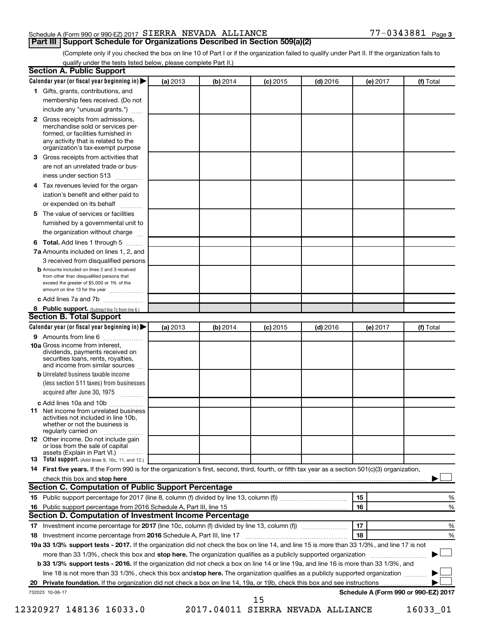#### Schedule A (Form 990 or 990-EZ) 2017  $SIERRA$  NEVADA ALLIANCE  $77-0343881$  Page

**Part III Support Schedule for Organizations Described in Section 509(a)(2)** 

(Complete only if you checked the box on line 10 of Part I or if the organization failed to qualify under Part II. If the organization fails to qualify under the tests listed below, please complete Part II.)

|              | Calendar year (or fiscal year beginning in)                                                                                                         | (a) 2013 | (b) 2014 | $(c)$ 2015 | $(d)$ 2016                        | (e) 2017 | (f) Total                            |
|--------------|-----------------------------------------------------------------------------------------------------------------------------------------------------|----------|----------|------------|-----------------------------------|----------|--------------------------------------|
|              | 1 Gifts, grants, contributions, and                                                                                                                 |          |          |            |                                   |          |                                      |
|              | membership fees received. (Do not                                                                                                                   |          |          |            |                                   |          |                                      |
|              | include any "unusual grants.")                                                                                                                      |          |          |            |                                   |          |                                      |
| $\mathbf{2}$ | Gross receipts from admissions,<br>merchandise sold or services per-<br>formed, or facilities furnished in                                          |          |          |            |                                   |          |                                      |
|              | any activity that is related to the<br>organization's tax-exempt purpose                                                                            |          |          |            |                                   |          |                                      |
| 3.           | Gross receipts from activities that                                                                                                                 |          |          |            |                                   |          |                                      |
|              | are not an unrelated trade or bus-                                                                                                                  |          |          |            |                                   |          |                                      |
|              | iness under section 513                                                                                                                             |          |          |            |                                   |          |                                      |
| 4            | Tax revenues levied for the organ-                                                                                                                  |          |          |            |                                   |          |                                      |
|              | ization's benefit and either paid to                                                                                                                |          |          |            |                                   |          |                                      |
|              | or expended on its behalf<br>.                                                                                                                      |          |          |            |                                   |          |                                      |
| 5            | The value of services or facilities                                                                                                                 |          |          |            |                                   |          |                                      |
|              | furnished by a governmental unit to                                                                                                                 |          |          |            |                                   |          |                                      |
|              | the organization without charge                                                                                                                     |          |          |            |                                   |          |                                      |
| 6            | Total. Add lines 1 through 5                                                                                                                        |          |          |            |                                   |          |                                      |
|              | 7a Amounts included on lines 1, 2, and                                                                                                              |          |          |            |                                   |          |                                      |
|              | 3 received from disqualified persons                                                                                                                |          |          |            |                                   |          |                                      |
|              | <b>b</b> Amounts included on lines 2 and 3 received                                                                                                 |          |          |            |                                   |          |                                      |
|              | from other than disqualified persons that<br>exceed the greater of \$5,000 or 1% of the<br>amount on line 13 for the year                           |          |          |            |                                   |          |                                      |
|              | c Add lines 7a and 7b                                                                                                                               |          |          |            |                                   |          |                                      |
|              | 8 Public support. (Subtract line 7c from line 6.)                                                                                                   |          |          |            |                                   |          |                                      |
|              | <b>Section B. Total Support</b>                                                                                                                     |          |          |            |                                   |          |                                      |
|              | Calendar year (or fiscal year beginning in)                                                                                                         | (a) 2013 | (b) 2014 | $(c)$ 2015 | $(d)$ 2016                        | (e) 2017 | (f) Total                            |
|              | 9 Amounts from line 6                                                                                                                               |          |          |            |                                   |          |                                      |
|              | <b>10a</b> Gross income from interest,<br>dividends, payments received on<br>securities loans, rents, royalties,<br>and income from similar sources |          |          |            |                                   |          |                                      |
|              | <b>b</b> Unrelated business taxable income                                                                                                          |          |          |            |                                   |          |                                      |
|              | (less section 511 taxes) from businesses<br>acquired after June 30, 1975                                                                            |          |          |            |                                   |          |                                      |
|              | c Add lines 10a and 10b                                                                                                                             |          |          |            |                                   |          |                                      |
| 11           | Net income from unrelated business<br>activities not included in line 10b.<br>whether or not the business is                                        |          |          |            |                                   |          |                                      |
|              | regularly carried on<br><b>12</b> Other income. Do not include gain<br>or loss from the sale of capital                                             |          |          |            |                                   |          |                                      |
|              | assets (Explain in Part VI.)                                                                                                                        |          |          |            |                                   |          |                                      |
|              | <b>13</b> Total support. (Add lines 9, 10c, 11, and 12.)                                                                                            |          |          |            |                                   |          |                                      |
|              | 14 First five years. If the Form 990 is for the organization's first, second, third, fourth, or fifth tax year as a section 501(c)(3) organization, |          |          |            |                                   |          |                                      |
|              |                                                                                                                                                     |          |          |            |                                   |          |                                      |
|              | Section C. Computation of Public Support Percentage                                                                                                 |          |          |            |                                   |          |                                      |
|              |                                                                                                                                                     |          |          |            |                                   | 15       | %                                    |
|              |                                                                                                                                                     |          |          |            |                                   | 16       | %                                    |
|              | Section D. Computation of Investment Income Percentage                                                                                              |          |          |            |                                   |          |                                      |
|              |                                                                                                                                                     |          |          |            |                                   | 17       | %                                    |
|              |                                                                                                                                                     |          |          |            |                                   | 18       | %                                    |
|              | 19a 33 1/3% support tests - 2017. If the organization did not check the box on line 14, and line 15 is more than 33 1/3%, and line 17 is not        |          |          |            |                                   |          |                                      |
|              | more than 33 1/3%, check this box and stop here. The organization qualifies as a publicly supported organization                                    |          |          |            |                                   |          |                                      |
|              | b 33 1/3% support tests - 2016. If the organization did not check a box on line 14 or line 19a, and line 16 is more than 33 1/3%, and               |          |          |            |                                   |          |                                      |
|              | line 18 is not more than 33 1/3%, check this box and stop here. The organization qualifies as a publicly supported organization                     |          |          |            |                                   |          |                                      |
|              |                                                                                                                                                     |          |          |            |                                   |          |                                      |
|              | 732023 10-06-17                                                                                                                                     |          |          |            |                                   |          | Schedule A (Form 990 or 990-EZ) 2017 |
|              |                                                                                                                                                     |          |          | 15         |                                   |          |                                      |
|              | 12320927 148136 16033.0                                                                                                                             |          |          |            | 2017.04011 SIERRA NEVADA ALLIANCE |          | 16033_01                             |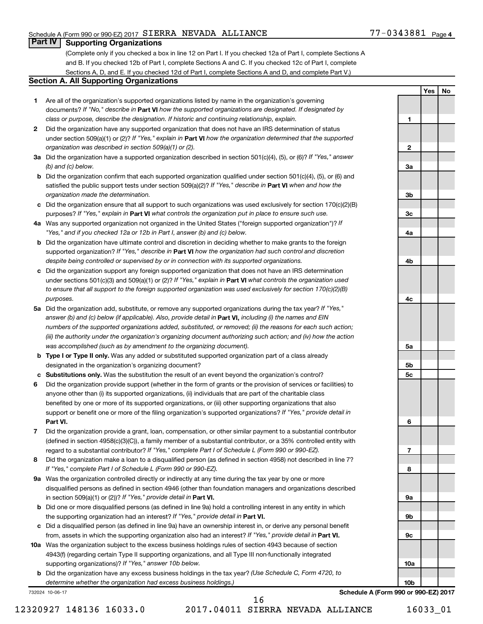#### Schedule A (Form 990 or 990-EZ) 2017  $SIERRA$  NEVADA ALLIANCE  $77-0343881$  Page

**1**

**2**

**3a**

**Yes No**

#### **Part IV Supporting Organizations**

(Complete only if you checked a box in line 12 on Part I. If you checked 12a of Part I, complete Sections A and B. If you checked 12b of Part I, complete Sections A and C. If you checked 12c of Part I, complete Sections A, D, and E. If you checked 12d of Part I, complete Sections A and D, and complete Part V.)

#### **Section A. All Supporting Organizations**

- **1** Are all of the organization's supported organizations listed by name in the organization's governing documents? If "No," describe in Part VI how the supported organizations are designated. If designated by *class or purpose, describe the designation. If historic and continuing relationship, explain.*
- **2** Did the organization have any supported organization that does not have an IRS determination of status under section 509(a)(1) or (2)? If "Yes," explain in Part **VI** how the organization determined that the supported *organization was described in section 509(a)(1) or (2).*
- **3a** Did the organization have a supported organization described in section 501(c)(4), (5), or (6)? If "Yes," answer *(b) and (c) below.*
- **b** Did the organization confirm that each supported organization qualified under section 501(c)(4), (5), or (6) and satisfied the public support tests under section 509(a)(2)? If "Yes," describe in Part VI when and how the *organization made the determination.*
- **c** Did the organization ensure that all support to such organizations was used exclusively for section 170(c)(2)(B) purposes? If "Yes," explain in Part VI what controls the organization put in place to ensure such use.
- **4 a** *If* Was any supported organization not organized in the United States ("foreign supported organization")? *"Yes," and if you checked 12a or 12b in Part I, answer (b) and (c) below.*
- **b** Did the organization have ultimate control and discretion in deciding whether to make grants to the foreign supported organization? If "Yes," describe in Part VI how the organization had such control and discretion *despite being controlled or supervised by or in connection with its supported organizations.*
- **c** Did the organization support any foreign supported organization that does not have an IRS determination under sections 501(c)(3) and 509(a)(1) or (2)? If "Yes," explain in Part VI what controls the organization used *to ensure that all support to the foreign supported organization was used exclusively for section 170(c)(2)(B) purposes.*
- **5a** Did the organization add, substitute, or remove any supported organizations during the tax year? If "Yes," answer (b) and (c) below (if applicable). Also, provide detail in **Part VI,** including (i) the names and EIN *numbers of the supported organizations added, substituted, or removed; (ii) the reasons for each such action; (iii) the authority under the organization's organizing document authorizing such action; and (iv) how the action was accomplished (such as by amendment to the organizing document).*
- **b** Type I or Type II only. Was any added or substituted supported organization part of a class already designated in the organization's organizing document?
- **c Substitutions only.**  Was the substitution the result of an event beyond the organization's control?
- **6** Did the organization provide support (whether in the form of grants or the provision of services or facilities) to **Part VI.** support or benefit one or more of the filing organization's supported organizations? If "Yes," provide detail in anyone other than (i) its supported organizations, (ii) individuals that are part of the charitable class benefited by one or more of its supported organizations, or (iii) other supporting organizations that also
- **7** Did the organization provide a grant, loan, compensation, or other similar payment to a substantial contributor regard to a substantial contributor? If "Yes," complete Part I of Schedule L (Form 990 or 990-EZ). (defined in section 4958(c)(3)(C)), a family member of a substantial contributor, or a 35% controlled entity with
- **8** Did the organization make a loan to a disqualified person (as defined in section 4958) not described in line 7? *If "Yes," complete Part I of Schedule L (Form 990 or 990-EZ).*
- **9 a** Was the organization controlled directly or indirectly at any time during the tax year by one or more in section 509(a)(1) or (2))? If "Yes," provide detail in **Part VI.** disqualified persons as defined in section 4946 (other than foundation managers and organizations described
- **b** Did one or more disqualified persons (as defined in line 9a) hold a controlling interest in any entity in which the supporting organization had an interest? If "Yes," provide detail in Part VI.
- **c** Did a disqualified person (as defined in line 9a) have an ownership interest in, or derive any personal benefit from, assets in which the supporting organization also had an interest? If "Yes," provide detail in Part VI.
- **10 a** Was the organization subject to the excess business holdings rules of section 4943 because of section supporting organizations)? If "Yes," answer 10b below. 4943(f) (regarding certain Type II supporting organizations, and all Type III non-functionally integrated
	- **b** Did the organization have any excess business holdings in the tax year? (Use Schedule C, Form 4720, to *determine whether the organization had excess business holdings.)*

732024 10-06-17

**Schedule A (Form 990 or 990-EZ) 2017**

12320927 148136 16033.0 2017.04011 SIERRA NEVADA ALLIANCE 16033\_01

16

**3b 3c 4a 4b 4c 5a 5b 5c 6 7 8 9a 9b 9c 10a 10b**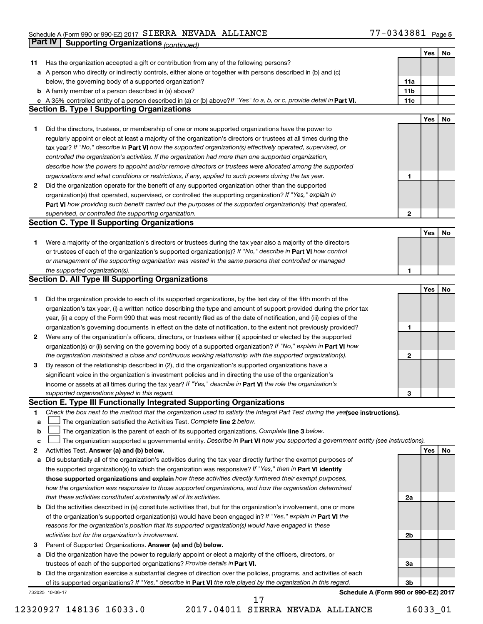#### Schedule A (Form 990 or 990-EZ) 2017 SIERRA NEVADA ALLIANCE NAME AND RESERVED ASSESSED Agge SIERRA NEVADA ALLIANCE 77-0343881

|    | Part IV<br><b>Supporting Organizations (continued)</b>                                                                                                                                                                           |                 |     |    |
|----|----------------------------------------------------------------------------------------------------------------------------------------------------------------------------------------------------------------------------------|-----------------|-----|----|
|    |                                                                                                                                                                                                                                  |                 | Yes | No |
| 11 | Has the organization accepted a gift or contribution from any of the following persons?                                                                                                                                          |                 |     |    |
|    | a A person who directly or indirectly controls, either alone or together with persons described in (b) and (c)                                                                                                                   |                 |     |    |
|    | below, the governing body of a supported organization?                                                                                                                                                                           | 11a             |     |    |
|    | <b>b</b> A family member of a person described in (a) above?                                                                                                                                                                     | 11 <sub>b</sub> |     |    |
|    | c A 35% controlled entity of a person described in (a) or (b) above? If "Yes" to a, b, or c, provide detail in Part VI.                                                                                                          | 11c             |     |    |
|    | <b>Section B. Type I Supporting Organizations</b>                                                                                                                                                                                |                 |     |    |
|    |                                                                                                                                                                                                                                  |                 | Yes | No |
| 1  | Did the directors, trustees, or membership of one or more supported organizations have the power to                                                                                                                              |                 |     |    |
|    | regularly appoint or elect at least a majority of the organization's directors or trustees at all times during the                                                                                                               |                 |     |    |
|    | tax year? If "No," describe in Part VI how the supported organization(s) effectively operated, supervised, or                                                                                                                    |                 |     |    |
|    |                                                                                                                                                                                                                                  |                 |     |    |
|    | controlled the organization's activities. If the organization had more than one supported organization,                                                                                                                          |                 |     |    |
|    | describe how the powers to appoint and/or remove directors or trustees were allocated among the supported                                                                                                                        |                 |     |    |
|    | organizations and what conditions or restrictions, if any, applied to such powers during the tax year.                                                                                                                           | 1               |     |    |
| 2  | Did the organization operate for the benefit of any supported organization other than the supported                                                                                                                              |                 |     |    |
|    | organization(s) that operated, supervised, or controlled the supporting organization? If "Yes," explain in                                                                                                                       |                 |     |    |
|    | Part VI how providing such benefit carried out the purposes of the supported organization(s) that operated,                                                                                                                      |                 |     |    |
|    | supervised, or controlled the supporting organization.                                                                                                                                                                           | $\mathbf{2}$    |     |    |
|    | <b>Section C. Type II Supporting Organizations</b>                                                                                                                                                                               |                 |     |    |
|    |                                                                                                                                                                                                                                  |                 | Yes | No |
| 1. | Were a majority of the organization's directors or trustees during the tax year also a majority of the directors                                                                                                                 |                 |     |    |
|    | or trustees of each of the organization's supported organization(s)? If "No," describe in Part VI how control                                                                                                                    |                 |     |    |
|    | or management of the supporting organization was vested in the same persons that controlled or managed                                                                                                                           |                 |     |    |
|    | the supported organization(s).                                                                                                                                                                                                   | 1               |     |    |
|    | <b>Section D. All Type III Supporting Organizations</b>                                                                                                                                                                          |                 |     |    |
|    |                                                                                                                                                                                                                                  |                 | Yes | No |
| 1  | Did the organization provide to each of its supported organizations, by the last day of the fifth month of the                                                                                                                   |                 |     |    |
|    | organization's tax year, (i) a written notice describing the type and amount of support provided during the prior tax                                                                                                            |                 |     |    |
|    | year, (ii) a copy of the Form 990 that was most recently filed as of the date of notification, and (iii) copies of the                                                                                                           |                 |     |    |
|    | organization's governing documents in effect on the date of notification, to the extent not previously provided?                                                                                                                 | 1               |     |    |
| 2  | Were any of the organization's officers, directors, or trustees either (i) appointed or elected by the supported                                                                                                                 |                 |     |    |
|    | organization(s) or (ii) serving on the governing body of a supported organization? If "No," explain in Part VI how                                                                                                               |                 |     |    |
|    | the organization maintained a close and continuous working relationship with the supported organization(s).                                                                                                                      | 2               |     |    |
| 3  | By reason of the relationship described in (2), did the organization's supported organizations have a                                                                                                                            |                 |     |    |
|    | significant voice in the organization's investment policies and in directing the use of the organization's                                                                                                                       |                 |     |    |
|    | income or assets at all times during the tax year? If "Yes," describe in Part VI the role the organization's                                                                                                                     |                 |     |    |
|    | supported organizations played in this regard.                                                                                                                                                                                   | з               |     |    |
|    | Section E. Type III Functionally Integrated Supporting Organizations                                                                                                                                                             |                 |     |    |
| 1  | Check the box next to the method that the organization used to satisfy the Integral Part Test during the yealsee instructions).                                                                                                  |                 |     |    |
| a  | The organization satisfied the Activities Test. Complete line 2 below.                                                                                                                                                           |                 |     |    |
| b  | The organization is the parent of each of its supported organizations. Complete line 3 below.                                                                                                                                    |                 |     |    |
| с  | The organization supported a governmental entity. Describe in Part VI how you supported a government entity (see instructions).                                                                                                  |                 |     |    |
| 2  | Activities Test. Answer (a) and (b) below.                                                                                                                                                                                       |                 | Yes | No |
|    |                                                                                                                                                                                                                                  |                 |     |    |
| а  | Did substantially all of the organization's activities during the tax year directly further the exempt purposes of<br>the supported organization(s) to which the organization was responsive? If "Yes," then in Part VI identify |                 |     |    |
|    | those supported organizations and explain how these activities directly furthered their exempt purposes,                                                                                                                         |                 |     |    |
|    |                                                                                                                                                                                                                                  |                 |     |    |
|    | how the organization was responsive to those supported organizations, and how the organization determined                                                                                                                        |                 |     |    |
|    | that these activities constituted substantially all of its activities.                                                                                                                                                           | 2a              |     |    |
|    | <b>b</b> Did the activities described in (a) constitute activities that, but for the organization's involvement, one or more                                                                                                     |                 |     |    |
|    | of the organization's supported organization(s) would have been engaged in? If "Yes," explain in Part VI the                                                                                                                     |                 |     |    |
|    | reasons for the organization's position that its supported organization(s) would have engaged in these                                                                                                                           |                 |     |    |
|    | activities but for the organization's involvement.                                                                                                                                                                               | 2b              |     |    |
| з  | Parent of Supported Organizations. Answer (a) and (b) below.                                                                                                                                                                     |                 |     |    |
| а  | Did the organization have the power to regularly appoint or elect a majority of the officers, directors, or                                                                                                                      |                 |     |    |
|    | trustees of each of the supported organizations? Provide details in Part VI.                                                                                                                                                     | За              |     |    |
|    | <b>b</b> Did the organization exercise a substantial degree of direction over the policies, programs, and activities of each                                                                                                     |                 |     |    |
|    | of its supported organizations? If "Yes," describe in Part VI the role played by the organization in this regard.                                                                                                                | Зb              |     |    |
|    | Schedule A (Form 990 or 990-EZ) 2017<br>732025 10-06-17                                                                                                                                                                          |                 |     |    |
|    | 17                                                                                                                                                                                                                               |                 |     |    |

12320927 148136 16033.0 2017.04011 SIERRA NEVADA ALLIANCE 16033\_01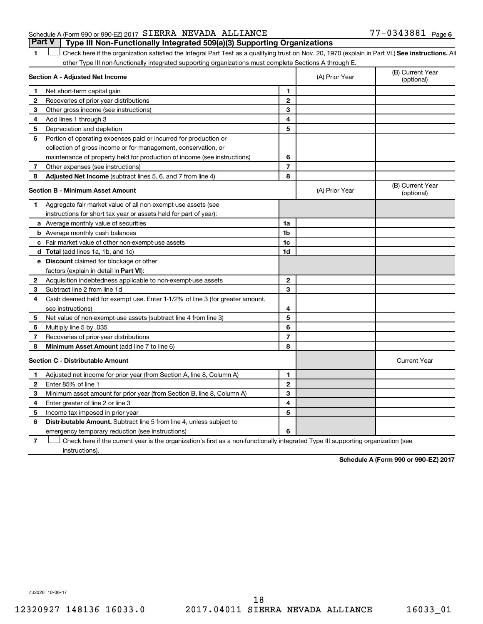#### Schedule A (Form 990 or 990-EZ) 2017  $SIERRA$  NEVADA ALLIANCE  $77-0343881$  Page **Part V Type III Non-Functionally Integrated 509(a)(3) Supporting Organizations**

1 **Letter See instructions.** All Check here if the organization satisfied the Integral Part Test as a qualifying trust on Nov. 20, 1970 (explain in Part VI.) See instructions. All other Type III non-functionally integrated supporting organizations must complete Sections A through E.

|    | Section A - Adjusted Net Income                                              |                | (A) Prior Year | (B) Current Year<br>(optional) |
|----|------------------------------------------------------------------------------|----------------|----------------|--------------------------------|
| 1  | Net short-term capital gain                                                  | 1              |                |                                |
| 2  | Recoveries of prior-year distributions                                       | $\mathbf{2}$   |                |                                |
| 3  | Other gross income (see instructions)                                        | 3              |                |                                |
| 4  | Add lines 1 through 3                                                        | 4              |                |                                |
| 5  | Depreciation and depletion                                                   | 5              |                |                                |
| 6  | Portion of operating expenses paid or incurred for production or             |                |                |                                |
|    | collection of gross income or for management, conservation, or               |                |                |                                |
|    | maintenance of property held for production of income (see instructions)     | 6              |                |                                |
| 7  | Other expenses (see instructions)                                            | $\overline{7}$ |                |                                |
| 8  | Adjusted Net Income (subtract lines 5, 6, and 7 from line 4)                 | 8              |                |                                |
|    | <b>Section B - Minimum Asset Amount</b>                                      |                | (A) Prior Year | (B) Current Year<br>(optional) |
| 1. | Aggregate fair market value of all non-exempt-use assets (see                |                |                |                                |
|    | instructions for short tax year or assets held for part of year):            |                |                |                                |
|    | a Average monthly value of securities                                        | 1a             |                |                                |
|    | <b>b</b> Average monthly cash balances                                       | 1 <sub>b</sub> |                |                                |
|    | c Fair market value of other non-exempt-use assets                           | 1c             |                |                                |
|    | <b>d</b> Total (add lines 1a, 1b, and 1c)                                    | 1d             |                |                                |
|    | e Discount claimed for blockage or other                                     |                |                |                                |
|    | factors (explain in detail in Part VI):                                      |                |                |                                |
| 2  | Acquisition indebtedness applicable to non-exempt-use assets                 | $\mathbf{2}$   |                |                                |
| 3  | Subtract line 2 from line 1d                                                 | 3              |                |                                |
| 4  | Cash deemed held for exempt use. Enter 1-1/2% of line 3 (for greater amount, |                |                |                                |
|    | see instructions)                                                            | 4              |                |                                |
| 5  | Net value of non-exempt-use assets (subtract line 4 from line 3)             | 5              |                |                                |
| 6  | Multiply line 5 by .035                                                      | 6              |                |                                |
| 7  | Recoveries of prior-year distributions                                       | $\overline{7}$ |                |                                |
| 8  | <b>Minimum Asset Amount (add line 7 to line 6)</b>                           | 8              |                |                                |
|    | <b>Section C - Distributable Amount</b>                                      |                |                | <b>Current Year</b>            |
| 1  | Adjusted net income for prior year (from Section A, line 8, Column A)        | 1              |                |                                |
| 2  | Enter 85% of line 1                                                          | $\mathbf{2}$   |                |                                |
| 3  | Minimum asset amount for prior year (from Section B, line 8, Column A)       | 3              |                |                                |
| 4  | Enter greater of line 2 or line 3                                            | 4              |                |                                |
| 5  | Income tax imposed in prior year                                             | 5              |                |                                |
| 6  | <b>Distributable Amount.</b> Subtract line 5 from line 4, unless subject to  |                |                |                                |
|    | emergency temporary reduction (see instructions)                             | 6              |                |                                |
|    |                                                                              |                |                |                                |

**7** Check here if the current year is the organization's first as a non-functionally integrated Type III supporting organization (see † instructions).

**Schedule A (Form 990 or 990-EZ) 2017**

732026 10-06-17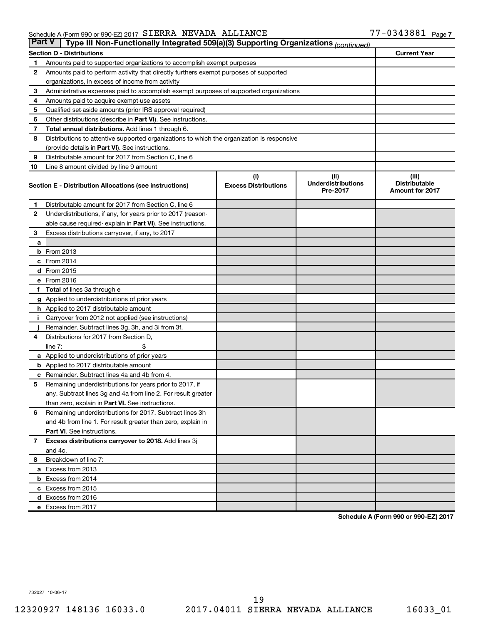#### Schedule A (Form 990 or 990-EZ) 2017 SIERRA NEVADA ALLIANCE NAME AND RESERVED ASSESSED Agge SIERRA NEVADA ALLIANCE 77-0343881

| <b>Part V</b><br>Type III Non-Functionally Integrated 509(a)(3) Supporting Organizations (continued) |                                                                                            |                                    |                                   |                               |  |  |  |  |
|------------------------------------------------------------------------------------------------------|--------------------------------------------------------------------------------------------|------------------------------------|-----------------------------------|-------------------------------|--|--|--|--|
|                                                                                                      | <b>Section D - Distributions</b>                                                           |                                    |                                   | <b>Current Year</b>           |  |  |  |  |
| 1                                                                                                    | Amounts paid to supported organizations to accomplish exempt purposes                      |                                    |                                   |                               |  |  |  |  |
| $\mathbf{2}$                                                                                         | Amounts paid to perform activity that directly furthers exempt purposes of supported       |                                    |                                   |                               |  |  |  |  |
|                                                                                                      | organizations, in excess of income from activity                                           |                                    |                                   |                               |  |  |  |  |
| 3                                                                                                    | Administrative expenses paid to accomplish exempt purposes of supported organizations      |                                    |                                   |                               |  |  |  |  |
| 4                                                                                                    | Amounts paid to acquire exempt-use assets                                                  |                                    |                                   |                               |  |  |  |  |
| 5                                                                                                    | Qualified set-aside amounts (prior IRS approval required)                                  |                                    |                                   |                               |  |  |  |  |
| 6                                                                                                    | Other distributions (describe in <b>Part VI</b> ). See instructions.                       |                                    |                                   |                               |  |  |  |  |
| 7                                                                                                    | <b>Total annual distributions.</b> Add lines 1 through 6.                                  |                                    |                                   |                               |  |  |  |  |
| 8                                                                                                    | Distributions to attentive supported organizations to which the organization is responsive |                                    |                                   |                               |  |  |  |  |
|                                                                                                      | (provide details in Part VI). See instructions.                                            |                                    |                                   |                               |  |  |  |  |
| 9                                                                                                    | Distributable amount for 2017 from Section C, line 6                                       |                                    |                                   |                               |  |  |  |  |
| 10                                                                                                   | Line 8 amount divided by line 9 amount                                                     |                                    |                                   |                               |  |  |  |  |
|                                                                                                      | Section E - Distribution Allocations (see instructions)                                    | (i)<br><b>Excess Distributions</b> | (ii)<br><b>Underdistributions</b> | (iii)<br><b>Distributable</b> |  |  |  |  |
|                                                                                                      |                                                                                            |                                    | Pre-2017                          | <b>Amount for 2017</b>        |  |  |  |  |
| 1                                                                                                    | Distributable amount for 2017 from Section C, line 6                                       |                                    |                                   |                               |  |  |  |  |
| $\mathbf{2}$                                                                                         | Underdistributions, if any, for years prior to 2017 (reason-                               |                                    |                                   |                               |  |  |  |  |
|                                                                                                      | able cause required- explain in Part VI). See instructions.                                |                                    |                                   |                               |  |  |  |  |
| 3                                                                                                    | Excess distributions carryover, if any, to 2017                                            |                                    |                                   |                               |  |  |  |  |
| a                                                                                                    |                                                                                            |                                    |                                   |                               |  |  |  |  |
|                                                                                                      | <b>b</b> From 2013                                                                         |                                    |                                   |                               |  |  |  |  |
|                                                                                                      | c From 2014                                                                                |                                    |                                   |                               |  |  |  |  |
|                                                                                                      | d From 2015                                                                                |                                    |                                   |                               |  |  |  |  |
|                                                                                                      | e From 2016                                                                                |                                    |                                   |                               |  |  |  |  |
|                                                                                                      | f Total of lines 3a through e                                                              |                                    |                                   |                               |  |  |  |  |
|                                                                                                      | <b>g</b> Applied to underdistributions of prior years                                      |                                    |                                   |                               |  |  |  |  |
|                                                                                                      | h Applied to 2017 distributable amount                                                     |                                    |                                   |                               |  |  |  |  |
| Ť.                                                                                                   | Carryover from 2012 not applied (see instructions)                                         |                                    |                                   |                               |  |  |  |  |
|                                                                                                      | Remainder. Subtract lines 3g, 3h, and 3i from 3f.                                          |                                    |                                   |                               |  |  |  |  |
| 4                                                                                                    | Distributions for 2017 from Section D,                                                     |                                    |                                   |                               |  |  |  |  |
|                                                                                                      | line $7:$                                                                                  |                                    |                                   |                               |  |  |  |  |
|                                                                                                      | a Applied to underdistributions of prior years                                             |                                    |                                   |                               |  |  |  |  |
|                                                                                                      | <b>b</b> Applied to 2017 distributable amount                                              |                                    |                                   |                               |  |  |  |  |
| с                                                                                                    | Remainder. Subtract lines 4a and 4b from 4.                                                |                                    |                                   |                               |  |  |  |  |
| 5                                                                                                    | Remaining underdistributions for years prior to 2017, if                                   |                                    |                                   |                               |  |  |  |  |
|                                                                                                      | any. Subtract lines 3g and 4a from line 2. For result greater                              |                                    |                                   |                               |  |  |  |  |
|                                                                                                      | than zero, explain in Part VI. See instructions.                                           |                                    |                                   |                               |  |  |  |  |
| 6                                                                                                    | Remaining underdistributions for 2017. Subtract lines 3h                                   |                                    |                                   |                               |  |  |  |  |
|                                                                                                      | and 4b from line 1. For result greater than zero, explain in                               |                                    |                                   |                               |  |  |  |  |
|                                                                                                      | <b>Part VI.</b> See instructions.                                                          |                                    |                                   |                               |  |  |  |  |
| $\overline{7}$                                                                                       | Excess distributions carryover to 2018. Add lines 3j                                       |                                    |                                   |                               |  |  |  |  |
|                                                                                                      | and 4c.                                                                                    |                                    |                                   |                               |  |  |  |  |
| 8                                                                                                    | Breakdown of line 7:                                                                       |                                    |                                   |                               |  |  |  |  |
|                                                                                                      | a Excess from 2013                                                                         |                                    |                                   |                               |  |  |  |  |
|                                                                                                      | <b>b</b> Excess from 2014                                                                  |                                    |                                   |                               |  |  |  |  |
|                                                                                                      | c Excess from 2015                                                                         |                                    |                                   |                               |  |  |  |  |
|                                                                                                      | d Excess from 2016                                                                         |                                    |                                   |                               |  |  |  |  |
|                                                                                                      | e Excess from 2017                                                                         |                                    |                                   |                               |  |  |  |  |

**Schedule A (Form 990 or 990-EZ) 2017**

732027 10-06-17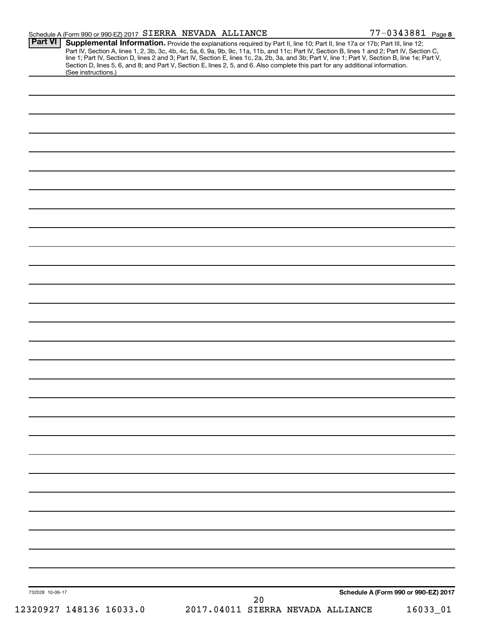| Schedule A (Form 990 or 990-EZ) 2017 SIERRA NEVADA ALLIANCE |    | 77-0343881 Page 8                                                                                                                                                                                                                                                                                                                                                                                                                                                                                                                                                    |
|-------------------------------------------------------------|----|----------------------------------------------------------------------------------------------------------------------------------------------------------------------------------------------------------------------------------------------------------------------------------------------------------------------------------------------------------------------------------------------------------------------------------------------------------------------------------------------------------------------------------------------------------------------|
| Part VI<br>(See instructions.)                              |    | Supplemental Information. Provide the explanations required by Part II, line 10; Part II, line 17a or 17b; Part III, line 12;<br>Part IV, Section A, lines 1, 2, 3b, 3c, 4b, 4c, 5a, 6, 9a, 9b, 9c, 11a, 11b, and 11c; Part IV, Section B, lines 1 and 2; Part IV, Section C,<br>line 1; Part IV, Section D, lines 2 and 3; Part IV, Section E, lines 1c, 2a, 2b, 3a, and 3b; Part V, line 1; Part V, Section B, line 1e; Part V,<br>Section D, lines 5, 6, and 8; and Part V, Section E, lines 2, 5, and 6. Also complete this part for any additional information. |
|                                                             |    |                                                                                                                                                                                                                                                                                                                                                                                                                                                                                                                                                                      |
|                                                             |    |                                                                                                                                                                                                                                                                                                                                                                                                                                                                                                                                                                      |
|                                                             |    |                                                                                                                                                                                                                                                                                                                                                                                                                                                                                                                                                                      |
|                                                             |    |                                                                                                                                                                                                                                                                                                                                                                                                                                                                                                                                                                      |
|                                                             |    |                                                                                                                                                                                                                                                                                                                                                                                                                                                                                                                                                                      |
|                                                             |    |                                                                                                                                                                                                                                                                                                                                                                                                                                                                                                                                                                      |
|                                                             |    |                                                                                                                                                                                                                                                                                                                                                                                                                                                                                                                                                                      |
|                                                             |    |                                                                                                                                                                                                                                                                                                                                                                                                                                                                                                                                                                      |
|                                                             |    |                                                                                                                                                                                                                                                                                                                                                                                                                                                                                                                                                                      |
|                                                             |    |                                                                                                                                                                                                                                                                                                                                                                                                                                                                                                                                                                      |
|                                                             |    |                                                                                                                                                                                                                                                                                                                                                                                                                                                                                                                                                                      |
|                                                             |    |                                                                                                                                                                                                                                                                                                                                                                                                                                                                                                                                                                      |
|                                                             |    |                                                                                                                                                                                                                                                                                                                                                                                                                                                                                                                                                                      |
|                                                             |    |                                                                                                                                                                                                                                                                                                                                                                                                                                                                                                                                                                      |
|                                                             |    |                                                                                                                                                                                                                                                                                                                                                                                                                                                                                                                                                                      |
|                                                             |    |                                                                                                                                                                                                                                                                                                                                                                                                                                                                                                                                                                      |
|                                                             |    |                                                                                                                                                                                                                                                                                                                                                                                                                                                                                                                                                                      |
|                                                             |    |                                                                                                                                                                                                                                                                                                                                                                                                                                                                                                                                                                      |
|                                                             |    |                                                                                                                                                                                                                                                                                                                                                                                                                                                                                                                                                                      |
|                                                             |    |                                                                                                                                                                                                                                                                                                                                                                                                                                                                                                                                                                      |
|                                                             |    |                                                                                                                                                                                                                                                                                                                                                                                                                                                                                                                                                                      |
|                                                             |    |                                                                                                                                                                                                                                                                                                                                                                                                                                                                                                                                                                      |
|                                                             |    |                                                                                                                                                                                                                                                                                                                                                                                                                                                                                                                                                                      |
|                                                             |    |                                                                                                                                                                                                                                                                                                                                                                                                                                                                                                                                                                      |
|                                                             |    |                                                                                                                                                                                                                                                                                                                                                                                                                                                                                                                                                                      |
|                                                             |    |                                                                                                                                                                                                                                                                                                                                                                                                                                                                                                                                                                      |
|                                                             |    |                                                                                                                                                                                                                                                                                                                                                                                                                                                                                                                                                                      |
|                                                             |    |                                                                                                                                                                                                                                                                                                                                                                                                                                                                                                                                                                      |
|                                                             |    |                                                                                                                                                                                                                                                                                                                                                                                                                                                                                                                                                                      |
| 732028 10-06-17                                             |    | Schedule A (Form 990 or 990-EZ) 2017                                                                                                                                                                                                                                                                                                                                                                                                                                                                                                                                 |
| 12320927 148136 16033.0                                     | 20 | 2017.04011 SIERRA NEVADA ALLIANCE<br>16033_01                                                                                                                                                                                                                                                                                                                                                                                                                                                                                                                        |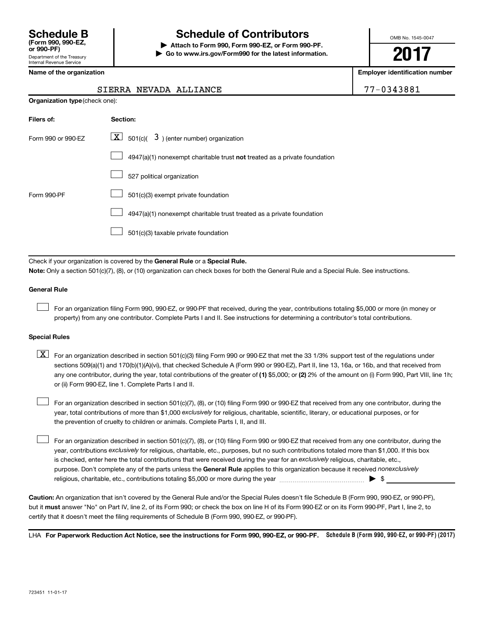# **Schedule B Schedule of Contributors**

**or 990-PF) | Attach to Form 990, Form 990-EZ, or Form 990-PF. | Go to www.irs.gov/Form990 for the latest information.** OMB No. 1545-0047

**2017**

**Employer identification number** 

|  | Name of the organization |
|--|--------------------------|
|--|--------------------------|

## **Organization type** (check one): **Filers of: Section:** 4947(a)(1) nonexempt charitable trust not treated as a private foundation Form 990 or 990-EZ  $\overline{\mathbf{X}}$  501(c)(  $\overline{\mathbf{3}}$  ) (enter number) organization 527 political organization Form 990-PF  $\Box$  501(c)(3) exempt private foundation 4947(a)(1) nonexempt charitable trust treated as a private foundation 501(c)(3) taxable private foundation  $\Box$  $\Box$  $\Box$  $\Box$  $\Box$

Check if your organization is covered by the General Rule or a Special Rule.

**Note:**  Only a section 501(c)(7), (8), or (10) organization can check boxes for both the General Rule and a Special Rule. See instructions.

#### **General Rule**

 $\Box$ 

For an organization filing Form 990, 990-EZ, or 990-PF that received, during the year, contributions totaling \$5,000 or more (in money or property) from any one contributor. Complete Parts I and II. See instructions for determining a contributor's total contributions.

#### **Special Rules**

any one contributor, during the year, total contributions of the greater of (1) \$5,000; or (2) 2% of the amount on (i) Form 990, Part VIII, line 1h;  $\boxed{\text{X}}$  For an organization described in section 501(c)(3) filing Form 990 or 990-EZ that met the 33 1/3% support test of the regulations under sections 509(a)(1) and 170(b)(1)(A)(vi), that checked Schedule A (Form 990 or 990-EZ), Part II, line 13, 16a, or 16b, and that received from or (ii) Form 990-EZ, line 1. Complete Parts I and II.

year, total contributions of more than \$1,000 *exclusively* for religious, charitable, scientific, literary, or educational purposes, or for For an organization described in section 501(c)(7), (8), or (10) filing Form 990 or 990-EZ that received from any one contributor, during the the prevention of cruelty to children or animals. Complete Parts I, II, and III.  $\Box$ 

purpose. Don't complete any of the parts unless the General Rule applies to this organization because it received nonexclusively year, contributions exclusively for religious, charitable, etc., purposes, but no such contributions totaled more than \$1,000. If this box is checked, enter here the total contributions that were received during the year for an exclusively religious, charitable, etc., For an organization described in section 501(c)(7), (8), or (10) filing Form 990 or 990-EZ that received from any one contributor, during the religious, charitable, etc., contributions totaling \$5,000 or more during the year  $\ldots$  $\ldots$  $\ldots$  $\ldots$  $\ldots$  $\ldots$  $\Box$ 

**Caution:**  An organization that isn't covered by the General Rule and/or the Special Rules doesn't file Schedule B (Form 990, 990-EZ, or 990-PF),  **must** but it answer "No" on Part IV, line 2, of its Form 990; or check the box on line H of its Form 990-EZ or on its Form 990-PF, Part I, line 2, to certify that it doesn't meet the filing requirements of Schedule B (Form 990, 990-EZ, or 990-PF).

LHA For Paperwork Reduction Act Notice, see the instructions for Form 990, 990-EZ, or 990-PF. Schedule B (Form 990, 990-EZ, or 990-PF) (2017)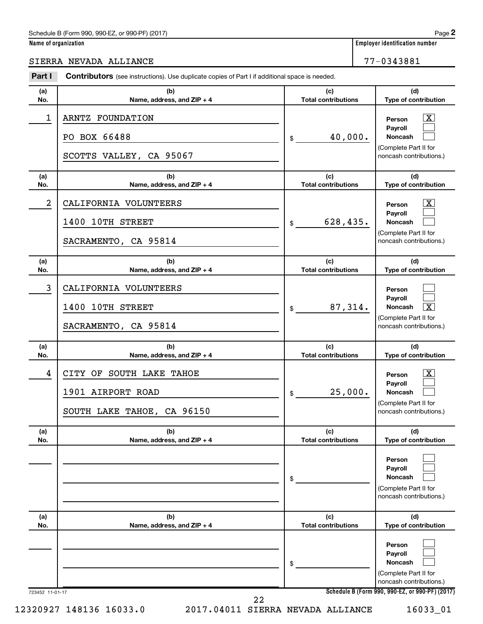#### Schedule B (Form 990, 990-EZ, or 990-PF) (2017)

| Name of organization |
|----------------------|
|----------------------|

SIERRA NEVADA ALLIANCE 77-0343881

#### 723452 11-01-17 **Schedule B (Form 990, 990-EZ, or 990-PF) (2017) (a) No. (b) Name, address, and ZIP + 4 (c) Total contributions (d) Type of contribution Person Payroll Noncash (a) No. (b) Name, address, and ZIP + 4 (c) Total contributions (d) Type of contribution Person Payroll Noncash (a) No. (b) Name, address, and ZIP + 4 (c) Total contributions (d) Type of contribution Person Payroll Noncash (a) No. (b) Name, address, and ZIP + 4 (c) Total contributions (d) Type of contribution Person Payroll Noncash (a) No. (b) Name, address, and ZIP + 4 (c) Total contributions (d) Type of contribution Person Payroll Noncash (a) No. (b) Name, address, and ZIP + 4 (c) Total contributions (d) Type of contribution Person Payroll Noncash Part I** Contributors (see instructions). Use duplicate copies of Part I if additional space is needed. \$ (Complete Part II for noncash contributions.) \$ (Complete Part II for noncash contributions.) \$ (Complete Part II for noncash contributions.) \$ (Complete Part II for noncash contributions.) \$ (Complete Part II for noncash contributions.) \$ (Complete Part II for noncash contributions.) †  $\Box$  $\Box$  $\overline{\mathbf{X}}$  $\Box$  $\Box$  $\Box$  $\Box$  $\sqrt{X}$  $\boxed{\textbf{X}}$  $\Box$  $\Box$  $\Box$  $\Box$  $\Box$  $\Box$  $\Box$  $\Box$ 1 | ARNTZ FOUNDATION PO BOX 66488  $\vert \text{\textsterling} \vert \text{\textsterling} \vert \text{\textsterling} \vert \text{\textsterling} \vert \text{\textsterling} \vert \text{\textsterling} \vert \text{\textsterling} \vert \text{\textsterling} \vert \text{\textstrile} \vert \text{\textstrile} \vert \text{\textstrile} \vert \text{\textstrile} \vert \text{\textstrile} \vert \text{\textstrile} \vert \text{\textstrile} \vert \text{\textstrile} \vert \text{\textstrile} \vert \text{\textstrile} \vert \text{\textstrile} \vert \text{\textstrile} \vert \text{\textstrile} \vert \text{\textstrile} \vert \text{\textstrile}$ SCOTTS VALLEY, CA 95067 2 | CALIFORNIA VOLUNTEERS 1400 10TH STREET 628,435. SACRAMENTO, CA 95814 3 CALIFORNIA VOLUNTEERS  $1400$  10TH STREET  $\frac{1}{3}$  87,314. SACRAMENTO, CA 95814 4 CITY OF SOUTH LAKE TAHOE X 1901 AIRPORT ROAD 25,000. SOUTH LAKE TAHOE, CA 96150 12320927 148136 16033.0 2017.04011 SIERRA NEVADA ALLIANCE 16033\_01 22

**2**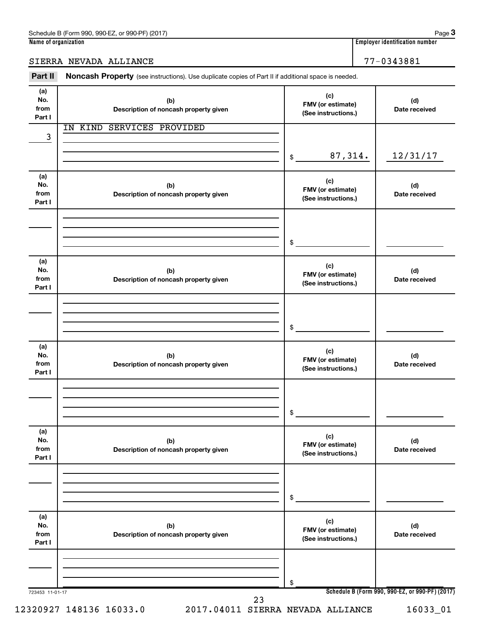### SIERRA NEVADA ALLIANCE 77-0343881

Part II Noncash Property (see instructions). Use duplicate copies of Part II if additional space is needed.

| (a)<br>No.<br>from<br>Part I | (b)<br>Description of noncash property given | (c)<br>FMV (or estimate)<br>(See instructions.) | (d)<br>Date received                            |
|------------------------------|----------------------------------------------|-------------------------------------------------|-------------------------------------------------|
| 3                            | IN KIND SERVICES PROVIDED                    |                                                 |                                                 |
|                              |                                              | 87,314.<br>\$                                   | 12/31/17                                        |
| (a)<br>No.<br>from<br>Part I | (b)<br>Description of noncash property given | (c)<br>FMV (or estimate)<br>(See instructions.) | (d)<br>Date received                            |
|                              |                                              | \$                                              |                                                 |
| (a)<br>No.<br>from<br>Part I | (b)<br>Description of noncash property given | (c)<br>FMV (or estimate)<br>(See instructions.) | (d)<br>Date received                            |
|                              |                                              | \$                                              |                                                 |
| (a)<br>No.<br>from<br>Part I | (b)<br>Description of noncash property given | (c)<br>FMV (or estimate)<br>(See instructions.) | (d)<br>Date received                            |
|                              |                                              | \$                                              |                                                 |
| (a)<br>No.<br>from<br>Part I | (b)<br>Description of noncash property given | (c)<br>FMV (or estimate)<br>(See instructions.) | (d)<br>Date received                            |
|                              |                                              | \$                                              |                                                 |
| (a)<br>No.<br>from<br>Part I | (b)<br>Description of noncash property given | (c)<br>FMV (or estimate)<br>(See instructions.) | (d)<br>Date received                            |
|                              |                                              | \$                                              |                                                 |
| 723453 11-01-17              | 23<br>12320927 148136 16033.0                | 2017.04011 SIERRA NEVADA ALLIANCE               | Schedule B (Form 990, 990-EZ, or 990-PF) (2017) |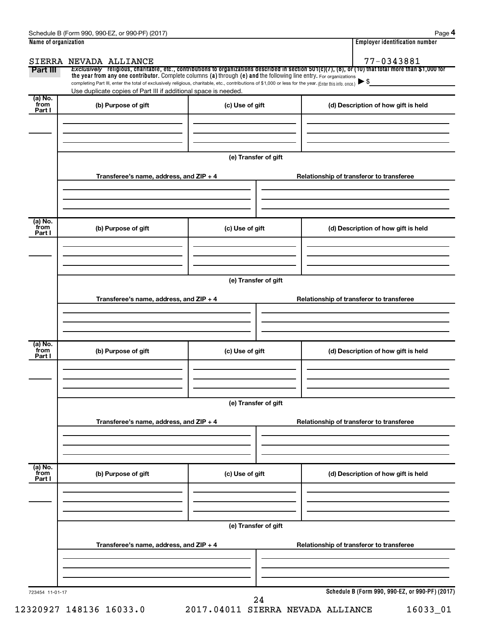| Name of organization      |                                                                                                                                                                                                                                                                                 |                      | <b>Employer identification number</b>                                                                                                                               |
|---------------------------|---------------------------------------------------------------------------------------------------------------------------------------------------------------------------------------------------------------------------------------------------------------------------------|----------------------|---------------------------------------------------------------------------------------------------------------------------------------------------------------------|
| Part III                  | SIERRA NEVADA ALLIANCE                                                                                                                                                                                                                                                          |                      | 77-0343881<br>Exclusively religious, charitable, etc., contributions to organizations described in section 501(c)(7), (8), or (10) that total more than \$1,000 for |
|                           | the year from any one contributor. Complete columns (a) through (e) and the following line entry. For organizations<br>completing Part III, enter the total of exclusively religious, charitable, etc., contributions of \$1,000 or less for the year. (Enter this info. once.) |                      |                                                                                                                                                                     |
|                           | Use duplicate copies of Part III if additional space is needed.                                                                                                                                                                                                                 |                      |                                                                                                                                                                     |
| (a) No.<br>from<br>Part I | (b) Purpose of gift                                                                                                                                                                                                                                                             | (c) Use of gift      | (d) Description of how gift is held                                                                                                                                 |
|                           |                                                                                                                                                                                                                                                                                 |                      |                                                                                                                                                                     |
|                           |                                                                                                                                                                                                                                                                                 | (e) Transfer of gift |                                                                                                                                                                     |
|                           | Transferee's name, address, and ZIP + 4                                                                                                                                                                                                                                         |                      | Relationship of transferor to transferee                                                                                                                            |
| (a) No.<br>from<br>Part I | (b) Purpose of gift                                                                                                                                                                                                                                                             | (c) Use of gift      | (d) Description of how gift is held                                                                                                                                 |
|                           |                                                                                                                                                                                                                                                                                 |                      |                                                                                                                                                                     |
|                           |                                                                                                                                                                                                                                                                                 | (e) Transfer of gift |                                                                                                                                                                     |
|                           | Transferee's name, address, and ZIP + 4                                                                                                                                                                                                                                         |                      | Relationship of transferor to transferee                                                                                                                            |
|                           |                                                                                                                                                                                                                                                                                 |                      |                                                                                                                                                                     |
| (a) No.<br>from<br>Part I | (b) Purpose of gift                                                                                                                                                                                                                                                             | (c) Use of gift      | (d) Description of how gift is held                                                                                                                                 |
|                           |                                                                                                                                                                                                                                                                                 |                      |                                                                                                                                                                     |
|                           |                                                                                                                                                                                                                                                                                 | (e) Transfer of gift |                                                                                                                                                                     |
|                           | Transferee's name, address, and ZIP + 4                                                                                                                                                                                                                                         |                      | Relationship of transferor to transferee                                                                                                                            |
| (a) No.<br>from<br>Part I | (b) Purpose of gift                                                                                                                                                                                                                                                             | (c) Use of gift      | (d) Description of how gift is held                                                                                                                                 |
|                           |                                                                                                                                                                                                                                                                                 |                      |                                                                                                                                                                     |
|                           |                                                                                                                                                                                                                                                                                 | (e) Transfer of gift |                                                                                                                                                                     |
|                           | Transferee's name, address, and ZIP + 4                                                                                                                                                                                                                                         |                      | Relationship of transferor to transferee                                                                                                                            |
|                           |                                                                                                                                                                                                                                                                                 |                      |                                                                                                                                                                     |
| 723454 11-01-17           |                                                                                                                                                                                                                                                                                 | 24                   | Schedule B (Form 990, 990-EZ, or 990-PF) (2017)                                                                                                                     |

12320927 148136 16033.0 2017.04011 SIERRA NEVADA ALLIANCE 16033\_01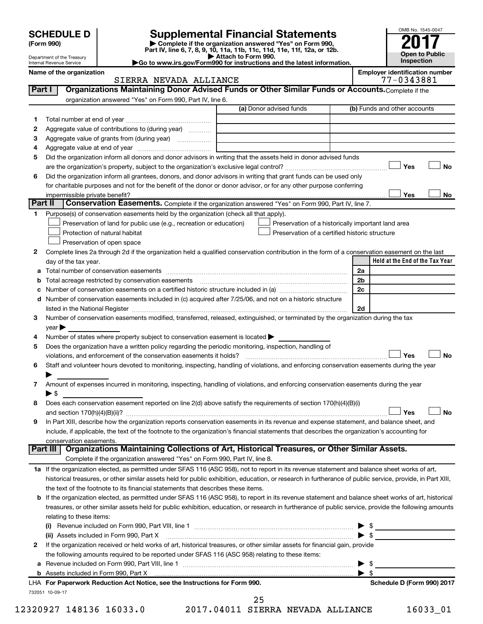| <b>SCHEDULE D</b> |  |
|-------------------|--|
|-------------------|--|

| (Form 990) |  |
|------------|--|
|------------|--|

# **SCHEDULE D Supplemental Financial Statements**<br> **Form 990 2017**<br> **Part IV** line 6.7.8.9.10, 11a, 11b, 11d, 11d, 11d, 11d, 11d, 12a, 0r, 12b

**(Form 990) | Complete if the organization answered "Yes" on Form 990, Part IV, line 6, 7, 8, 9, 10, 11a, 11b, 11c, 11d, 11e, 11f, 12a, or 12b.**

**| Attach to Form 990. |Go to www.irs.gov/Form990 for instructions and the latest information.**



Department of the Treasury Internal Revenue Service

**Name of the organization Employer identification number**

|         | SIERRA NEVADA ALLIANCE                                                                                                                                    | 77-0343881                      |  |  |  |  |
|---------|-----------------------------------------------------------------------------------------------------------------------------------------------------------|---------------------------------|--|--|--|--|
| Part I  | Organizations Maintaining Donor Advised Funds or Other Similar Funds or Accounts. Complete if the                                                         |                                 |  |  |  |  |
|         | organization answered "Yes" on Form 990, Part IV, line 6.                                                                                                 |                                 |  |  |  |  |
|         | (a) Donor advised funds                                                                                                                                   | (b) Funds and other accounts    |  |  |  |  |
| 1       |                                                                                                                                                           |                                 |  |  |  |  |
| 2       | Aggregate value of contributions to (during year)                                                                                                         |                                 |  |  |  |  |
| 3       | Aggregate value of grants from (during year)                                                                                                              |                                 |  |  |  |  |
| 4       |                                                                                                                                                           |                                 |  |  |  |  |
| 5       | Did the organization inform all donors and donor advisors in writing that the assets held in donor advised funds                                          |                                 |  |  |  |  |
|         |                                                                                                                                                           | Yes<br>No                       |  |  |  |  |
| 6       | Did the organization inform all grantees, donors, and donor advisors in writing that grant funds can be used only                                         |                                 |  |  |  |  |
|         | for charitable purposes and not for the benefit of the donor or donor advisor, or for any other purpose conferring                                        |                                 |  |  |  |  |
|         | impermissible private benefit?                                                                                                                            | Yes<br>No                       |  |  |  |  |
| Part II | Conservation Easements. Complete if the organization answered "Yes" on Form 990, Part IV, line 7.                                                         |                                 |  |  |  |  |
| 1.      | Purpose(s) of conservation easements held by the organization (check all that apply).                                                                     |                                 |  |  |  |  |
|         | Preservation of land for public use (e.g., recreation or education)<br>Preservation of a historically important land area                                 |                                 |  |  |  |  |
|         | Protection of natural habitat<br>Preservation of a certified historic structure                                                                           |                                 |  |  |  |  |
|         | Preservation of open space                                                                                                                                |                                 |  |  |  |  |
| 2       | Complete lines 2a through 2d if the organization held a qualified conservation contribution in the form of a conservation easement on the last            |                                 |  |  |  |  |
|         | day of the tax year.                                                                                                                                      | Held at the End of the Tax Year |  |  |  |  |
|         |                                                                                                                                                           | 2a                              |  |  |  |  |
|         | <b>b</b> Total acreage restricted by conservation easements                                                                                               | 2b                              |  |  |  |  |
|         | c Number of conservation easements on a certified historic structure included in (a) manufacture included in (a)                                          | 2c                              |  |  |  |  |
|         | d Number of conservation easements included in (c) acquired after 7/25/06, and not on a historic structure                                                |                                 |  |  |  |  |
|         |                                                                                                                                                           | 2d                              |  |  |  |  |
| 3       | Number of conservation easements modified, transferred, released, extinguished, or terminated by the organization during the tax                          |                                 |  |  |  |  |
|         | $year \triangleright$                                                                                                                                     |                                 |  |  |  |  |
| 4       | Number of states where property subject to conservation easement is located >                                                                             |                                 |  |  |  |  |
| 5       | Does the organization have a written policy regarding the periodic monitoring, inspection, handling of                                                    |                                 |  |  |  |  |
|         | violations, and enforcement of the conservation easements it holds?                                                                                       | Yes<br><b>No</b>                |  |  |  |  |
| 6       | Staff and volunteer hours devoted to monitoring, inspecting, handling of violations, and enforcing conservation easements during the year                 |                                 |  |  |  |  |
|         |                                                                                                                                                           |                                 |  |  |  |  |
| 7       | Amount of expenses incurred in monitoring, inspecting, handling of violations, and enforcing conservation easements during the year                       |                                 |  |  |  |  |
|         | $\blacktriangleright$ \$                                                                                                                                  |                                 |  |  |  |  |
| 8       | Does each conservation easement reported on line 2(d) above satisfy the requirements of section 170(h)(4)(B)(i)                                           |                                 |  |  |  |  |
|         |                                                                                                                                                           | <b>No</b><br>Yes                |  |  |  |  |
| 9       | In Part XIII, describe how the organization reports conservation easements in its revenue and expense statement, and balance sheet, and                   |                                 |  |  |  |  |
|         | include, if applicable, the text of the footnote to the organization's financial statements that describes the organization's accounting for              |                                 |  |  |  |  |
|         | conservation easements.                                                                                                                                   |                                 |  |  |  |  |
|         | Organizations Maintaining Collections of Art, Historical Treasures, or Other Similar Assets.<br>Part III                                                  |                                 |  |  |  |  |
|         | Complete if the organization answered "Yes" on Form 990, Part IV, line 8.                                                                                 |                                 |  |  |  |  |
|         | 1a If the organization elected, as permitted under SFAS 116 (ASC 958), not to report in its revenue statement and balance sheet works of art,             |                                 |  |  |  |  |
|         | historical treasures, or other similar assets held for public exhibition, education, or research in furtherance of public service, provide, in Part XIII, |                                 |  |  |  |  |
|         | the text of the footnote to its financial statements that describes these items.                                                                          |                                 |  |  |  |  |
|         | b If the organization elected, as permitted under SFAS 116 (ASC 958), to report in its revenue statement and balance sheet works of art, historical       |                                 |  |  |  |  |
|         | treasures, or other similar assets held for public exhibition, education, or research in furtherance of public service, provide the following amounts     |                                 |  |  |  |  |
|         | relating to these items:                                                                                                                                  |                                 |  |  |  |  |
|         |                                                                                                                                                           | - \$                            |  |  |  |  |
|         | (ii) Assets included in Form 990, Part X                                                                                                                  | $\blacktriangleright$ s         |  |  |  |  |
| 2       | If the organization received or held works of art, historical treasures, or other similar assets for financial gain, provide                              |                                 |  |  |  |  |
|         | the following amounts required to be reported under SFAS 116 (ASC 958) relating to these items:                                                           |                                 |  |  |  |  |
|         |                                                                                                                                                           | $\blacktriangleright$ \$        |  |  |  |  |
|         |                                                                                                                                                           | $\blacktriangleright$ \$        |  |  |  |  |

732051 10-09-17 **For Paperwork Reduction Act Notice, see the Instructions for Form 990. Schedule D (Form 990) 2017** LHA

25

12320927 148136 16033.0 2017.04011 SIERRA NEVADA ALLIANCE 16033\_01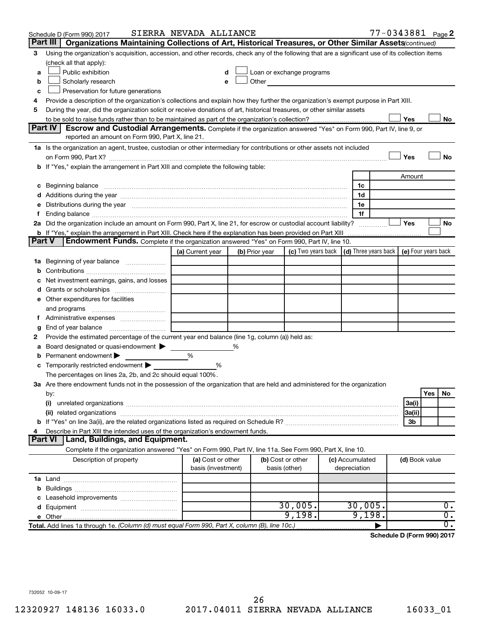|               | Schedule D (Form 990) 2017                                                                                                                                                                                                     | SIERRA NEVADA ALLIANCE                  |                |                                                                                                                                                                                                                               |                                 |                | 77-0343881 Page 2                                 |
|---------------|--------------------------------------------------------------------------------------------------------------------------------------------------------------------------------------------------------------------------------|-----------------------------------------|----------------|-------------------------------------------------------------------------------------------------------------------------------------------------------------------------------------------------------------------------------|---------------------------------|----------------|---------------------------------------------------|
|               | Part III<br>Organizations Maintaining Collections of Art, Historical Treasures, or Other Similar Assets (continued)                                                                                                            |                                         |                |                                                                                                                                                                                                                               |                                 |                |                                                   |
| 3             | Using the organization's acquisition, accession, and other records, check any of the following that are a significant use of its collection items<br>(check all that apply):                                                   |                                         |                |                                                                                                                                                                                                                               |                                 |                |                                                   |
| a             | Public exhibition                                                                                                                                                                                                              | d                                       |                | Loan or exchange programs                                                                                                                                                                                                     |                                 |                |                                                   |
| b             | Scholarly research                                                                                                                                                                                                             | е                                       |                | Other and the contract of the contract of the contract of the contract of the contract of the contract of the contract of the contract of the contract of the contract of the contract of the contract of the contract of the |                                 |                |                                                   |
| c             | Preservation for future generations                                                                                                                                                                                            |                                         |                |                                                                                                                                                                                                                               |                                 |                |                                                   |
| 4             | Provide a description of the organization's collections and explain how they further the organization's exempt purpose in Part XIII.                                                                                           |                                         |                |                                                                                                                                                                                                                               |                                 |                |                                                   |
| 5             | During the year, did the organization solicit or receive donations of art, historical treasures, or other similar assets                                                                                                       |                                         |                |                                                                                                                                                                                                                               |                                 |                |                                                   |
|               |                                                                                                                                                                                                                                |                                         |                |                                                                                                                                                                                                                               |                                 | Yes            | No                                                |
|               | Part IV<br><b>Escrow and Custodial Arrangements.</b> Complete if the organization answered "Yes" on Form 990, Part IV, line 9, or                                                                                              |                                         |                |                                                                                                                                                                                                                               |                                 |                |                                                   |
|               | reported an amount on Form 990, Part X, line 21.                                                                                                                                                                               |                                         |                |                                                                                                                                                                                                                               |                                 |                |                                                   |
|               | 1a Is the organization an agent, trustee, custodian or other intermediary for contributions or other assets not included                                                                                                       |                                         |                |                                                                                                                                                                                                                               |                                 |                |                                                   |
|               |                                                                                                                                                                                                                                |                                         |                |                                                                                                                                                                                                                               |                                 | Yes            | No                                                |
|               | b If "Yes," explain the arrangement in Part XIII and complete the following table:                                                                                                                                             |                                         |                |                                                                                                                                                                                                                               |                                 |                |                                                   |
|               |                                                                                                                                                                                                                                |                                         |                |                                                                                                                                                                                                                               |                                 | Amount         |                                                   |
|               | c Beginning balance measurements and the contract of Beginning balance measurements are all the contract of the contract of the contract of the contract of the contract of the contract of the contract of the contract of th |                                         |                |                                                                                                                                                                                                                               | 1c                              |                |                                                   |
|               | d Additions during the year manufactured and an according to the year manufactured and according the year manufactured and according to the year manufactured and according to the year manufactured and according to the stat |                                         |                |                                                                                                                                                                                                                               | 1d                              |                |                                                   |
|               | e Distributions during the year manufactured and continuum control of the control of the control of the state of the control of the control of the control of the control of the control of the control of the control of the  |                                         |                |                                                                                                                                                                                                                               | 1e                              |                |                                                   |
| Ť.            | Ending balance measurements are all the contract of the contract of the contract of the contract of the contract of the contract of the contract of the contract of the contract of the contract of the contract of the contra |                                         |                |                                                                                                                                                                                                                               | 1f                              |                |                                                   |
|               | 2a Did the organization include an amount on Form 990, Part X, line 21, for escrow or custodial account liability?                                                                                                             |                                         |                |                                                                                                                                                                                                                               |                                 | Yes            | No                                                |
|               | <b>b</b> If "Yes," explain the arrangement in Part XIII. Check here if the explanation has been provided on Part XIII                                                                                                          |                                         |                |                                                                                                                                                                                                                               |                                 |                |                                                   |
| <b>Part V</b> | <b>Endowment Funds.</b> Complete if the organization answered "Yes" on Form 990, Part IV, line 10.                                                                                                                             |                                         |                |                                                                                                                                                                                                                               |                                 |                |                                                   |
|               |                                                                                                                                                                                                                                | (a) Current year                        | (b) Prior year | (c) Two years back                                                                                                                                                                                                            |                                 |                | $(d)$ Three years back $\mid$ (e) Four years back |
|               | 1a Beginning of year balance                                                                                                                                                                                                   |                                         |                |                                                                                                                                                                                                                               |                                 |                |                                                   |
| b             |                                                                                                                                                                                                                                |                                         |                |                                                                                                                                                                                                                               |                                 |                |                                                   |
| с             | Net investment earnings, gains, and losses                                                                                                                                                                                     |                                         |                |                                                                                                                                                                                                                               |                                 |                |                                                   |
|               |                                                                                                                                                                                                                                |                                         |                |                                                                                                                                                                                                                               |                                 |                |                                                   |
|               | e Other expenditures for facilities                                                                                                                                                                                            |                                         |                |                                                                                                                                                                                                                               |                                 |                |                                                   |
|               | and programs                                                                                                                                                                                                                   |                                         |                |                                                                                                                                                                                                                               |                                 |                |                                                   |
|               |                                                                                                                                                                                                                                |                                         |                |                                                                                                                                                                                                                               |                                 |                |                                                   |
| g             |                                                                                                                                                                                                                                |                                         |                |                                                                                                                                                                                                                               |                                 |                |                                                   |
| 2             | Provide the estimated percentage of the current year end balance (line 1g, column (a)) held as:                                                                                                                                |                                         |                |                                                                                                                                                                                                                               |                                 |                |                                                   |
| а             | Board designated or quasi-endowment                                                                                                                                                                                            |                                         | %              |                                                                                                                                                                                                                               |                                 |                |                                                   |
| b             | Permanent endowment                                                                                                                                                                                                            | %                                       |                |                                                                                                                                                                                                                               |                                 |                |                                                   |
| С             | Temporarily restricted endowment                                                                                                                                                                                               | %                                       |                |                                                                                                                                                                                                                               |                                 |                |                                                   |
|               | The percentages on lines 2a, 2b, and 2c should equal 100%.                                                                                                                                                                     |                                         |                |                                                                                                                                                                                                                               |                                 |                |                                                   |
|               | 3a Are there endowment funds not in the possession of the organization that are held and administered for the organization                                                                                                     |                                         |                |                                                                                                                                                                                                                               |                                 |                |                                                   |
|               | by:                                                                                                                                                                                                                            |                                         |                |                                                                                                                                                                                                                               |                                 |                | Yes<br>No                                         |
|               | (i)                                                                                                                                                                                                                            |                                         |                |                                                                                                                                                                                                                               |                                 | 3a(i)          |                                                   |
|               |                                                                                                                                                                                                                                |                                         |                |                                                                                                                                                                                                                               |                                 | 3a(ii)         |                                                   |
|               |                                                                                                                                                                                                                                |                                         |                |                                                                                                                                                                                                                               |                                 | 3b             |                                                   |
| 4             | Describe in Part XIII the intended uses of the organization's endowment funds.                                                                                                                                                 |                                         |                |                                                                                                                                                                                                                               |                                 |                |                                                   |
|               | <b>Land, Buildings, and Equipment.</b><br><b>Part VI</b>                                                                                                                                                                       |                                         |                |                                                                                                                                                                                                                               |                                 |                |                                                   |
|               | Complete if the organization answered "Yes" on Form 990, Part IV, line 11a. See Form 990, Part X, line 10.                                                                                                                     |                                         |                |                                                                                                                                                                                                                               |                                 |                |                                                   |
|               | Description of property                                                                                                                                                                                                        | (a) Cost or other<br>basis (investment) |                | (b) Cost or other<br>basis (other)                                                                                                                                                                                            | (c) Accumulated<br>depreciation | (d) Book value |                                                   |
|               |                                                                                                                                                                                                                                |                                         |                |                                                                                                                                                                                                                               |                                 |                |                                                   |
|               |                                                                                                                                                                                                                                |                                         |                |                                                                                                                                                                                                                               |                                 |                |                                                   |
|               |                                                                                                                                                                                                                                |                                         |                |                                                                                                                                                                                                                               |                                 |                |                                                   |
|               |                                                                                                                                                                                                                                |                                         |                | 30,005.                                                                                                                                                                                                                       | 30,005.                         |                | $\overline{0}$ .                                  |
|               |                                                                                                                                                                                                                                |                                         |                | 9,198.                                                                                                                                                                                                                        | 9,198.                          |                | $\overline{0}$ .                                  |
|               | Total. Add lines 1a through 1e. (Column (d) must equal Form 990, Part X, column (B), line 10c.)                                                                                                                                |                                         |                |                                                                                                                                                                                                                               |                                 |                | $\overline{0}$ .                                  |
|               |                                                                                                                                                                                                                                |                                         |                |                                                                                                                                                                                                                               |                                 |                |                                                   |

**Schedule D (Form 990) 2017**

732052 10-09-17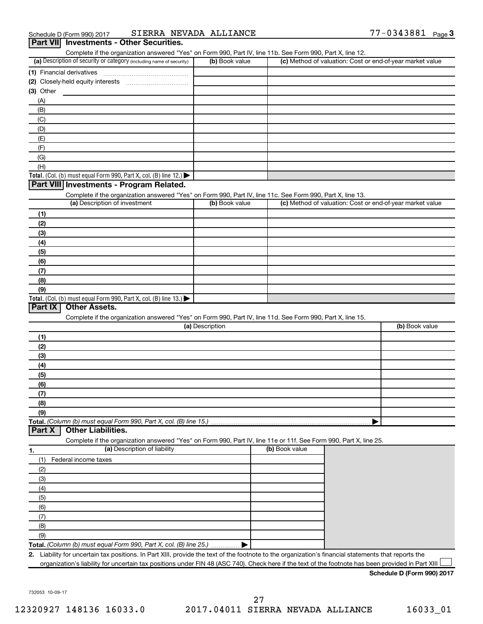| (a) Description of security or category (including name of security)                                                                          | (b) Book value  | (c) Method of valuation: Cost or end-of-year market value |                                                           |
|-----------------------------------------------------------------------------------------------------------------------------------------------|-----------------|-----------------------------------------------------------|-----------------------------------------------------------|
|                                                                                                                                               |                 |                                                           |                                                           |
|                                                                                                                                               |                 |                                                           |                                                           |
| $(3)$ Other                                                                                                                                   |                 |                                                           |                                                           |
| (A)                                                                                                                                           |                 |                                                           |                                                           |
| (B)                                                                                                                                           |                 |                                                           |                                                           |
| (C)                                                                                                                                           |                 |                                                           |                                                           |
| (D)                                                                                                                                           |                 |                                                           |                                                           |
| (E)                                                                                                                                           |                 |                                                           |                                                           |
| (F)                                                                                                                                           |                 |                                                           |                                                           |
| (G)                                                                                                                                           |                 |                                                           |                                                           |
| (H)                                                                                                                                           |                 |                                                           |                                                           |
| Total. (Col. (b) must equal Form 990, Part X, col. (B) line 12.) $\blacktriangleright$                                                        |                 |                                                           |                                                           |
| Part VIII Investments - Program Related.                                                                                                      |                 |                                                           |                                                           |
| Complete if the organization answered "Yes" on Form 990, Part IV, line 11c. See Form 990, Part X, line 13.                                    |                 |                                                           |                                                           |
| (a) Description of investment                                                                                                                 | (b) Book value  |                                                           | (c) Method of valuation: Cost or end-of-year market value |
|                                                                                                                                               |                 |                                                           |                                                           |
| (1)                                                                                                                                           |                 |                                                           |                                                           |
| (2)                                                                                                                                           |                 |                                                           |                                                           |
| (3)                                                                                                                                           |                 |                                                           |                                                           |
| (4)                                                                                                                                           |                 |                                                           |                                                           |
| (5)                                                                                                                                           |                 |                                                           |                                                           |
| (6)                                                                                                                                           |                 |                                                           |                                                           |
| (7)                                                                                                                                           |                 |                                                           |                                                           |
| (8)                                                                                                                                           |                 |                                                           |                                                           |
| (9)                                                                                                                                           |                 |                                                           |                                                           |
| Part IX<br><b>Other Assets.</b><br>Complete if the organization answered "Yes" on Form 990, Part IV, line 11d. See Form 990, Part X, line 15. |                 |                                                           |                                                           |
|                                                                                                                                               | (a) Description |                                                           | (b) Book value                                            |
| (1)                                                                                                                                           |                 |                                                           |                                                           |
| (2)                                                                                                                                           |                 |                                                           |                                                           |
| (3)                                                                                                                                           |                 |                                                           |                                                           |
| (4)                                                                                                                                           |                 |                                                           |                                                           |
| (5)                                                                                                                                           |                 |                                                           |                                                           |
| (6)                                                                                                                                           |                 |                                                           |                                                           |
| (7)                                                                                                                                           |                 |                                                           |                                                           |
| (8)                                                                                                                                           |                 |                                                           |                                                           |
| (9)                                                                                                                                           |                 |                                                           |                                                           |
|                                                                                                                                               |                 |                                                           |                                                           |
| <b>Other Liabilities.</b><br>Part X                                                                                                           |                 |                                                           |                                                           |
| Complete if the organization answered "Yes" on Form 990, Part IV, line 11e or 11f. See Form 990, Part X, line 25.                             |                 |                                                           |                                                           |
|                                                                                                                                               |                 | (b) Book value                                            |                                                           |
| (a) Description of liability                                                                                                                  |                 |                                                           |                                                           |
|                                                                                                                                               |                 |                                                           |                                                           |
| Federal income taxes<br>(1)                                                                                                                   |                 |                                                           |                                                           |
| (2)                                                                                                                                           |                 |                                                           |                                                           |
| (3)                                                                                                                                           |                 |                                                           |                                                           |
| (4)                                                                                                                                           |                 |                                                           |                                                           |
| (5)                                                                                                                                           |                 |                                                           |                                                           |
| (6)                                                                                                                                           |                 |                                                           |                                                           |
| (7)                                                                                                                                           |                 |                                                           |                                                           |
| (8)                                                                                                                                           |                 |                                                           |                                                           |
| 1.<br>(9)<br>Total. (Column (b) must equal Form 990, Part X, col. (B) line 25.)                                                               |                 |                                                           |                                                           |

Complete if the organization answered "Yes" on Form 990, Part IV, line 11b. See Form 990, Part X, line 12.

732053 10-09-17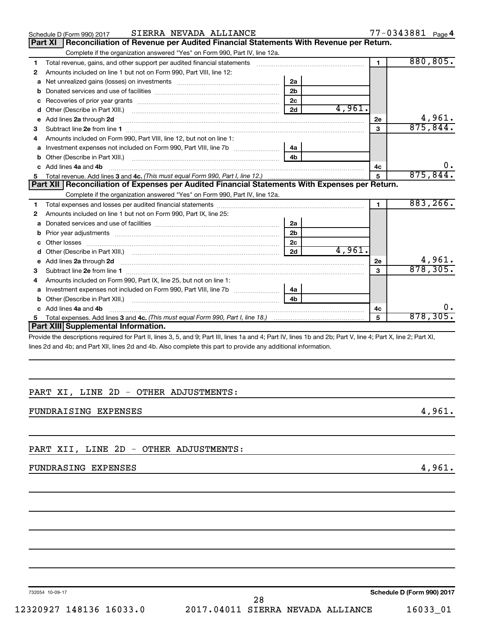| SIERRA NEVADA ALLIANCE<br>Schedule D (Form 990) 2017                                                                                                                                                                               |                |        |                | 77-0343881 Page 4 |
|------------------------------------------------------------------------------------------------------------------------------------------------------------------------------------------------------------------------------------|----------------|--------|----------------|-------------------|
| Reconciliation of Revenue per Audited Financial Statements With Revenue per Return.<br><b>Part XI</b>                                                                                                                              |                |        |                |                   |
| Complete if the organization answered "Yes" on Form 990, Part IV, line 12a.                                                                                                                                                        |                |        |                |                   |
| Total revenue, gains, and other support per audited financial statements [[[[[[[[[[[[[[[[[[[[[[]]]]]]]]]]]]]]<br>1                                                                                                                 |                |        | $\blacksquare$ | 880, 805.         |
| Amounts included on line 1 but not on Form 990, Part VIII, line 12:<br>2                                                                                                                                                           |                |        |                |                   |
| a                                                                                                                                                                                                                                  | 2a             |        |                |                   |
| b                                                                                                                                                                                                                                  | 2 <sub>b</sub> |        |                |                   |
| c                                                                                                                                                                                                                                  | 2 <sub>c</sub> |        |                |                   |
| d                                                                                                                                                                                                                                  | 2d             | 4,961. |                |                   |
| е                                                                                                                                                                                                                                  |                |        | 2e             | 4,961.            |
| З                                                                                                                                                                                                                                  |                |        | $\mathbf{a}$   | 875, 844.         |
| Amounts included on Form 990, Part VIII, line 12, but not on line 1:<br>4                                                                                                                                                          |                |        |                |                   |
| Investment expenses not included on Form 990, Part VIII, line 7b [                                                                                                                                                                 | 4a             |        |                |                   |
| b                                                                                                                                                                                                                                  | 4 <sub>h</sub> |        |                |                   |
| Add lines 4a and 4b<br>c.                                                                                                                                                                                                          |                |        | 4с             | 0.                |
|                                                                                                                                                                                                                                    |                |        | 5              | 875, 844.         |
| Part XII   Reconciliation of Expenses per Audited Financial Statements With Expenses per Return.                                                                                                                                   |                |        |                |                   |
| Complete if the organization answered "Yes" on Form 990, Part IV, line 12a.                                                                                                                                                        |                |        |                |                   |
| 1                                                                                                                                                                                                                                  |                |        | $\blacksquare$ | 883, 266.         |
| Amounts included on line 1 but not on Form 990, Part IX, line 25:<br>2                                                                                                                                                             |                |        |                |                   |
| a                                                                                                                                                                                                                                  | 2a             |        |                |                   |
| b                                                                                                                                                                                                                                  | 2 <sub>b</sub> |        |                |                   |
| c.                                                                                                                                                                                                                                 | 2 <sub>c</sub> |        |                |                   |
| d                                                                                                                                                                                                                                  | 2d             | 4,961. |                |                   |
| e Add lines 2a through 2d <b>contract and all an additional and all an</b> and all and an additional and an additional and an additional and an additional and an additional and an additional and an additional and an additional |                |        | 2е             | 4,961.            |
| Subtract line 2e from line 1 <b>manufacture in the contract of the 2e</b> from line 1<br>З                                                                                                                                         |                |        | 3              | 878, 305.         |
| Amounts included on Form 990, Part IX, line 25, but not on line 1:                                                                                                                                                                 |                |        |                |                   |
| a                                                                                                                                                                                                                                  | 4a             |        |                |                   |
| b                                                                                                                                                                                                                                  | 4 <sub>b</sub> |        |                |                   |
| Add lines 4a and 4b                                                                                                                                                                                                                |                |        | 4c             | О.                |
| 5                                                                                                                                                                                                                                  |                |        | 5              | 878, 305.         |
| Part XIII Supplemental Information.                                                                                                                                                                                                |                |        |                |                   |

Provide the descriptions required for Part II, lines 3, 5, and 9; Part III, lines 1a and 4; Part IV, lines 1b and 2b; Part V, line 4; Part X, line 2; Part XI, lines 2d and 4b; and Part XII, lines 2d and 4b. Also complete this part to provide any additional information.

### PART XI, LINE 2D - OTHER ADJUSTMENTS:

FUNDRAISING EXPENSES 4,961.

PART XII, LINE 2D - OTHER ADJUSTMENTS:

### FUNDRASING EXPENSES 4,961.

732054 10-09-17

**Schedule D (Form 990) 2017**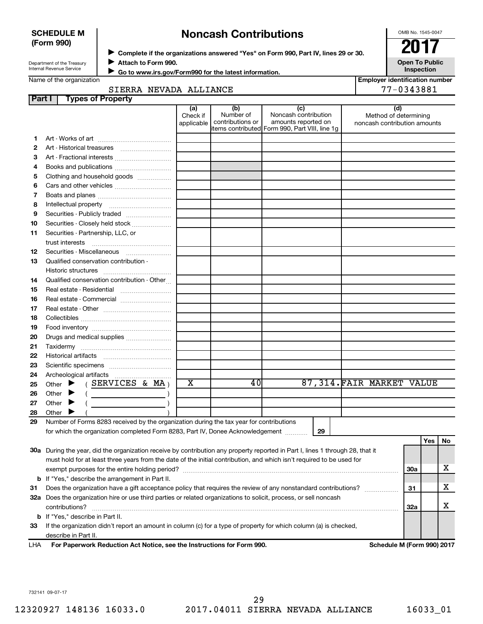| <b>SCHEDULE M</b> |  |
|-------------------|--|
| (Form 990)        |  |

# ◆ Complete if the organizations answered "Yes" on Form 990, Part IV, lines 29 or 30.<br>▶ Complete if the organizations answered "Yes" on Form 990, Part IV, lines 29 or 30. **Noncash Contributions**

OMB No. 1545-0047

Department of the Treasury Internal Revenue Service

**Attach to Form 990.** J  **Go to www.irs.gov/Form990 for the latest information.** J **Open To Public Inspection**

Name of the organization

| <b>Employer identification number</b> |           |  |
|---------------------------------------|-----------|--|
|                                       | 100212001 |  |

#### SIERRA NEVADA ALLIANCE 77-0343881

| Part I | <b>Types of Property</b>                                                                                                       |                               |                                      |                                                                                                      |                                                              |     |     |     |
|--------|--------------------------------------------------------------------------------------------------------------------------------|-------------------------------|--------------------------------------|------------------------------------------------------------------------------------------------------|--------------------------------------------------------------|-----|-----|-----|
|        |                                                                                                                                | (a)<br>Check if<br>applicable | (b)<br>Number of<br>contributions or | (c)<br>Noncash contribution<br>amounts reported on<br>items contributed Form 990, Part VIII, line 1g | (d)<br>Method of determining<br>noncash contribution amounts |     |     |     |
| 1      |                                                                                                                                |                               |                                      |                                                                                                      |                                                              |     |     |     |
| 2      |                                                                                                                                |                               |                                      |                                                                                                      |                                                              |     |     |     |
| 3      | Art - Fractional interests                                                                                                     |                               |                                      |                                                                                                      |                                                              |     |     |     |
| 4      | Books and publications                                                                                                         |                               |                                      |                                                                                                      |                                                              |     |     |     |
| 5      | Clothing and household goods                                                                                                   |                               |                                      |                                                                                                      |                                                              |     |     |     |
| 6      |                                                                                                                                |                               |                                      |                                                                                                      |                                                              |     |     |     |
| 7      |                                                                                                                                |                               |                                      |                                                                                                      |                                                              |     |     |     |
| 8      |                                                                                                                                |                               |                                      |                                                                                                      |                                                              |     |     |     |
| 9      | Securities - Publicly traded                                                                                                   |                               |                                      |                                                                                                      |                                                              |     |     |     |
| 10     | Securities - Closely held stock                                                                                                |                               |                                      |                                                                                                      |                                                              |     |     |     |
| 11     |                                                                                                                                |                               |                                      |                                                                                                      |                                                              |     |     |     |
|        | Securities - Partnership, LLC, or<br>trust interests                                                                           |                               |                                      |                                                                                                      |                                                              |     |     |     |
| 12     | Securities - Miscellaneous                                                                                                     |                               |                                      |                                                                                                      |                                                              |     |     |     |
| 13     | Qualified conservation contribution -                                                                                          |                               |                                      |                                                                                                      |                                                              |     |     |     |
|        |                                                                                                                                |                               |                                      |                                                                                                      |                                                              |     |     |     |
| 14     | Qualified conservation contribution - Other                                                                                    |                               |                                      |                                                                                                      |                                                              |     |     |     |
| 15     | Real estate - Residential                                                                                                      |                               |                                      |                                                                                                      |                                                              |     |     |     |
| 16     | Real estate - Commercial                                                                                                       |                               |                                      |                                                                                                      |                                                              |     |     |     |
| 17     |                                                                                                                                |                               |                                      |                                                                                                      |                                                              |     |     |     |
| 18     |                                                                                                                                |                               |                                      |                                                                                                      |                                                              |     |     |     |
| 19     |                                                                                                                                |                               |                                      |                                                                                                      |                                                              |     |     |     |
| 20     | Drugs and medical supplies                                                                                                     |                               |                                      |                                                                                                      |                                                              |     |     |     |
| 21     |                                                                                                                                |                               |                                      |                                                                                                      |                                                              |     |     |     |
| 22     |                                                                                                                                |                               |                                      |                                                                                                      |                                                              |     |     |     |
| 23     |                                                                                                                                |                               |                                      |                                                                                                      |                                                              |     |     |     |
| 24     |                                                                                                                                |                               |                                      |                                                                                                      |                                                              |     |     |     |
| 25     | (SERVICES & MA)<br>Other $\blacktriangleright$                                                                                 | $\overline{\textbf{x}}$       | 40                                   |                                                                                                      | 87,314.FAIR MARKET VALUE                                     |     |     |     |
| 26     | Other $\blacktriangleright$<br>the control of the control of the                                                               |                               |                                      |                                                                                                      |                                                              |     |     |     |
| 27     | Other $\blacktriangleright$                                                                                                    |                               |                                      |                                                                                                      |                                                              |     |     |     |
| 28     | Other $\blacktriangleright$                                                                                                    |                               |                                      |                                                                                                      |                                                              |     |     |     |
| 29     | Number of Forms 8283 received by the organization during the tax year for contributions                                        |                               |                                      |                                                                                                      |                                                              |     |     |     |
|        | for which the organization completed Form 8283, Part IV, Donee Acknowledgement                                                 |                               |                                      | 29                                                                                                   |                                                              |     |     |     |
|        |                                                                                                                                |                               |                                      |                                                                                                      |                                                              |     | Yes | No. |
|        | 30a During the year, did the organization receive by contribution any property reported in Part I, lines 1 through 28, that it |                               |                                      |                                                                                                      |                                                              |     |     |     |
|        | must hold for at least three years from the date of the initial contribution, and which isn't required to be used for          |                               |                                      |                                                                                                      |                                                              |     |     |     |
|        |                                                                                                                                |                               |                                      |                                                                                                      |                                                              | 30a |     | x.  |
|        | <b>b</b> If "Yes," describe the arrangement in Part II.                                                                        |                               |                                      |                                                                                                      |                                                              |     |     |     |
| 31     | Does the organization have a gift acceptance policy that requires the review of any nonstandard contributions?                 |                               |                                      |                                                                                                      |                                                              | 31  |     | x.  |
|        | 32a Does the organization hire or use third parties or related organizations to solicit, process, or sell noncash              |                               |                                      |                                                                                                      |                                                              |     |     |     |
|        | contributions?                                                                                                                 |                               |                                      |                                                                                                      |                                                              | 32a |     | x   |
|        | <b>b</b> If "Yes," describe in Part II.                                                                                        |                               |                                      |                                                                                                      |                                                              |     |     |     |
| 33     | If the organization didn't report an amount in column (c) for a type of property for which column (a) is checked,              |                               |                                      |                                                                                                      |                                                              |     |     |     |
|        | describe in Part II.                                                                                                           |                               |                                      |                                                                                                      |                                                              |     |     |     |

**For Paperwork Reduction Act Notice, see the Instructions for Form 990. Schedule M (Form 990) 2017** LHA

732141 09-07-17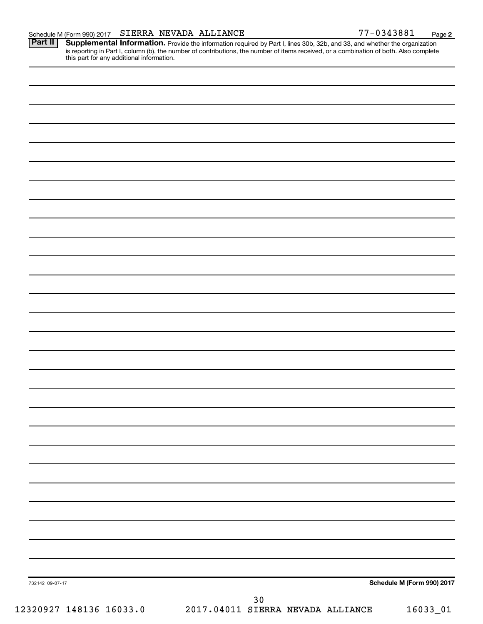Provide the information required by Part I, lines 30b, 32b, and 33, and whether the organization is reporting in Part I, column (b), the number of contributions, the number of items received, or a combination of both. Also complete this part for any additional information. **Part II Supplemental Information.** 

| 732142 09-07-17         |                                   | Schedule M (Form 990) 2017 |
|-------------------------|-----------------------------------|----------------------------|
|                         | $30$                              |                            |
| 12320927 148136 16033.0 | 2017.04011 SIERRA NEVADA ALLIANCE | $16033 - 01$               |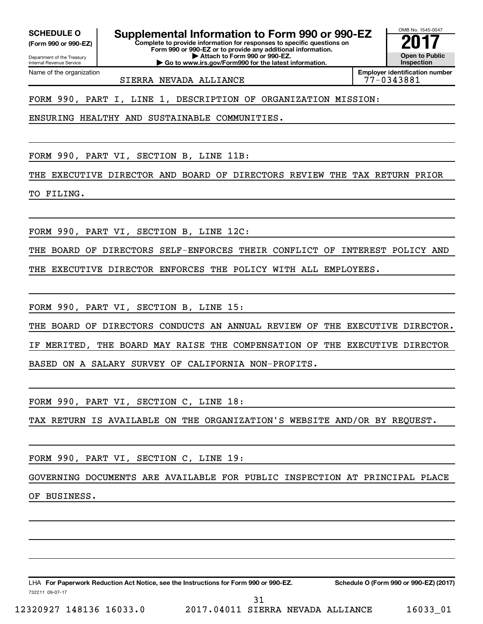Internal Revenue Service

Department of the Treasury **(Form 990 or 990-EZ)**

Name of the organization

**Complete to provide information for responses to specific questions on SCHEDULE O Supplemental Information to Form 990 or 990-EZ** <br>(Form 990 or 990-EZ) Complete to provide information for responses to specific questions on

**Form 990 or 990-EZ or to provide any additional information. | Attach to Form 990 or 990-EZ. | Go to www.irs.gov/Form990 for the latest information.**

**Employer identification number**

OMB No. 1545-0047

**Open to Public Inspection**

SIERRA NEVADA ALLIANCE 77-0343881

FORM 990, PART I, LINE 1, DESCRIPTION OF ORGANIZATION MISSION:

ENSURING HEALTHY AND SUSTAINABLE COMMUNITIES.

FORM 990, PART VI, SECTION B, LINE 11B:

THE EXECUTIVE DIRECTOR AND BOARD OF DIRECTORS REVIEW THE TAX RETURN PRIOR

TO FILING.

FORM 990, PART VI, SECTION B, LINE 12C:

THE BOARD OF DIRECTORS SELF-ENFORCES THEIR CONFLICT OF INTEREST POLICY AND

THE EXECUTIVE DIRECTOR ENFORCES THE POLICY WITH ALL EMPLOYEES.

FORM 990, PART VI, SECTION B, LINE 15:

THE BOARD OF DIRECTORS CONDUCTS AN ANNUAL REVIEW OF THE EXECUTIVE DIRECTOR. IF MERITED, THE BOARD MAY RAISE THE COMPENSATION OF THE EXECUTIVE DIRECTOR BASED ON A SALARY SURVEY OF CALIFORNIA NON-PROFITS.

FORM 990, PART VI, SECTION C, LINE 18:

TAX RETURN IS AVAILABLE ON THE ORGANIZATION'S WEBSITE AND/OR BY REQUEST.

FORM 990, PART VI, SECTION C, LINE 19:

GOVERNING DOCUMENTS ARE AVAILABLE FOR PUBLIC INSPECTION AT PRINCIPAL PLACE

OF BUSINESS.

732211 09-07-17 LHA For Paperwork Reduction Act Notice, see the Instructions for Form 990 or 990-EZ. Schedule O (Form 990 or 990-EZ) (2017)

12320927 148136 16033.0 2017.04011 SIERRA NEVADA ALLIANCE 16033\_01 31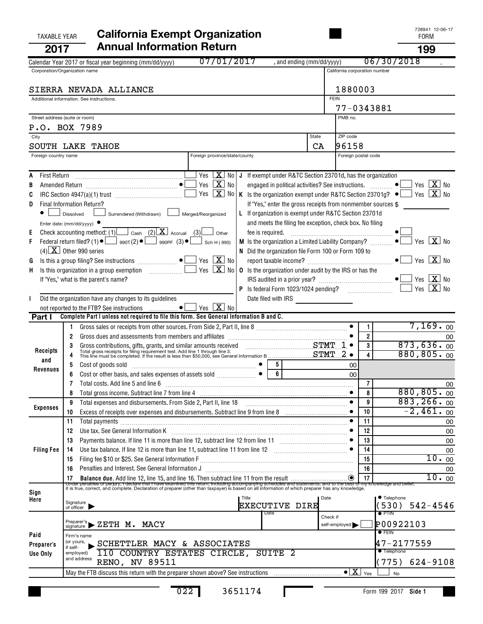|                                                                       | 2017                   | <b>Annual Information Return</b>                                                                                                                                                                                                                                    |             |                               |                | 199                                              |
|-----------------------------------------------------------------------|------------------------|---------------------------------------------------------------------------------------------------------------------------------------------------------------------------------------------------------------------------------------------------------------------|-------------|-------------------------------|----------------|--------------------------------------------------|
|                                                                       |                        | 07/01/2017<br>, and ending (mm/dd/yyyy)<br>Calendar Year 2017 or fiscal year beginning (mm/dd/yyyy)                                                                                                                                                                 |             |                               |                | 06/30/2018                                       |
|                                                                       |                        | Corporation/Organization name                                                                                                                                                                                                                                       |             | California corporation number |                |                                                  |
|                                                                       |                        |                                                                                                                                                                                                                                                                     |             |                               |                |                                                  |
|                                                                       |                        | SIERRA NEVADA ALLIANCE<br>Additional information. See instructions.                                                                                                                                                                                                 | <b>FEIN</b> | 1880003                       |                |                                                  |
|                                                                       |                        |                                                                                                                                                                                                                                                                     |             | 77-0343881                    |                |                                                  |
|                                                                       |                        | Street address (suite or room)                                                                                                                                                                                                                                      |             | PMB no.                       |                |                                                  |
|                                                                       |                        | P.O. BOX 7989                                                                                                                                                                                                                                                       |             |                               |                |                                                  |
|                                                                       | City                   |                                                                                                                                                                                                                                                                     | State       | ZIP code                      |                |                                                  |
|                                                                       |                        | SOUTH LAKE TAHOE                                                                                                                                                                                                                                                    | CA          | 96158                         |                |                                                  |
|                                                                       | Foreign country name   | Foreign province/state/county                                                                                                                                                                                                                                       |             | Foreign postal code           |                |                                                  |
|                                                                       |                        |                                                                                                                                                                                                                                                                     |             |                               |                |                                                  |
| A                                                                     |                        | $X$ No<br>Yes I<br>J If exempt under R&TC Section 23701d, has the organization                                                                                                                                                                                      |             |                               |                |                                                  |
|                                                                       |                        | Yes $X$ No<br>engaged in political activities? See instructions. $\Box$<br>Yes<br>$\boxed{\mathbf{X}}$<br>No<br>K Is the organization exempt under R&TC Section 23701g? $\bullet$ $\Box$ Yes $\boxed{\mathbf{X}}$ No                                                |             |                               |                | Yes $X_{0}$                                      |
| D                                                                     |                        | If "Yes," enter the gross receipts from nonmember sources \$<br>Final Information Return?                                                                                                                                                                           |             |                               |                |                                                  |
|                                                                       |                        | Surrendered (Withdrawn) Merged/Reorganized<br>L If organization is exempt under R&TC Section 23701d<br>Dissolved                                                                                                                                                    |             |                               |                |                                                  |
|                                                                       |                        | and meets the filing fee exception, check box. No filing<br>Enter date: $(mm/dd/yyyy)$                                                                                                                                                                              |             |                               |                |                                                  |
| Е                                                                     |                        | Check accounting method: (1) $\Box$ Cash (2) $\Box$ Accrual (3)<br>Other                                                                                                                                                                                            |             |                               |                |                                                  |
| F                                                                     |                        | Federal return filed? (1) $\bullet$ $\Box$ 990T(2) $\bullet$ $\Box$ 990PF (3) $\bullet$ $\Box$ Sch H(990)                                                                                                                                                           |             |                               |                | Yes $\boxed{\mathbf{X}}$ No                      |
|                                                                       |                        | $(4)$ X Other 990 series<br>N Did the organization file Form 100 or Form 109 to                                                                                                                                                                                     |             |                               |                |                                                  |
| G                                                                     |                        | Yes $X$ No                                                                                                                                                                                                                                                          |             |                               |                |                                                  |
| H.                                                                    |                        | Yes $X$ No<br>Is this organization in a group exemption [11] [12] Is this organization in a group exemption<br><b>0</b> Is the organization under audit by the IRS or has the                                                                                       |             |                               |                | Yes $\boxed{\mathbf{X}}$ No                      |
|                                                                       |                        | If "Yes," what is the parent's name?                                                                                                                                                                                                                                |             |                               |                | Yes $X$ No                                       |
|                                                                       |                        | Did the organization have any changes to its guidelines                                                                                                                                                                                                             |             |                               |                |                                                  |
|                                                                       |                        | $Yes$ $\overline{\mathbf{X}}$ No<br>not reported to the FTB? See instructions  ●                                                                                                                                                                                    |             |                               |                |                                                  |
|                                                                       | Part I                 | Complete Part I unless not required to file this form. See General Information B and C.                                                                                                                                                                             |             |                               |                |                                                  |
|                                                                       |                        |                                                                                                                                                                                                                                                                     |             |                               | 1              | $7,169.$ <sub>00</sub>                           |
|                                                                       |                        | Gross dues and assessments from members and affiliates [111] [11] contains the same state and assessments from members and affiliates [11] [11] $\alpha$ [11] $\alpha$ [11] $\alpha$ [11] $\alpha$ [11] $\alpha$ [11] $\alpha$ [11] $\alpha$ [11] $\alpha$ [11<br>2 |             |                               | $\overline{2}$ | 00                                               |
|                                                                       | Receipts               | Gross contributions, gifts, grants, and similar amounts received<br>Total gross receipts for filing requirement test. Add line 1 through line 3.<br>This line must be completed. If the result is less than \$50,000, see General Inf                               |             |                               | 3              | 873,636.00<br>880, 805.00                        |
|                                                                       | and                    | 5                                                                                                                                                                                                                                                                   |             | 00                            | 4              |                                                  |
|                                                                       | Revenues               | Cost of goods sold<br>Cost or other basis, and sales expenses of assets sold<br>$\begin{bmatrix} \bullet & \bullet \\ \bullet & \bullet \end{bmatrix}$<br>$\overline{6}$                                                                                            |             | $00 \,$                       |                |                                                  |
|                                                                       |                        | Total costs. Add line 5 and line 6 [11] matter contracts and line 6 [11] matter contracts and line 5 and line 6                                                                                                                                                     |             |                               | 7              | 00                                               |
|                                                                       |                        | Total gross income. Subtract line 7 from line 4                                                                                                                                                                                                                     |             | $\bullet$                     | 8              | 880, 805.00                                      |
|                                                                       | <b>Expenses</b>        | 9                                                                                                                                                                                                                                                                   |             | $\bullet$                     | 9              | 883, 266.00                                      |
|                                                                       |                        | Excess of receipts over expenses and disbursements. Subtract line 9 from line 8 [11, 11, 11, 11, 11, 11, 11, 1<br>10                                                                                                                                                |             |                               | 10             | $-2,461.$ 00                                     |
|                                                                       |                        | 11                                                                                                                                                                                                                                                                  |             |                               | 11             | 00                                               |
|                                                                       |                        | Use tax. See General Information K<br>12                                                                                                                                                                                                                            |             |                               | 12             | 00                                               |
|                                                                       |                        | 13                                                                                                                                                                                                                                                                  |             |                               | 13<br>14       | 00                                               |
|                                                                       | <b>Filing Fee</b>      | Use tax balance. If line 12 is more than line 11, subtract line 11 from line 12<br>14<br>15                                                                                                                                                                         |             |                               | 15             | 00<br>10.00                                      |
|                                                                       |                        | Penalties and Interest. See General Information J<br>16                                                                                                                                                                                                             |             |                               | 16             | 00                                               |
|                                                                       |                        | Balance due. Add line 12, line 15, and line 16. Then subtract line 11 from the result<br>17                                                                                                                                                                         |             |                               | 17             | 10.00                                            |
|                                                                       |                        | Under penalties of perjury, I declare that I have examined this return, including accompanying schedules and statements, and to the best of m<br>it is true, correct, and complete. Declaration of preparer (other than taxpayer)                                   |             |                               |                | its, and to the best of my knowledge and belief, |
| Sign<br>Here                                                          |                        | Title                                                                                                                                                                                                                                                               | Date        |                               |                | ● Telephone                                      |
|                                                                       |                        | Signature<br>of officer<br>EXECUTIVE DIRE<br>Date                                                                                                                                                                                                                   |             |                               |                | (530)<br>$542 - 4546$                            |
|                                                                       |                        | Preparer's,                                                                                                                                                                                                                                                         | Check if    |                               |                | $\bullet$ PTIN                                   |
| $\blacktriangleright$ ZETH $\,$ M. MACY<br>self-employed<br>signature |                        |                                                                                                                                                                                                                                                                     |             |                               |                | P00922103<br>$\bullet$ FEIN                      |
|                                                                       | Paid                   | Firm's name<br>(or yours,<br>SCHETTLER MACY & ASSOCIATES                                                                                                                                                                                                            |             |                               |                | 47-2177559                                       |
|                                                                       | Preparer's<br>Use Only | if self-<br>110 COUNTRY ESTATES CIRCLE, SUITE 2<br>employed)                                                                                                                                                                                                        |             |                               |                | <b>Telephone</b>                                 |
|                                                                       |                        | and address<br><b>RENO, NV 89511</b>                                                                                                                                                                                                                                |             |                               |                | (775)<br>$624 - 9108$                            |
|                                                                       |                        | May the FTB discuss this return with the preparer shown above? See instructions $\overline{\ldots}$                                                                                                                                                                 |             |                               | Yes            | No                                               |
|                                                                       |                        |                                                                                                                                                                                                                                                                     |             |                               |                |                                                  |

022 3651174

# TAXABLE YEAR **California Exempt Organization California Exempt Organization**

**Side 1** Form 199 2017

п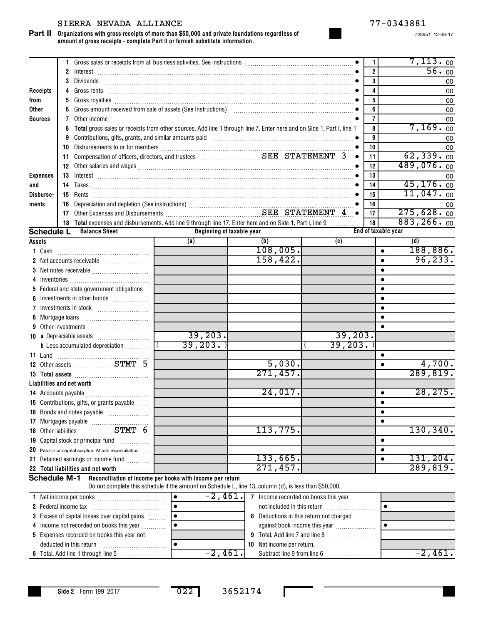#### SIERRA NEVADA ALLIANCE 77-0343881

**Organizations with gross receipts of more than \$50,000 and private foundations regardless of amount of gross receipts - complete Part II or furnish substitute information. Part II**

728951 12-06-17

|                     |                |    | 1 Gross sales or receipts from all business activities. See instructions [11] Gross sales or receipts from all business activities. See instructions [11] Gross sales or receipts from all business activities. |           |                           |     |                                         |  |           | 1              |                     |     | $7,113.$ 00 |    |
|---------------------|----------------|----|-----------------------------------------------------------------------------------------------------------------------------------------------------------------------------------------------------------------|-----------|---------------------------|-----|-----------------------------------------|--|-----------|----------------|---------------------|-----|-------------|----|
|                     |                |    |                                                                                                                                                                                                                 |           |                           |     |                                         |  |           | $\overline{2}$ |                     |     | 56.00       |    |
|                     |                | 3  |                                                                                                                                                                                                                 |           |                           |     |                                         |  |           | 3              |                     |     |             | 00 |
| Receipts            |                | 4  |                                                                                                                                                                                                                 |           |                           |     |                                         |  |           | 4              |                     |     |             | 00 |
| from                |                | 5  |                                                                                                                                                                                                                 |           |                           |     |                                         |  |           | 5              |                     |     |             | 00 |
| <b>Other</b>        |                | 6  |                                                                                                                                                                                                                 |           |                           |     |                                         |  |           | 6              |                     |     |             | 00 |
| <b>Sources</b>      |                | 7  | Other income                                                                                                                                                                                                    |           |                           |     |                                         |  |           | 7              |                     |     |             | 00 |
|                     |                | 8  | Total gross sales or receipts from other sources. Add line 1 through line 7. Enter here and on Side 1, Part I, line 1                                                                                           |           |                           |     |                                         |  |           | 8              |                     |     | 7,169.00    |    |
|                     |                | 9  | Contributions, gifts, grants, and similar amounts paid manufactured contractions are contributions, and similar                                                                                                 |           |                           |     |                                         |  |           | 9              |                     |     |             | 00 |
|                     |                |    |                                                                                                                                                                                                                 |           |                           |     |                                         |  |           | 10             |                     |     |             | 00 |
|                     |                |    |                                                                                                                                                                                                                 |           |                           |     |                                         |  | $\bullet$ | 11             |                     |     | 62, 339.00  |    |
|                     |                |    |                                                                                                                                                                                                                 |           |                           |     |                                         |  |           | 12             |                     |     | 489,076.00  |    |
| <b>Expenses</b>     |                |    |                                                                                                                                                                                                                 |           |                           |     |                                         |  |           | 13             |                     |     |             | 00 |
| and                 |                |    |                                                                                                                                                                                                                 |           |                           |     |                                         |  |           | 14             |                     |     | 45, 176.00  |    |
| Disburse-           |                |    |                                                                                                                                                                                                                 |           |                           |     |                                         |  |           | 15             |                     |     | 11,047.00   |    |
| ments               |                | 16 |                                                                                                                                                                                                                 |           |                           |     |                                         |  |           | 16             |                     |     |             | 00 |
|                     |                |    |                                                                                                                                                                                                                 |           |                           |     |                                         |  | $\bullet$ | 17             |                     |     | 275,628.00  |    |
|                     |                |    | 18 Total expenses and disbursements. Add line 9 through line 17. Enter here and on Side 1, Part I, line 9                                                                                                       |           |                           |     |                                         |  |           | 18             |                     |     | 883, 266.00 |    |
| <b>Schedule L</b>   |                |    | <b>Balance Sheet</b>                                                                                                                                                                                            |           | Beginning of taxable year |     |                                         |  |           |                | End of taxable year |     |             |    |
| <b>Assets</b>       |                |    |                                                                                                                                                                                                                 | (a)       |                           | (b) |                                         |  | (c)       |                |                     | (d) |             |    |
| 1 Cash              |                |    |                                                                                                                                                                                                                 |           |                           |     | 108,005.                                |  |           |                | $\bullet$           |     | 188,886.    |    |
|                     |                |    |                                                                                                                                                                                                                 |           |                           |     | 158, 422.                               |  |           |                | $\bullet$           |     | 96, 233.    |    |
|                     |                |    |                                                                                                                                                                                                                 |           |                           |     |                                         |  |           |                | $\bullet$           |     |             |    |
| 4                   |                |    |                                                                                                                                                                                                                 |           |                           |     |                                         |  |           |                | $\bullet$           |     |             |    |
|                     |                |    | 5 Federal and state government obligations                                                                                                                                                                      |           |                           |     |                                         |  |           |                | $\bullet$           |     |             |    |
| 6                   |                |    | Investments in other bonds                                                                                                                                                                                      |           |                           |     |                                         |  |           |                | $\bullet$           |     |             |    |
|                     |                |    |                                                                                                                                                                                                                 |           |                           |     |                                         |  |           |                | $\bullet$           |     |             |    |
| 8                   | Mortgage loans |    |                                                                                                                                                                                                                 |           |                           |     |                                         |  |           |                | $\bullet$           |     |             |    |
|                     |                |    | 9 Other investments                                                                                                                                                                                             |           |                           |     |                                         |  |           |                | $\bullet$           |     |             |    |
|                     |                |    |                                                                                                                                                                                                                 |           | 39,203.                   |     |                                         |  | 39,203.   |                |                     |     |             |    |
|                     |                |    | <b>b</b> Less accumulated depreciation <i></i>                                                                                                                                                                  |           | 39, 203.                  |     |                                         |  | 39,203.   |                |                     |     |             |    |
|                     |                |    |                                                                                                                                                                                                                 |           |                           |     |                                         |  |           |                | $\bullet$           |     |             |    |
|                     |                |    | 12 Other assets <b>STMT</b> 5                                                                                                                                                                                   |           |                           |     | 5,030.                                  |  |           |                | $\bullet$           |     | 4,700.      |    |
|                     |                |    |                                                                                                                                                                                                                 |           |                           |     | 271,457.                                |  |           |                |                     |     | 289, 819.   |    |
|                     |                |    | Liabilities and net worth                                                                                                                                                                                       |           |                           |     |                                         |  |           |                |                     |     |             |    |
|                     |                |    |                                                                                                                                                                                                                 |           |                           |     | 24,017.                                 |  |           |                | $\bullet$           |     | 28, 275.    |    |
|                     |                |    | 15 Contributions, gifts, or grants payable                                                                                                                                                                      |           |                           |     |                                         |  |           |                | $\bullet$           |     |             |    |
|                     |                |    |                                                                                                                                                                                                                 |           |                           |     |                                         |  |           |                | $\bullet$           |     |             |    |
|                     |                |    |                                                                                                                                                                                                                 |           |                           |     |                                         |  |           |                | $\bullet$           |     |             |    |
|                     |                |    |                                                                                                                                                                                                                 |           |                           |     | 113,775.                                |  |           |                |                     |     | 130, 340.   |    |
|                     |                |    | 19 Capital stock or principal fund                                                                                                                                                                              |           |                           |     |                                         |  |           |                | $\bullet$           |     |             |    |
|                     |                |    | 20 Paid-in or capital surplus. Attach reconciliation                                                                                                                                                            |           |                           |     |                                         |  |           |                | $\bullet$           |     |             |    |
|                     |                |    | 21 Retained earnings or income fund                                                                                                                                                                             |           |                           |     | 133,665.                                |  |           |                | $\bullet$           |     | 131,204.    |    |
|                     |                |    | 22 Total liabilities and net worth                                                                                                                                                                              |           |                           |     | 271,457.                                |  |           |                |                     |     | 289, 819.   |    |
| <b>Schedule M-1</b> |                |    | Reconciliation of income per books with income per return                                                                                                                                                       |           |                           |     |                                         |  |           |                |                     |     |             |    |
|                     |                |    | Do not complete this schedule if the amount on Schedule L, line 13, column (d), is less than \$50,000.                                                                                                          |           |                           |     |                                         |  |           |                |                     |     |             |    |
|                     |                |    |                                                                                                                                                                                                                 | $\bullet$ | $-2,461.$                 |     | 7 Income recorded on books this year    |  |           |                |                     |     |             |    |
|                     |                |    |                                                                                                                                                                                                                 | $\bullet$ |                           |     | not included in this return             |  |           |                |                     |     |             |    |
|                     |                |    | 3 Excess of capital losses over capital gains                                                                                                                                                                   | $\bullet$ |                           |     | 8 Deductions in this return not charged |  |           |                |                     |     |             |    |
|                     |                |    | 4 Income not recorded on books this year                                                                                                                                                                        | $\bullet$ |                           |     |                                         |  |           |                | $\bullet$           |     |             |    |
|                     |                |    | 5 Expenses recorded on books this year not                                                                                                                                                                      |           |                           |     | 9 Total. Add line 7 and line 8          |  |           |                |                     |     |             |    |

~~~~~~~~~~~

deducted in this return

**6** Total. Add line 1 through line 5 ………………………! -**2,4 6 L 。**| Subtract line 9 from line 6 ……………………

•

022 3652174

**10** Net income per return.

Subtract line 9 from line 6 -2,461. -2,461.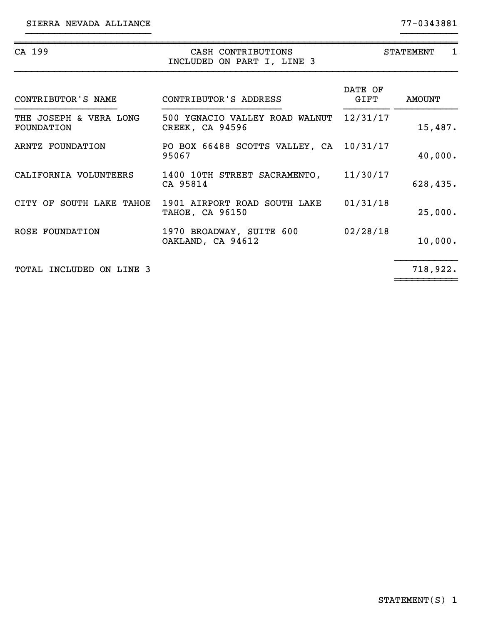| CA 199                               | CASH CONTRIBUTIONS<br>INCLUDED ON PART I, LINE 3         | <b>STATEMENT</b><br>1 |          |  |
|--------------------------------------|----------------------------------------------------------|-----------------------|----------|--|
| CONTRIBUTOR'S NAME                   | CONTRIBUTOR'S ADDRESS                                    | DATE OF<br>GIFT       | AMOUNT   |  |
| THE JOSEPH & VERA LONG<br>FOUNDATION | 500 YGNACIO VALLEY ROAD WALNUT<br><b>CREEK, CA 94596</b> | 12/31/17              | 15,487.  |  |
| ARNTZ FOUNDATION                     | PO BOX 66488 SCOTTS VALLEY, CA 10/31/17<br>95067         |                       | 40,000.  |  |
| CALIFORNIA VOLUNTEERS                | 1400 10TH STREET SACRAMENTO,<br>CA 95814                 | 11/30/17              | 628,435. |  |
| CITY OF SOUTH LAKE TAHOE             | 1901 AIRPORT ROAD SOUTH LAKE<br><b>TAHOE, CA 96150</b>   | 01/31/18              | 25,000.  |  |
| ROSE FOUNDATION                      | 1970 BROADWAY, SUITE 600<br>OAKLAND, CA 94612            | 02/28/18              | 10,000.  |  |
| TOTAL INCLUDED ON LINE 3             |                                                          |                       | 718,922. |  |

}}}}}}}}}}}}}}}}}}}}}} }}}}}}}}}}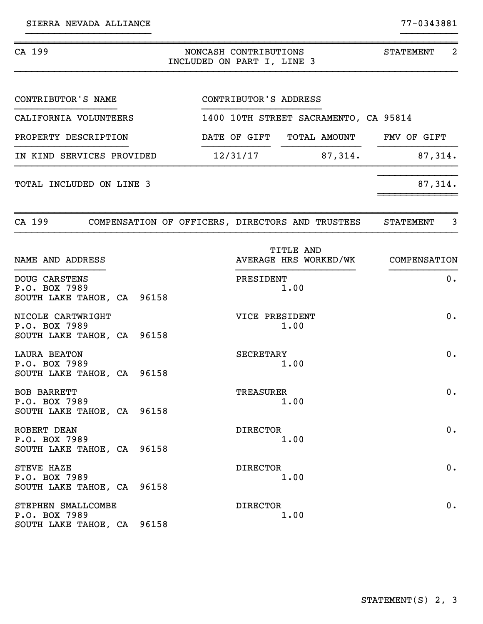| CA 199                                                             |  | NONCASH CONTRIBUTIONS<br>INCLUDED ON PART I, LINE 3 |                       |                                       | 2<br>STATEMENT                     |
|--------------------------------------------------------------------|--|-----------------------------------------------------|-----------------------|---------------------------------------|------------------------------------|
| CONTRIBUTOR'S NAME                                                 |  |                                                     | CONTRIBUTOR'S ADDRESS |                                       |                                    |
| CALIFORNIA VOLUNTEERS                                              |  |                                                     |                       | 1400 10TH STREET SACRAMENTO, CA 95814 |                                    |
| PROPERTY DESCRIPTION                                               |  |                                                     |                       | DATE OF GIFT TOTAL AMOUNT FMV OF GIFT |                                    |
| IN KIND SERVICES PROVIDED                                          |  |                                                     |                       | $12/31/17$ 87,314.                    | 87,314.                            |
| TOTAL INCLUDED ON LINE 3                                           |  |                                                     |                       |                                       | 87,314.                            |
| CA 199 COMPENSATION OF OFFICERS, DIRECTORS AND TRUSTEES            |  |                                                     |                       |                                       | $\overline{3}$<br>STATEMENT        |
| NAME AND ADDRESS                                                   |  |                                                     |                       | TITLE AND                             | AVERAGE HRS WORKED/WK COMPENSATION |
| DOUG CARSTENS<br>P.O. BOX 7989<br>SOUTH LAKE TAHOE, CA 96158       |  |                                                     | PRESIDENT             | 1.00                                  | 0.                                 |
| NICOLE CARTWRIGHT<br>P.O. BOX 7989<br>SOUTH LAKE TAHOE, CA 96158   |  |                                                     | VICE PRESIDENT        | 1.00                                  | 0.                                 |
| <b>LAURA BEATON</b><br>P.O. BOX 7989<br>SOUTH LAKE TAHOE, CA 96158 |  |                                                     | SECRETARY             | 1.00                                  | 0.                                 |
| BOB BARRETT<br>P.O. BOX 7989<br>SOUTH LAKE TAHOE, CA 96158         |  |                                                     | <b>TREASURER</b>      | 1.00                                  | $0$ .                              |
| ROBERT DEAN<br>P.O. BOX 7989<br>SOUTH LAKE TAHOE, CA 96158         |  |                                                     | <b>DIRECTOR</b>       | 1.00                                  | $0$ .                              |
| STEVE HAZE<br>P.O. BOX 7989<br>SOUTH LAKE TAHOE, CA 96158          |  |                                                     | <b>DIRECTOR</b>       | 1.00                                  | 0.                                 |
| STEPHEN SMALLCOMBE<br>P.O. BOX 7989<br>SOUTH LAKE TAHOE, CA 96158  |  |                                                     | <b>DIRECTOR</b>       | 1.00                                  | 0.                                 |

}}}}}}}}}}}}}}}}}}}}}} }}}}}}}}}}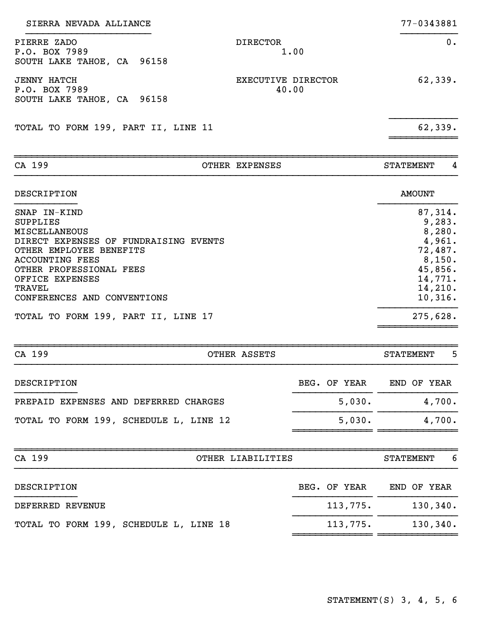| SIERRA NEVADA ALLIANCE                                                                                                                                                                                                                                                                     |                             | 77-0343881                                                                                                         |
|--------------------------------------------------------------------------------------------------------------------------------------------------------------------------------------------------------------------------------------------------------------------------------------------|-----------------------------|--------------------------------------------------------------------------------------------------------------------|
| PIERRE ZADO<br><b>DIRECTOR</b><br>P.O. BOX 7989<br>SOUTH LAKE TAHOE, CA 96158                                                                                                                                                                                                              | 1.00                        | $0$ .                                                                                                              |
| <b>JENNY HATCH</b><br>P.O. BOX 7989<br>SOUTH LAKE TAHOE, CA 96158                                                                                                                                                                                                                          | EXECUTIVE DIRECTOR<br>40.00 | 62,339.                                                                                                            |
| TOTAL TO FORM 199, PART II, LINE 11                                                                                                                                                                                                                                                        |                             | 62,339.                                                                                                            |
| CA 199<br>OTHER EXPENSES                                                                                                                                                                                                                                                                   |                             | 4<br><b>STATEMENT</b>                                                                                              |
| DESCRIPTION                                                                                                                                                                                                                                                                                |                             | <b>AMOUNT</b>                                                                                                      |
| SNAP IN-KIND<br><b>SUPPLIES</b><br><b>MISCELLANEOUS</b><br>DIRECT EXPENSES OF FUNDRAISING EVENTS<br>OTHER EMPLOYEE BENEFITS<br><b>ACCOUNTING FEES</b><br>OTHER PROFESSIONAL FEES<br>OFFICE EXPENSES<br><b>TRAVEL</b><br>CONFERENCES AND CONVENTIONS<br>TOTAL TO FORM 199, PART II, LINE 17 |                             | 87,314.<br>9,283.<br>8,280.<br>4,961.<br>72,487.<br>8,150.<br>45,856.<br>14,771.<br>14,210.<br>10,316.<br>275,628. |
| CA 199<br>OTHER ASSETS                                                                                                                                                                                                                                                                     |                             | 5<br><b>STATEMENT</b>                                                                                              |
| DESCRIPTION                                                                                                                                                                                                                                                                                | BEG. OF YEAR                | END OF YEAR                                                                                                        |
| PREPAID EXPENSES AND DEFERRED CHARGES                                                                                                                                                                                                                                                      | 5,030.                      | 4,700.                                                                                                             |
| TOTAL TO FORM 199, SCHEDULE L, LINE 12                                                                                                                                                                                                                                                     | 5,030.                      | 4,700.                                                                                                             |
| CA 199<br>OTHER LIABILITIES                                                                                                                                                                                                                                                                |                             | 6<br><b>STATEMENT</b>                                                                                              |
| DESCRIPTION                                                                                                                                                                                                                                                                                | BEG. OF YEAR                | END OF YEAR                                                                                                        |
| DEFERRED REVENUE                                                                                                                                                                                                                                                                           | 113,775.                    | 130, 340.                                                                                                          |
| TOTAL TO FORM 199, SCHEDULE L, LINE 18                                                                                                                                                                                                                                                     | 113,775.                    | 130, 340.                                                                                                          |
|                                                                                                                                                                                                                                                                                            |                             |                                                                                                                    |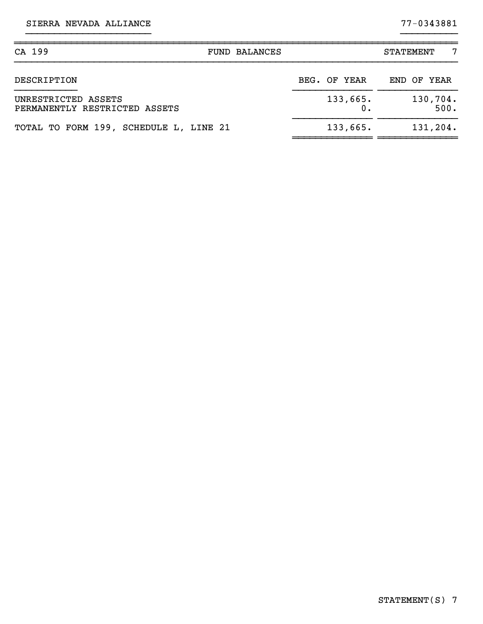SIERRA NEVADA ALLIANCE 77-0343881

| CA 199<br><b>FUND BALANCES</b>                       |                | <b>STATEMENT</b> |
|------------------------------------------------------|----------------|------------------|
| DESCRIPTION                                          | BEG. OF YEAR   | END OF YEAR      |
| UNRESTRICTED ASSETS<br>PERMANENTLY RESTRICTED ASSETS | 133,665.<br>0. | 130,704.<br>500. |
| TOTAL TO FORM 199, SCHEDULE L, LINE 21               | 133,665.       | 131,204.         |

}}}}}}}}}}}}}}}}}}}}}} }}}}}}}}}}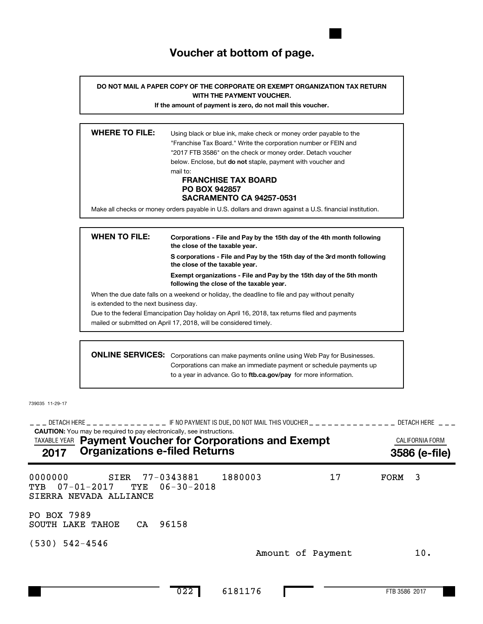# **Voucher at bottom of page.**

**DO NOT MAIL A PAPER COPY OF THE CORPORATE OR EXEMPT ORGANIZATION TAX RETURN WITH THE PAYMENT VOUCHER.**

**If the amount of payment is zero, do not mail this voucher.**

| <b>WHERE TO FILE:</b> | Using black or blue ink, make check or money order payable to the<br>"Franchise Tax Board." Write the corporation number or FEIN and<br>"2017 FTB 3586" on the check or money order. Detach voucher<br>below. Enclose, but <b>do not</b> staple, payment with voucher and<br>mail to:<br><b>FRANCHISE TAX BOARD</b><br><b>PO BOX 942857</b><br><b>SACRAMENTO CA 94257-0531</b> |
|-----------------------|--------------------------------------------------------------------------------------------------------------------------------------------------------------------------------------------------------------------------------------------------------------------------------------------------------------------------------------------------------------------------------|
|                       |                                                                                                                                                                                                                                                                                                                                                                                |
|                       | Make all checks or money orders payable in U.S. dollars and drawn against a U.S. financial institution.                                                                                                                                                                                                                                                                        |
|                       |                                                                                                                                                                                                                                                                                                                                                                                |

| <b>WHEN TO FILE:</b>                  | Corporations - File and Pay by the 15th day of the 4th month following<br>the close of the taxable year.         |  |  |  |  |  |
|---------------------------------------|------------------------------------------------------------------------------------------------------------------|--|--|--|--|--|
|                                       | S corporations - File and Pay by the 15th day of the 3rd month following<br>the close of the taxable year.       |  |  |  |  |  |
|                                       | Exempt organizations - File and Pay by the 15th day of the 5th month<br>following the close of the taxable year. |  |  |  |  |  |
|                                       | When the due date falls on a weekend or holiday, the deadline to file and pay without penalty                    |  |  |  |  |  |
| is extended to the next business day. |                                                                                                                  |  |  |  |  |  |
|                                       | Due to the federal Emancipation Day holiday on April 16, 2018, tax returns filed and payments                    |  |  |  |  |  |
|                                       | mailed or submitted on April 17, 2018, will be considered timely.                                                |  |  |  |  |  |
|                                       |                                                                                                                  |  |  |  |  |  |
|                                       | <b>ONLINE SERVICES:</b> Corporations can make payments online using Web Pay for Businesses.                      |  |  |  |  |  |

to a year in advance. Go to ftb.ca.gov/pay for more information. Corporations can make an immediate payment or schedule payments up

739035 11-29-17

**CAUTION:** You may be required to pay electronically, see instructions. \_\_\_ DETACH HERE \_ \_ \_ \_ \_ \_ \_ \_ \_ \_ \_ \_ F NO PAYMENT IS DUE, DO NOT MAIL THIS VOUCHER \_ \_ \_ \_ \_ \_ \_ \_ \_ \_ \_ \_ \_ \_ DETACH HERE \_ \_ \_ TAXABLE YEAR **Payment Voucher for Corporations and Exempt Exampt CALIFORNIA FORM 2017 Organizations e-filed Returns 3586 (e-file)** 0000000 SIER 77-0343881 1880003 17 FORM 3 TYB 07-01-2017 TYE 06-30-2018 SIERRA NEVADA ALLIANCE PO BOX 7989 SOUTH LAKE TAHOE CA 96158 (530) 542-4546 Amount of Payment 10.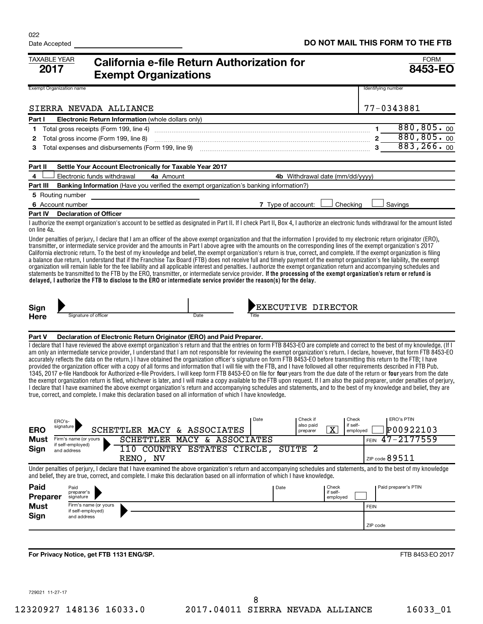| <b>TAXABLE YEAR</b><br>2017     | California e-file Return Authorization for<br><b>Exempt Organizations</b>                                                                                                                                                                                                                                                                                                                                                                                                                                                                                                                                                                                                                                                                                                                                                                                                                                                                                                                                                                                                                                                                                                                                                                                                                                                                                                                                                  |                   | <b>FORM</b><br>8453-EO        |
|---------------------------------|----------------------------------------------------------------------------------------------------------------------------------------------------------------------------------------------------------------------------------------------------------------------------------------------------------------------------------------------------------------------------------------------------------------------------------------------------------------------------------------------------------------------------------------------------------------------------------------------------------------------------------------------------------------------------------------------------------------------------------------------------------------------------------------------------------------------------------------------------------------------------------------------------------------------------------------------------------------------------------------------------------------------------------------------------------------------------------------------------------------------------------------------------------------------------------------------------------------------------------------------------------------------------------------------------------------------------------------------------------------------------------------------------------------------------|-------------------|-------------------------------|
| <b>Exempt Organization name</b> |                                                                                                                                                                                                                                                                                                                                                                                                                                                                                                                                                                                                                                                                                                                                                                                                                                                                                                                                                                                                                                                                                                                                                                                                                                                                                                                                                                                                                            |                   | Identifying number            |
|                                 | SIERRA NEVADA ALLIANCE                                                                                                                                                                                                                                                                                                                                                                                                                                                                                                                                                                                                                                                                                                                                                                                                                                                                                                                                                                                                                                                                                                                                                                                                                                                                                                                                                                                                     |                   | 77-0343881                    |
| Part I                          | Electronic Return Information (whole dollars only)                                                                                                                                                                                                                                                                                                                                                                                                                                                                                                                                                                                                                                                                                                                                                                                                                                                                                                                                                                                                                                                                                                                                                                                                                                                                                                                                                                         |                   | 880, 805.00<br>$\mathbf 1$    |
| 1<br>2                          | Total gross income (Form 199, line 8)                                                                                                                                                                                                                                                                                                                                                                                                                                                                                                                                                                                                                                                                                                                                                                                                                                                                                                                                                                                                                                                                                                                                                                                                                                                                                                                                                                                      |                   | 880, 805.00<br>$\overline{2}$ |
| З                               | Total expenses and disbursements (Form 199, line 9) <i>manageronana content content and expenses</i> and disbursements (Form 199, line 9)                                                                                                                                                                                                                                                                                                                                                                                                                                                                                                                                                                                                                                                                                                                                                                                                                                                                                                                                                                                                                                                                                                                                                                                                                                                                                  |                   | 883, 266.00                   |
|                                 |                                                                                                                                                                                                                                                                                                                                                                                                                                                                                                                                                                                                                                                                                                                                                                                                                                                                                                                                                                                                                                                                                                                                                                                                                                                                                                                                                                                                                            |                   |                               |
| Part II                         | Settle Your Account Electronically for Taxable Year 2017                                                                                                                                                                                                                                                                                                                                                                                                                                                                                                                                                                                                                                                                                                                                                                                                                                                                                                                                                                                                                                                                                                                                                                                                                                                                                                                                                                   |                   |                               |
| 4                               | Electronic funds withdrawal<br>4a Amount<br>4b Withdrawal date (mm/dd/yyyy)                                                                                                                                                                                                                                                                                                                                                                                                                                                                                                                                                                                                                                                                                                                                                                                                                                                                                                                                                                                                                                                                                                                                                                                                                                                                                                                                                |                   |                               |
| Part III                        | <b>Banking Information</b> (Have you verified the exempt organization's banking information?)                                                                                                                                                                                                                                                                                                                                                                                                                                                                                                                                                                                                                                                                                                                                                                                                                                                                                                                                                                                                                                                                                                                                                                                                                                                                                                                              |                   |                               |
| 5 Routing number                |                                                                                                                                                                                                                                                                                                                                                                                                                                                                                                                                                                                                                                                                                                                                                                                                                                                                                                                                                                                                                                                                                                                                                                                                                                                                                                                                                                                                                            |                   |                               |
| 6 Account number                | 7 Type of account:<br>Checking                                                                                                                                                                                                                                                                                                                                                                                                                                                                                                                                                                                                                                                                                                                                                                                                                                                                                                                                                                                                                                                                                                                                                                                                                                                                                                                                                                                             |                   | Savings                       |
| Part IV                         | <b>Declaration of Officer</b><br>I authorize the exempt organization's account to be settled as designated in Part II. If I check Part II, Box 4, I authorize an electronic funds withdrawal for the amount listed                                                                                                                                                                                                                                                                                                                                                                                                                                                                                                                                                                                                                                                                                                                                                                                                                                                                                                                                                                                                                                                                                                                                                                                                         |                   |                               |
| on line 4a.                     |                                                                                                                                                                                                                                                                                                                                                                                                                                                                                                                                                                                                                                                                                                                                                                                                                                                                                                                                                                                                                                                                                                                                                                                                                                                                                                                                                                                                                            |                   |                               |
|                                 | Under penalties of perjury, I declare that I am an officer of the above exempt organization and that the information I provided to my electronic return originator (ERO),<br>transmitter, or intermediate service provider and the amounts in Part I above agree with the amounts on the corresponding lines of the exempt organization's 2017<br>California electronic return. To the best of my knowledge and belief, the exempt organization's return is true, correct, and complete. If the exempt organization is filing<br>a balance due return, I understand that if the Franchise Tax Board (FTB) does not receive full and timely payment of the exempt organization's fee liability, the exempt<br>organization will remain liable for the fee liability and all applicable interest and penalties. I authorize the exempt organization return and accompanying schedules and<br>statements be transmitted to the FTB by the ERO, transmitter, or intermediate service provider. If the processing of the exempt organization's return or refund is<br>delayed, I authorize the FTB to disclose to the ERO or intermediate service provider the reason(s) for the delay.                                                                                                                                                                                                                                         |                   |                               |
| Sign                            | <b>EXECUTIVE DIRECTOR</b>                                                                                                                                                                                                                                                                                                                                                                                                                                                                                                                                                                                                                                                                                                                                                                                                                                                                                                                                                                                                                                                                                                                                                                                                                                                                                                                                                                                                  |                   |                               |
| Here                            | Signature of officer<br>Date<br>Title                                                                                                                                                                                                                                                                                                                                                                                                                                                                                                                                                                                                                                                                                                                                                                                                                                                                                                                                                                                                                                                                                                                                                                                                                                                                                                                                                                                      |                   |                               |
|                                 |                                                                                                                                                                                                                                                                                                                                                                                                                                                                                                                                                                                                                                                                                                                                                                                                                                                                                                                                                                                                                                                                                                                                                                                                                                                                                                                                                                                                                            |                   |                               |
| Part V                          | Declaration of Electronic Return Originator (ERO) and Paid Preparer.                                                                                                                                                                                                                                                                                                                                                                                                                                                                                                                                                                                                                                                                                                                                                                                                                                                                                                                                                                                                                                                                                                                                                                                                                                                                                                                                                       |                   |                               |
| ERO's-                          | I declare that I have reviewed the above exempt organization's return and that the entries on form FTB 8453-EO are complete and correct to the best of my knowledge. (If I<br>am only an intermediate service provider, I understand that I am not responsible for reviewing the exempt organization's return. I declare, however, that form FTB 8453-EO<br>accurately reflects the data on the return.) I have obtained the organization officer's signature on form FTB 8453-EO before transmitting this return to the FTB; I have<br>provided the organization officer with a copy of all forms and information that I will file with the FTB, and I have followed all other requirements described in FTB Pub.<br>1345, 2017 e-file Handbook for Authorized e-file Providers. I will keep form FTB 8453-EO on file for four years from the due date of the return or four years from the date<br>the exempt organization return is filed, whichever is later, and I will make a copy available to the FTB upon request. If I am also the paid preparer, under penalties of perjury,<br>I declare that I have examined the above exempt organization's return and accompanying schedules and statements, and to the best of my knowledge and belief, they are<br>true, correct, and complete. I make this declaration based on all information of which I have knowledge.<br>Date<br>Check if<br>also paid<br>signature | Check<br>if self- | <b>ERO's PTIN</b>             |
| ERO                             | $\overline{\text{x}}$<br>SCHETTLER MACY & ASSOCIATES<br>preparer                                                                                                                                                                                                                                                                                                                                                                                                                                                                                                                                                                                                                                                                                                                                                                                                                                                                                                                                                                                                                                                                                                                                                                                                                                                                                                                                                           | employed          | P00922103                     |
| Must<br>Sign                    | SCHETTLER MACY & ASSOCIATES<br>Firm's name (or yours<br>if self-employed)<br>110 COUNTRY ESTATES CIRCLE, SUITE 2                                                                                                                                                                                                                                                                                                                                                                                                                                                                                                                                                                                                                                                                                                                                                                                                                                                                                                                                                                                                                                                                                                                                                                                                                                                                                                           | <b>FEIN</b>       | $47 - 2177559$                |
|                                 | and address<br>RENO, NV                                                                                                                                                                                                                                                                                                                                                                                                                                                                                                                                                                                                                                                                                                                                                                                                                                                                                                                                                                                                                                                                                                                                                                                                                                                                                                                                                                                                    |                   | ZIP code $89511$              |
|                                 | Under penalties of perjury, I declare that I have examined the above organization's return and accompanying schedules and statements, and to the best of my knowledge<br>and belief, they are true, correct, and complete. I make this declaration based on all information of which I have knowledge.                                                                                                                                                                                                                                                                                                                                                                                                                                                                                                                                                                                                                                                                                                                                                                                                                                                                                                                                                                                                                                                                                                                     |                   |                               |
| Paid<br><b>Preparer</b>         | Date<br>Check<br>Paid<br>if self-<br>preparer's<br>employed<br>signature                                                                                                                                                                                                                                                                                                                                                                                                                                                                                                                                                                                                                                                                                                                                                                                                                                                                                                                                                                                                                                                                                                                                                                                                                                                                                                                                                   |                   | Paid preparer's PTIN          |
| <b>Must</b>                     | Firm's name (or yours<br>if self-employed)                                                                                                                                                                                                                                                                                                                                                                                                                                                                                                                                                                                                                                                                                                                                                                                                                                                                                                                                                                                                                                                                                                                                                                                                                                                                                                                                                                                 | <b>FEIN</b>       |                               |
| Sign                            | and address                                                                                                                                                                                                                                                                                                                                                                                                                                                                                                                                                                                                                                                                                                                                                                                                                                                                                                                                                                                                                                                                                                                                                                                                                                                                                                                                                                                                                |                   |                               |
|                                 |                                                                                                                                                                                                                                                                                                                                                                                                                                                                                                                                                                                                                                                                                                                                                                                                                                                                                                                                                                                                                                                                                                                                                                                                                                                                                                                                                                                                                            |                   | ZIP code                      |
|                                 |                                                                                                                                                                                                                                                                                                                                                                                                                                                                                                                                                                                                                                                                                                                                                                                                                                                                                                                                                                                                                                                                                                                                                                                                                                                                                                                                                                                                                            |                   |                               |
|                                 | For Privacy Notice, get FTB 1131 ENG/SP.                                                                                                                                                                                                                                                                                                                                                                                                                                                                                                                                                                                                                                                                                                                                                                                                                                                                                                                                                                                                                                                                                                                                                                                                                                                                                                                                                                                   |                   | FTB 8453-EO 2017              |

729021 11-27-17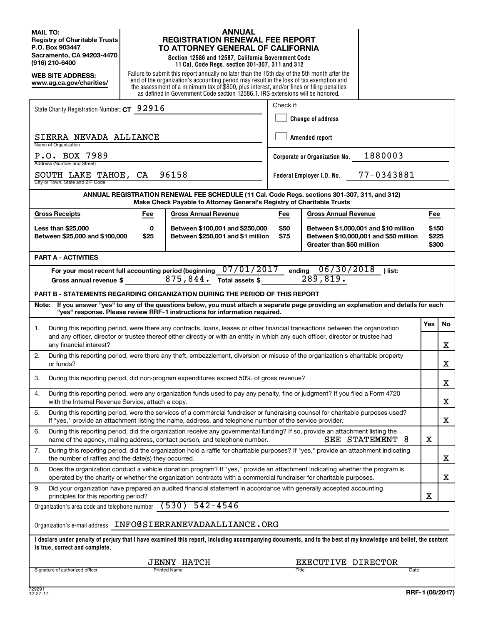**MAIL TO: Registry of Charitable Trusts P.O. Box 903447 Sacramento, CA 94203-4470 (916) 210-6400**

**WEB SITE ADDRESS: www.ag.ca.gov/charities/**

#### **ANNUAL REGISTRATION RENEWAL FEE REPORT TO ATTORNEY GENERAL OF CALIFORNIA**

**Section 12586 and 12587, California Government Code 11 Cal. Code Regs. section 301-307, 311 and 312**

Failure to submit this report annually no later than the 15th day of the 5th month after the end of the organization's accounting period may result in the loss of tax exemption and the assessment of a minimum tax of \$800, plus interest, and/or fines or filing penalties as defined in Government Code section 12586.1. IRS extensions will be honored.

|                                                                                                                                                                                                                                                                                                      | Check if:                                |                                                                                                                            |     |  |  |  |  |
|------------------------------------------------------------------------------------------------------------------------------------------------------------------------------------------------------------------------------------------------------------------------------------------------------|------------------------------------------|----------------------------------------------------------------------------------------------------------------------------|-----|--|--|--|--|
| State Charity Registration Number: CT 92916                                                                                                                                                                                                                                                          | <b>Change of address</b>                 |                                                                                                                            |     |  |  |  |  |
|                                                                                                                                                                                                                                                                                                      |                                          |                                                                                                                            |     |  |  |  |  |
| SIERRA NEVADA ALLIANCE<br>Name of Organization                                                                                                                                                                                                                                                       | Amended report                           |                                                                                                                            |     |  |  |  |  |
| P.O. BOX 7989<br>Address (Number and Street)                                                                                                                                                                                                                                                         | 1880003<br>Corporate or Organization No. |                                                                                                                            |     |  |  |  |  |
| 96158<br>SOUTH LAKE TAHOE,<br>CA<br>City or Town, State and ZIP Code                                                                                                                                                                                                                                 | 77-0343881<br>Federal Employer I.D. No.  |                                                                                                                            |     |  |  |  |  |
| ANNUAL REGISTRATION RENEWAL FEE SCHEDULE (11 Cal. Code Regs. sections 301-307, 311, and 312)<br>Make Check Payable to Attorney General's Registry of Charitable Trusts                                                                                                                               |                                          |                                                                                                                            |     |  |  |  |  |
| <b>Gross Receipts</b><br><b>Gross Annual Revenue</b><br><b>Gross Annual Revenue</b><br>Fee<br>Fee                                                                                                                                                                                                    |                                          |                                                                                                                            | Fee |  |  |  |  |
| Between \$100,001 and \$250,000<br><b>Less than \$25,000</b><br>0<br>Between \$25,000 and \$100,000<br>\$25<br>Between \$250,001 and \$1 million                                                                                                                                                     |                                          | \$50<br>Between \$1,000,001 and \$10 million<br>\$75<br>Between \$10,000,001 and \$50 million<br>Greater than \$50 million |     |  |  |  |  |
| <b>PART A - ACTIVITIES</b>                                                                                                                                                                                                                                                                           |                                          |                                                                                                                            |     |  |  |  |  |
| 06/30/2018<br>07/01/2017<br>ending<br>For your most recent full accounting period (beginning<br>) list:<br>289, 819.<br>875,844.<br>Total assets \$<br>Gross annual revenue \$                                                                                                                       |                                          |                                                                                                                            |     |  |  |  |  |
| <b>PART B - STATEMENTS REGARDING ORGANIZATION DURING THE PERIOD OF THIS REPORT</b>                                                                                                                                                                                                                   |                                          |                                                                                                                            |     |  |  |  |  |
| Note: If you answer "yes" to any of the questions below, you must attach a separate page providing an explanation and details for each<br>"yes" response. Please review RRF-1 instructions for information required.                                                                                 |                                          |                                                                                                                            |     |  |  |  |  |
|                                                                                                                                                                                                                                                                                                      |                                          |                                                                                                                            |     |  |  |  |  |
| During this reporting period, were there any contracts, loans, leases or other financial transactions between the organization<br>1.<br>and any officer, director or trustee thereof either directly or with an entity in which any such officer, director or trustee had<br>any financial interest? |                                          |                                                                                                                            |     |  |  |  |  |
| 2.<br>During this reporting period, were there any theft, embezzlement, diversion or misuse of the organization's charitable property<br>or funds?                                                                                                                                                   |                                          |                                                                                                                            |     |  |  |  |  |
| During this reporting period, did non-program expenditures exceed 50% of gross revenue?<br>3.                                                                                                                                                                                                        |                                          |                                                                                                                            |     |  |  |  |  |
| During this reporting period, were any organization funds used to pay any penalty, fine or judgment? If you filed a Form 4720<br>4.<br>with the Internal Revenue Service, attach a copy.                                                                                                             |                                          |                                                                                                                            |     |  |  |  |  |
| 5.<br>During this reporting period, were the services of a commercial fundraiser or fundraising counsel for charitable purposes used?<br>If "yes," provide an attachment listing the name, address, and telephone number of the service provider.                                                    |                                          |                                                                                                                            |     |  |  |  |  |
| 6.<br>During this reporting period, did the organization receive any governmental funding? If so, provide an attachment listing the<br>SEE STATEMENT 8<br>name of the agency, mailing address, contact person, and telephone number.                                                                 |                                          |                                                                                                                            |     |  |  |  |  |
| 7.<br>During this reporting period, did the organization hold a raffle for charitable purposes? If "yes," provide an attachment indicating<br>the number of raffles and the date(s) they occurred.                                                                                                   |                                          |                                                                                                                            |     |  |  |  |  |
| Does the organization conduct a vehicle donation program? If "yes," provide an attachment indicating whether the program is<br>8.<br>operated by the charity or whether the organization contracts with a commercial fundraiser for charitable purposes.                                             |                                          |                                                                                                                            |     |  |  |  |  |
| 9.<br>Did your organization have prepared an audited financial statement in accordance with generally accepted accounting<br>principles for this reporting period?                                                                                                                                   |                                          |                                                                                                                            |     |  |  |  |  |
| $542 - 4546$<br>(530)<br>Organization's area code and telephone number                                                                                                                                                                                                                               |                                          |                                                                                                                            |     |  |  |  |  |
| Organization's e-mail address    INFO@SIERRANEVADAALLIANCE.ORG                                                                                                                                                                                                                                       |                                          |                                                                                                                            |     |  |  |  |  |
| I declare under penalty of perjury that I have examined this report, including accompanying documents, and to the best of my knowledge and belief, the content<br>is true, correct and complete.                                                                                                     |                                          |                                                                                                                            |     |  |  |  |  |
| <b>JENNY HATCH</b><br>EXECUTIVE DIRECTOR                                                                                                                                                                                                                                                             |                                          |                                                                                                                            |     |  |  |  |  |
| Signature of authorized officer<br>Printed Name<br>Title<br>Date                                                                                                                                                                                                                                     |                                          |                                                                                                                            |     |  |  |  |  |
| 729291                                                                                                                                                                                                                                                                                               |                                          |                                                                                                                            |     |  |  |  |  |